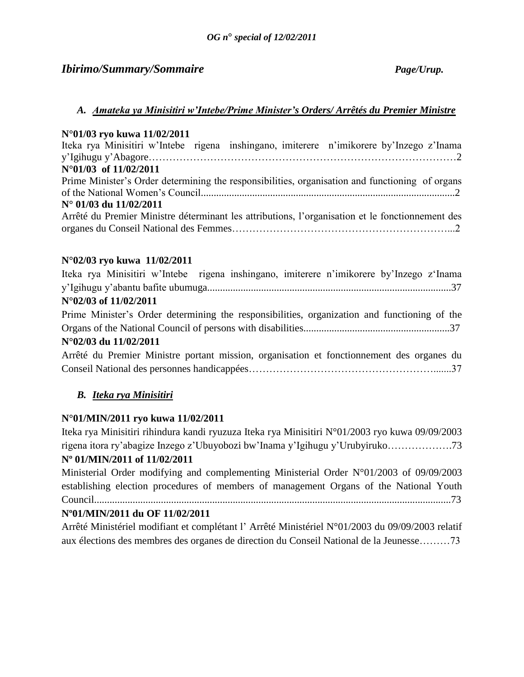# *Ibirimo/Summary/Sommaire Page/Urup.*

# *A. Amateka ya Minisitiri w'Intebe/Prime Minister's Orders/ Arrêtés du Premier Ministre*

# **N°01/03 ryo kuwa 11/02/2011**

| Iteka rya Minisitiri w'Intebe rigena inshingano, imiterere n'imikorere by'Inzego z'Inama         |  |
|--------------------------------------------------------------------------------------------------|--|
|                                                                                                  |  |
| N°01/03 of 11/02/2011                                                                            |  |
| Prime Minister's Order determining the responsibilities, organisation and functioning of organs  |  |
|                                                                                                  |  |
| $N^{\circ}$ 01/03 du 11/02/2011                                                                  |  |
| Arrêté du Premier Ministre déterminant les attributions, l'organisation et le fonctionnement des |  |
|                                                                                                  |  |

# **N°02/03 ryo kuwa 11/02/2011**

| Iteka rya Minisitiri w'Intebe rigena inshingano, imiterere n'imikorere by'Inzego z'Inama     |
|----------------------------------------------------------------------------------------------|
|                                                                                              |
| N°02/03 of 11/02/2011                                                                        |
| Prime Minister's Order determining the responsibilities, organization and functioning of the |
|                                                                                              |
| $N^{\circ}02/03$ du 11/02/2011                                                               |
| Arrêté du Premier Ministre portant mission, organisation et fonctionnement des organes du    |
|                                                                                              |

# *B. Iteka rya Minisitiri*

# **N°01/MIN/2011 ryo kuwa 11/02/2011**

Iteka rya Minisitiri rihindura kandi ryuzuza Iteka rya Minisitiri N°01/2003 ryo kuwa 09/09/2003 rigena itora ry"abagize Inzego z"Ubuyobozi bw"Inama y"Igihugu y"Urubyiruko……………….73 **Nº 01/MIN/2011 of 11/02/2011** 

Ministerial Order modifying and complementing Ministerial Order N°01/2003 of 09/09/2003 establishing election procedures of members of management Organs of the National Youth Council...........................................................................................................................................73

# **Nº01/MIN/2011 du OF 11/02/2011**

Arrêté Ministériel modifiant et complétant l" Arrêté Ministériel N°01/2003 du 09/09/2003 relatif aux élections des membres des organes de direction du Conseil National de la Jeunesse………73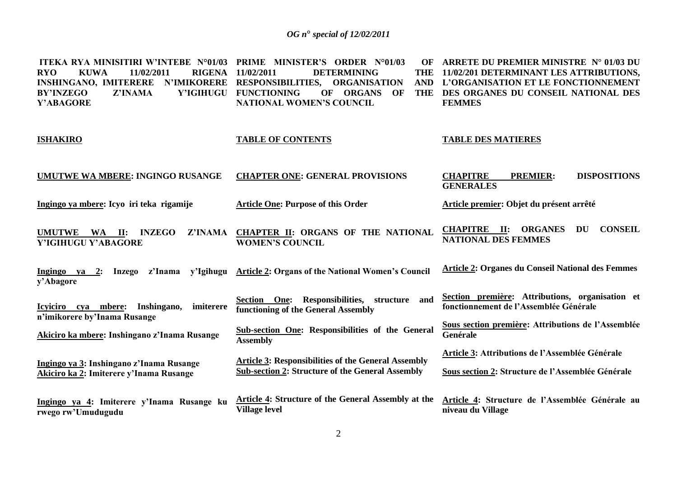| <b>ITEKA RYA MINISITIRI W'INTEBE N°01/03</b><br><b>RYO</b><br><b>KUWA</b><br>11/02/2011<br><b>RIGENA</b><br><b>INSHINGANO, IMITERERE</b><br>Y'IGIHUGU<br>Z'INAMA<br><b>BY'INZEGO</b><br>Y'ABAGORE | PRIME MINISTER'S ORDER N°01/03<br>OF<br>11/02/2011<br><b>DETERMINING</b><br><b>THE</b><br>N'IMIKORERE RESPONSIBILITIES, ORGANISATION<br><b>AND</b><br><b>FUNCTIONING</b><br>OF<br>OF<br><b>ORGANS</b><br><b>THE</b><br><b>NATIONAL WOMEN'S COUNCIL</b> | ARRETE DU PREMIER MINISTRE N° 01/03 DU<br>11/02/201 DETERMINANT LES ATTRIBUTIONS,<br>L'ORGANISATION ET LE FONCTIONNEMENT<br>DES ORGANES DU CONSEIL NATIONAL DES<br><b>FEMMES</b> |
|---------------------------------------------------------------------------------------------------------------------------------------------------------------------------------------------------|--------------------------------------------------------------------------------------------------------------------------------------------------------------------------------------------------------------------------------------------------------|----------------------------------------------------------------------------------------------------------------------------------------------------------------------------------|
| <b>ISHAKIRO</b>                                                                                                                                                                                   | <b>TABLE OF CONTENTS</b>                                                                                                                                                                                                                               | <b>TABLE DES MATIERES</b>                                                                                                                                                        |
| <b>UMUTWE WA MBERE: INGINGO RUSANGE</b>                                                                                                                                                           | <b>CHAPTER ONE: GENERAL PROVISIONS</b>                                                                                                                                                                                                                 | <b>CHAPITRE</b><br><b>DISPOSITIONS</b><br><b>PREMIER:</b><br><b>GENERALES</b>                                                                                                    |
| Ingingo ya mbere: Icyo iri teka rigamije                                                                                                                                                          | <b>Article One: Purpose of this Order</b>                                                                                                                                                                                                              | Article premier: Objet du présent arrêté                                                                                                                                         |
| <b>UMUTWE</b><br>WA II:<br><b>INZEGO</b><br>Z'INAMA<br>Y'IGIHUGU Y'ABAGORE                                                                                                                        | CHAPTER II: ORGANS OF THE NATIONAL<br><b>WOMEN'S COUNCIL</b>                                                                                                                                                                                           | <b>CONSEIL</b><br><b>CHAPITRE</b> II:<br><b>ORGANES</b><br>DU<br><b>NATIONAL DES FEMMES</b>                                                                                      |
| Ingingo ya 2:<br>z'Inama<br>y'Igihugu<br>Inzego<br>y'Abagore                                                                                                                                      | <b>Article 2: Organs of the National Women's Council</b>                                                                                                                                                                                               | <b>Article 2: Organes du Conseil National des Femmes</b>                                                                                                                         |
| Icyiciro cya mbere:<br>Inshingano,<br>imiterere<br>n'imikorere by'Inama Rusange                                                                                                                   | Section One: Responsibilities, structure<br>and<br>functioning of the General Assembly                                                                                                                                                                 | Section première: Attributions, organisation et<br>fonctionnement de l'Assemblée Générale                                                                                        |
| Akiciro ka mbere: Inshingano z'Inama Rusange                                                                                                                                                      | <b>Sub-section One: Responsibilities of the General</b><br><b>Assembly</b>                                                                                                                                                                             | Sous section première: Attributions de l'Assemblée<br>Genérale                                                                                                                   |
| Ingingo ya 3: Inshingano z'Inama Rusange<br>Akiciro ka 2: Imiterere y'Inama Rusange                                                                                                               | <b>Article 3: Responsibilities of the General Assembly</b><br><b>Sub-section 2: Structure of the General Assembly</b>                                                                                                                                  | Article 3: Attributions de l'Assemblée Générale<br>Sous section 2: Structure de l'Assemblée Générale                                                                             |
| Ingingo ya 4: Imiterere y'Inama Rusange ku<br>rwego rw'Umudugudu                                                                                                                                  | Article 4: Structure of the General Assembly at the<br><b>Village level</b>                                                                                                                                                                            | Article 4: Structure de l'Assemblée Générale au<br>niveau du Village                                                                                                             |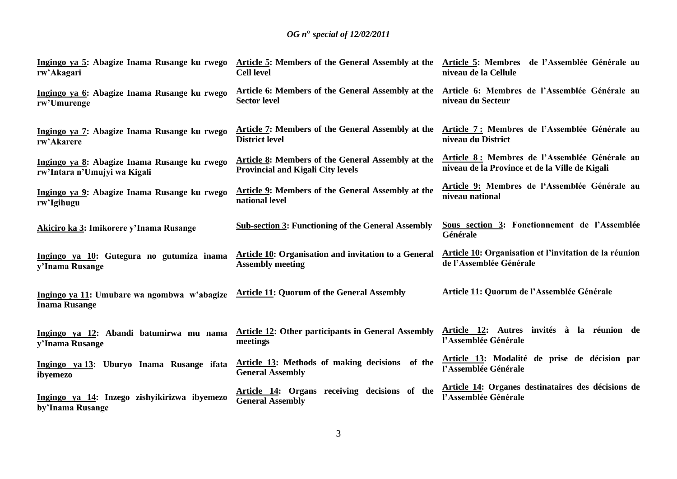| Ingingo ya 5: Abagize Inama Rusange ku rwego<br>rw'Akagari          | Article 5: Members of the General Assembly at the Article 5: Membres de l'Assemblée Générale au<br><b>Cell level</b> | niveau de la Cellule                                          |
|---------------------------------------------------------------------|----------------------------------------------------------------------------------------------------------------------|---------------------------------------------------------------|
| Ingingo ya 6: Abagize Inama Rusange ku rwego                        | Article 6: Members of the General Assembly at the                                                                    | Article 6: Membres de l'Assemblée Générale au                 |
| rw'Umurenge                                                         | <b>Sector level</b>                                                                                                  | niveau du Secteur                                             |
| Ingingo ya 7: Abagize Inama Rusange ku rwego                        | Article 7: Members of the General Assembly at the                                                                    | Article 7: Membres de l'Assemblée Générale au                 |
| rw'Akarere                                                          | <b>District level</b>                                                                                                | niveau du District                                            |
| Ingingo ya 8: Abagize Inama Rusange ku rwego                        | Article 8: Members of the General Assembly at the                                                                    | Article 8: Membres de l'Assemblée Générale au                 |
| rw'Intara n'Umujyi wa Kigali                                        | <b>Provincial and Kigali City levels</b>                                                                             | niveau de la Province et de la Ville de Kigali                |
| Ingingo ya 9: Abagize Inama Rusange ku rwego                        | <b>Article 9:</b> Members of the General Assembly at the                                                             | Article 9: Membres de l'Assemblée Générale au                 |
| rw'Igihugu                                                          | national level                                                                                                       | niveau national                                               |
| Akiciro ka 3: Imikorere y'Inama Rusange                             | <b>Sub-section 3: Functioning of the General Assembly</b>                                                            | Sous section 3: Fonctionnement de l'Assemblée<br>Générale     |
| Ingingo ya 10: Gutegura no gutumiza inama                           | <b>Article 10: Organisation and invitation to a General</b>                                                          | <b>Article 10: Organisation et l'invitation de la réunion</b> |
| y'Inama Rusange                                                     | <b>Assembly meeting</b>                                                                                              | de l'Assemblée Générale                                       |
| Ingingo ya 11: Umubare wa ngombwa w'abagize<br><b>Inama Rusange</b> | <b>Article 11: Quorum of the General Assembly</b>                                                                    | Article 11: Quorum de l'Assemblée Générale                    |
| Ingingo ya 12: Abandi batumirwa mu nama                             | <b>Article 12: Other participants in General Assembly</b>                                                            | Article 12: Autres invités à la réunion de                    |
| y'Inama Rusange                                                     | meetings                                                                                                             | l'Assemblée Générale                                          |
| Ingingo ya 13: Uburyo Inama Rusange ifata                           | Article 13: Methods of making decisions of the                                                                       | Article 13: Modalité de prise de décision par                 |
| ibyemezo                                                            | <b>General Assembly</b>                                                                                              | l'Assemblée Générale                                          |
| Ingingo ya 14: Inzego zishyikirizwa ibyemezo                        | Article 14: Organs receiving decisions of the                                                                        | Article 14: Organes destinataires des décisions de            |
| by'Inama Rusange                                                    | <b>General Assembly</b>                                                                                              | l'Assemblée Générale                                          |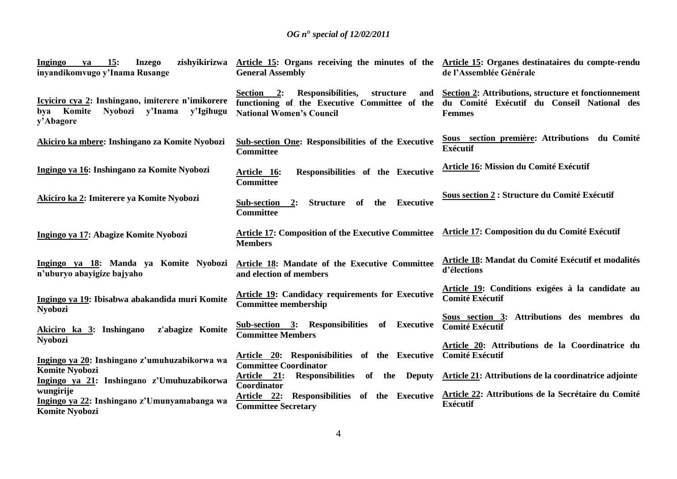| 15:<br><b>Inzego</b><br>Ingingo<br>va<br>inyandikomvugo y'Inama Rusange                                         | zishyikirizwa Article 15: Organs receiving the minutes of the Article 15: Organes destinataires du compte-rendu<br><b>General Assembly</b> | de l'Assemblée Générale                                                                                             |
|-----------------------------------------------------------------------------------------------------------------|--------------------------------------------------------------------------------------------------------------------------------------------|---------------------------------------------------------------------------------------------------------------------|
| Icyiciro cya 2: Inshingano, imiterere n'imikorere<br>Komite<br>Nyobozi y'Inama<br>y'Igihugu<br>bya<br>y'Abagore | Responsibilities,<br>Section 2:<br>structure<br>and<br>functioning of the Executive Committee of the<br><b>National Women's Council</b>    | Section 2: Attributions, structure et fonctionnement<br>du Comité Exécutif du Conseil National des<br><b>Femmes</b> |
| Akiciro ka mbere: Inshingano za Komite Nyobozi                                                                  | <b>Sub-section One: Responsibilities of the Executive</b><br><b>Committee</b>                                                              | Sous section première: Attributions du Comité<br><b>Exécutif</b>                                                    |
| Ingingo ya 16: Inshingano za Komite Nyobozi                                                                     | Responsibilities of the Executive<br>Article 16:<br>Committee                                                                              | Article 16: Mission du Comité Exécutif                                                                              |
| Akiciro ka 2: Imiterere ya Komite Nyobozi                                                                       | <b>Executive</b><br>Sub-section<br>Structure of the<br>2:<br><b>Committee</b>                                                              | Sous section 2 : Structure du Comité Exécutif                                                                       |
| Ingingo ya 17: Abagize Komite Nyobozi                                                                           | <b>Article 17: Composition of the Executive Committee</b><br><b>Members</b>                                                                | <b>Article 17: Composition du du Comité Exécutif</b>                                                                |
| Ingingo ya 18: Manda ya Komite Nyobozi<br>n'uburyo abayigize bajyaho                                            | Article 18: Mandate of the Executive Committee<br>and election of members                                                                  | Article 18: Mandat du Comité Exécutif et modalités<br>d'élections                                                   |
| Ingingo ya 19: Ibisabwa abakandida muri Komite<br><b>Nyobozi</b>                                                | <b>Article 19: Candidacy requirements for Executive</b><br><b>Committee membership</b>                                                     | Article 19: Conditions exigées à la candidate au<br><b>Comité Exécutif</b>                                          |
| Akiciro ka 3: Inshingano<br>z'abagize Komite<br><b>Nyobozi</b>                                                  | Sub-section 3: Responsibilities of Executive<br><b>Committee Members</b>                                                                   | Sous section 3: Attributions des membres du<br><b>Comité Exécutif</b>                                               |
| Ingingo ya 20: Inshingano z'umuhuzabikorwa wa                                                                   | Article 20: Responisibilities of the Executive<br><b>Committee Coordinator</b>                                                             | Article 20: Attributions de la Coordinatrice du<br><b>Comité Exécutif</b>                                           |
| <b>Komite Nyobozi</b><br>Ingingo ya 21: Inshingano z'Umuhuzabikorwa                                             | <u>Article 21:</u><br>Responsibilities of the<br><b>Deputy</b><br>Coordinator                                                              | Article 21: Attributions de la coordinatrice adjointe                                                               |
| wungirije<br>Ingingo ya 22: Inshingano z'Umunyamabanga wa<br><b>Komite Nyobozi</b>                              | Responsibilities of the Executive<br>Article 22:<br><b>Committee Secretary</b>                                                             | Article 22: Attributions de la Secrétaire du Comité<br><b>Exécutif</b>                                              |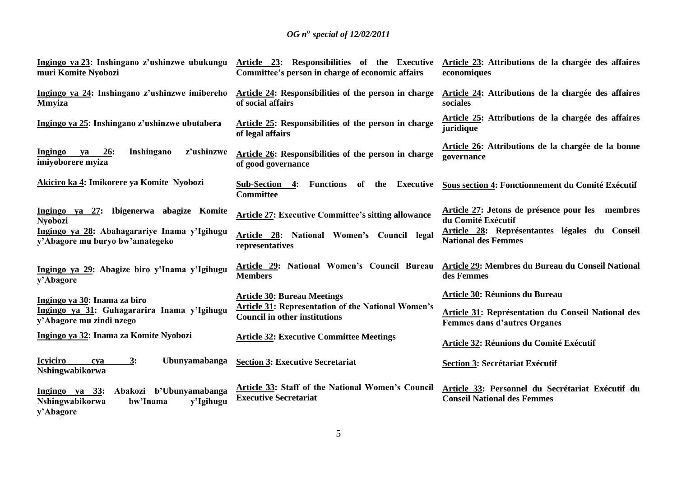| Ingingo ya 23: Inshingano z'ushinzwe ubukungu<br>muri Komite Nyobozi                                  | Article 23: Responsibilities of the Executive<br>Committee's person in charge of economic affairs | Article 23: Attributions de la chargée des affaires<br>economiques                        |
|-------------------------------------------------------------------------------------------------------|---------------------------------------------------------------------------------------------------|-------------------------------------------------------------------------------------------|
| Ingingo ya 24: Inshingano z'ushinzwe imibereho<br><b>Mmyiza</b>                                       | Article 24: Responsibilities of the person in charge<br>of social affairs                         | Article 24: Attributions de la chargée des affaires<br>sociales                           |
| Ingingo ya 25: Inshingano z'ushinzwe ubutabera                                                        | Article 25: Responsibilities of the person in charge<br>of legal affairs                          | Article 25: Attributions de la chargée des affaires<br>juridique                          |
| z'ushinzwe<br>Inshingano<br>Ingingo ya<br><u>26</u> :<br>imiyoborere myiza                            | Article 26: Responsibilities of the person in charge<br>of good governance                        | Article 26: Attributions de la chargée de la bonne<br>governance                          |
| Akiciro ka 4: Imikorere ya Komite Nyobozi                                                             | Sub-Section 4:<br>Executive<br><b>Functions</b><br>of the<br><b>Committee</b>                     | Sous section 4: Fonctionnement du Comité Exécutif                                         |
| Ingingo ya 27: Ibigenerwa abagize Komite<br><b>Nyobozi</b>                                            | <b>Article 27: Executive Committee's sitting allowance</b>                                        | Article 27: Jetons de présence pour les membres<br>du Comité Exécutif                     |
| Ingingo ya 28: Abahagarariye Inama y'Igihugu<br>y'Abagore mu buryo bw'amategeko                       | Article 28: National Women's Council legal<br>representatives                                     | Article 28: Représentantes légales du Conseil<br><b>National des Femmes</b>               |
| Ingingo ya 29: Abagize biro y'Inama y'Igihugu<br>y'Abagore                                            | Article 29: National Women's Council Bureau<br><b>Members</b>                                     | <b>Article 29: Membres du Bureau du Conseil National</b><br>des Femmes                    |
| Ingingo ya 30: Inama za biro                                                                          | <b>Article 30: Bureau Meetings</b>                                                                | Article 30: Réunions du Bureau                                                            |
| Ingingo ya 31: Guhagararira Inama y'Igihugu<br>y'Abagore mu zindi nzego                               | <b>Article 31: Representation of the National Women's</b><br><b>Council in other institutions</b> | Article 31: Représentation du Conseil National des<br><b>Femmes dans d'autres Organes</b> |
| Ingingo ya 32: Inama za Komite Nyobozi                                                                | <b>Article 32: Executive Committee Meetings</b>                                                   | Article 32: Réunions du Comité Exécutif                                                   |
| <b>Icyiciro</b><br>3:<br>Ubunyamabanga<br>cva<br>Nshingwabikorwa                                      | <b>Section 3: Executive Secretariat</b>                                                           | <b>Section 3: Secrétariat Exécutif</b>                                                    |
| Abakozi b'Ubunyamabanga<br>Ingingo ya $33$ :<br>Nshingwabikorwa<br>bw'Inama<br>y'Igihugu<br>y'Abagore | Article 33: Staff of the National Women's Council<br><b>Executive Secretariat</b>                 | Article 33: Personnel du Secrétariat Exécutif du<br><b>Conseil National des Femmes</b>    |

5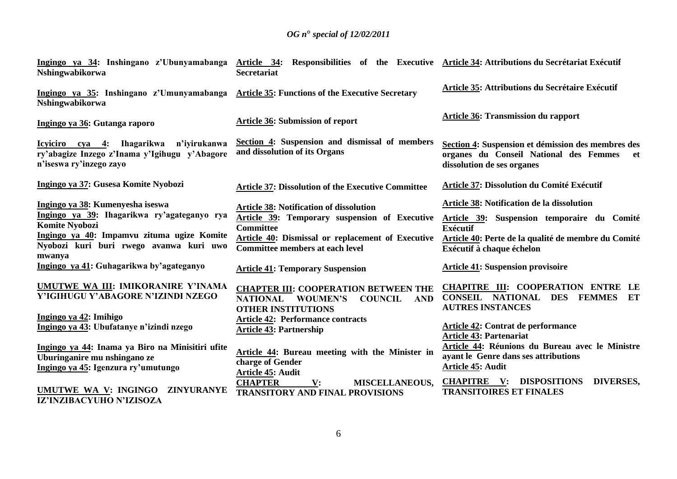| Nshingwabikorwa                                                                                                                                                                                      | Ingingo ya 34: Inshingano z'Ubunyamabanga Article 34: Responsibilities of the Executive Article 34: Attributions du Secrétariat Exécutif<br><b>Secretariat</b>                                                     |                                                                                                                                                                                                  |
|------------------------------------------------------------------------------------------------------------------------------------------------------------------------------------------------------|--------------------------------------------------------------------------------------------------------------------------------------------------------------------------------------------------------------------|--------------------------------------------------------------------------------------------------------------------------------------------------------------------------------------------------|
| Ingingo ya 35: Inshingano z'Umunyamabanga Article 35: Functions of the Executive Secretary<br>Nshingwabikorwa                                                                                        |                                                                                                                                                                                                                    | Article 35: Attributions du Secrétaire Exécutif                                                                                                                                                  |
| Ingingo ya 36: Gutanga raporo                                                                                                                                                                        | <b>Article 36: Submission of report</b>                                                                                                                                                                            | <b>Article 36: Transmission du rapport</b>                                                                                                                                                       |
| ry'abagize Inzego z'Inama y'Igihugu y'Abagore<br>n'iseswa ry'inzego zayo                                                                                                                             | Icyiciro cya 4: Ihagarikwa n'iyirukanwa Section 4: Suspension and dismissal of members<br>and dissolution of its Organs                                                                                            | Section 4: Suspension et démission des membres des<br>organes du Conseil National des Femmes et<br>dissolution de ses organes                                                                    |
| Ingingo ya 37: Gusesa Komite Nyobozi                                                                                                                                                                 | <b>Article 37: Dissolution of the Executive Committee</b>                                                                                                                                                          | Article 37: Dissolution du Comité Exécutif                                                                                                                                                       |
| Ingingo ya 38: Kumenyesha iseswa<br>Ingingo ya 39: Ihagarikwa ry'agateganyo rya<br>Komite Nyobozi<br>Ingingo ya 40: Impamvu zituma ugize Komite<br>Nyobozi kuri buri rwego avanwa kuri uwo<br>mwanya | <b>Article 38: Notification of dissolution</b><br>Article 39: Temporary suspension of Executive<br><b>Committee</b><br>Article 40: Dismissal or replacement of Executive<br><b>Committee members at each level</b> | Article 38: Notification de la dissolution<br>Article 39: Suspension temporaire du Comité<br><b>Exécutif</b><br>Article 40: Perte de la qualité de membre du Comité<br>Exécutif à chaque échelon |
| Ingingo ya 41: Guhagarikwa by'agateganyo                                                                                                                                                             | <b>Article 41: Temporary Suspension</b>                                                                                                                                                                            | <b>Article 41: Suspension provisoire</b>                                                                                                                                                         |
| UMUTWE WA III: IMIKORANIRE Y'INAMA<br>Y'IGIHUGU Y'ABAGORE N'IZINDI NZEGO                                                                                                                             | <b>CHAPTER III: COOPERATION BETWEEN THE</b><br>NATIONAL WOUMEN'S COUNCIL AND<br><b>OTHER INSTITUTIONS</b>                                                                                                          | CHAPITRE III: COOPERATION ENTRE LE<br>CONSEIL NATIONAL DES FEMMES ET<br><b>AUTRES INSTANCES</b>                                                                                                  |
| Ingingo ya 42: Imihigo<br>Ingingo ya 43: Ubufatanye n'izindi nzego                                                                                                                                   | <b>Article 42: Performance contracts</b><br><b>Article 43: Partnership</b>                                                                                                                                         | Article 42: Contrat de performance<br><b>Article 43: Partenariat</b>                                                                                                                             |
| Ingingo ya 44: Inama ya Biro na Minisitiri ufite<br>Uburinganire mu nshingano ze<br>Ingingo ya 45: Igenzura ry'umutungo                                                                              | Article 44: Bureau meeting with the Minister in<br>charge of Gender<br>Article 45: Audit                                                                                                                           | Article 44: Réunions du Bureau avec le Ministre<br>ayant le Genre dans ses attributions<br>Article 45: Audit                                                                                     |
| UMUTWE WA V: INGINGO ZINYURANYE<br>IZ'INZIBACYUHO N'IZISOZA                                                                                                                                          | <b>CHAPTER</b><br><b>MISCELLANEOUS,</b><br>$\mathbf{V}$ :<br><b>TRANSITORY AND FINAL PROVISIONS</b>                                                                                                                | <b>CHAPITRE V: DISPOSITIONS</b><br><b>DIVERSES,</b><br><b>TRANSITOIRES ET FINALES</b>                                                                                                            |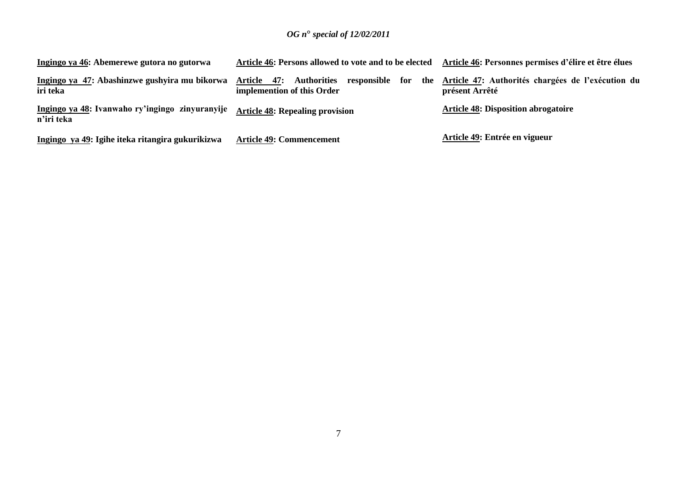| Ingingo ya 46: Abemerewe gutora no gutorwa                    | Article 46: Persons allowed to vote and to be elected                                           | Article 46: Personnes permises d'élire et être élues                |
|---------------------------------------------------------------|-------------------------------------------------------------------------------------------------|---------------------------------------------------------------------|
| Ingingo ya 47: Abashinzwe gushyira mu bikorwa<br>iri teka     | <b>Authorities</b><br>47:<br>Article<br>responsible<br>for<br>the<br>implemention of this Order | Article 47: Authorités chargées de l'exécution du<br>présent Arrêté |
| Ingingo ya 48: Ivanwaho ry'ingingo zinyuranyije<br>n'iri teka | <b>Article 48: Repealing provision</b>                                                          | <b>Article 48: Disposition abrogatoire</b>                          |
| Ingingo ya 49: Igihe iteka ritangira gukurikizwa              | <b>Article 49: Commencement</b>                                                                 | Article 49: Entrée en vigueur                                       |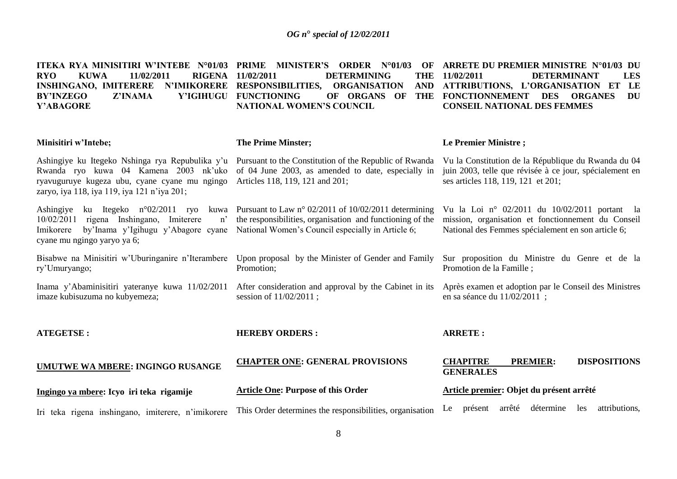| ITEKA RYA MINISITIRI W'INTEBE N°01/03 PRIME MINISTER'S<br><b>RYO</b><br><b>KUWA</b><br>11/02/2011<br><b>RIGENA</b><br><b>INSHINGANO, IMITERERE</b><br>Z'INAMA<br><b>BY'INZEGO</b><br>Y'ABAGORE | <b>ORDER N°01/03</b><br>OF<br>11/02/2011<br><b>DETERMINING</b><br><b>THE</b><br>N'IMIKORERE RESPONSIBILITIES,<br><b>ORGANISATION</b><br><b>AND</b><br>Y'IGIHUGU FUNCTIONING<br>OF ORGANS OF<br><b>THE</b><br><b>NATIONAL WOMEN'S COUNCIL</b> | ARRETE DU PREMIER MINISTRE N°01/03 DU<br><b>LES</b><br>11/02/2011<br><b>DETERMINANT</b><br>ATTRIBUTIONS, L'ORGANISATION ET<br>LE<br>FONCTIONNEMENT DES<br><b>DU</b><br><b>ORGANES</b><br><b>CONSEIL NATIONAL DES FEMMES</b> |
|------------------------------------------------------------------------------------------------------------------------------------------------------------------------------------------------|----------------------------------------------------------------------------------------------------------------------------------------------------------------------------------------------------------------------------------------------|-----------------------------------------------------------------------------------------------------------------------------------------------------------------------------------------------------------------------------|
| Minisitiri w'Intebe;                                                                                                                                                                           | <b>The Prime Minster;</b>                                                                                                                                                                                                                    | Le Premier Ministre;                                                                                                                                                                                                        |
| Ashingiye ku Itegeko Nshinga rya Repubulika y'u<br>Rwanda ryo kuwa 04 Kamena 2003 nk'uko<br>ryavuguruye kugeza ubu, cyane cyane mu ngingo<br>zaryo, iya 118, iya 119, iya 121 n'iya 201;       | Pursuant to the Constitution of the Republic of Rwanda<br>of 04 June 2003, as amended to date, especially in<br>Articles 118, 119, 121 and 201;                                                                                              | Vu la Constitution de la République du Rwanda du 04<br>juin 2003, telle que révisée à ce jour, spécialement en<br>ses articles 118, 119, 121 et 201;                                                                        |
| ku Itegeko $n^{\circ}02/2011$ ryo<br>Ashingiye<br>kuwa<br>rigena Inshingano, Imiterere<br>10/02/2011<br>n<br>by'Inama y'Igihugu y'Abagore cyane<br>Imikorere<br>cyane mu ngingo yaryo ya 6;    | Pursuant to Law n° 02/2011 of 10/02/2011 determining<br>the responsibilities, organisation and functioning of the<br>National Women's Council especially in Article 6;                                                                       | Vu la Loi nº 02/2011 du 10/02/2011 portant la<br>mission, organisation et fonctionnement du Conseil<br>National des Femmes spécialement en son article 6;                                                                   |
| Bisabwe na Minisitiri w'Uburinganire n'Iterambere<br>ry'Umuryango;                                                                                                                             | Upon proposal by the Minister of Gender and Family<br>Promotion;                                                                                                                                                                             | Sur proposition du Ministre du Genre et de la<br>Promotion de la Famille;                                                                                                                                                   |
| Inama y'Abaminisitiri yateranye kuwa 11/02/2011<br>imaze kubisuzuma no kubyemeza;                                                                                                              | After consideration and approval by the Cabinet in its<br>session of 11/02/2011;                                                                                                                                                             | Après examen et adoption par le Conseil des Ministres<br>en sa séance du 11/02/2011 ;                                                                                                                                       |
| <b>ATEGETSE:</b>                                                                                                                                                                               | <b>HEREBY ORDERS:</b>                                                                                                                                                                                                                        | <b>ARRETE:</b>                                                                                                                                                                                                              |
| UMUTWE WA MBERE: INGINGO RUSANGE                                                                                                                                                               | <b>CHAPTER ONE: GENERAL PROVISIONS</b>                                                                                                                                                                                                       | <b>CHAPITRE</b><br><b>PREMIER:</b><br><b>DISPOSITIONS</b><br><b>GENERALES</b>                                                                                                                                               |
| Ingingo ya mbere: Icyo iri teka rigamije                                                                                                                                                       | <b>Article One: Purpose of this Order</b>                                                                                                                                                                                                    | Article premier: Objet du présent arrêté                                                                                                                                                                                    |
| Iri teka rigena inshingano, imiterere, n'imikorere                                                                                                                                             | This Order determines the responsibilities, organisation                                                                                                                                                                                     | arrêté détermine<br>attributions,<br>présent<br>les<br>Le                                                                                                                                                                   |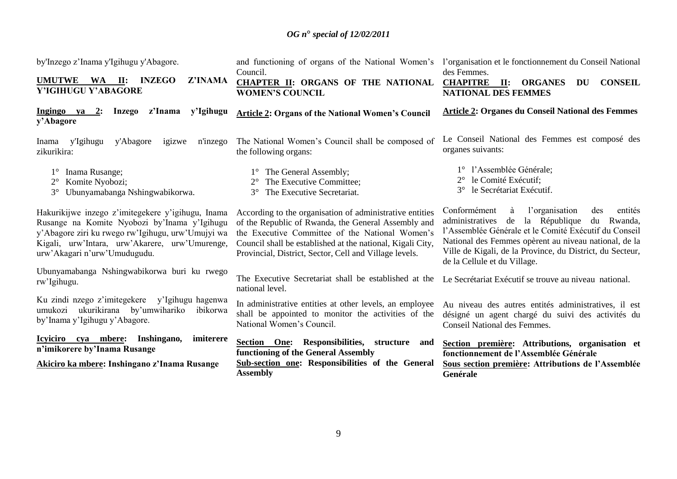| by'Inzego z'Inama y'Igihugu y'Abagore.                                                                                                                                                                                                   | and functioning of organs of the National Women's l'organisation et le fonctionnement du Conseil National<br>Council.                                                                                                                                                                      | des Femmes.                                                                                                                                                                                                                                                                                                                  |
|------------------------------------------------------------------------------------------------------------------------------------------------------------------------------------------------------------------------------------------|--------------------------------------------------------------------------------------------------------------------------------------------------------------------------------------------------------------------------------------------------------------------------------------------|------------------------------------------------------------------------------------------------------------------------------------------------------------------------------------------------------------------------------------------------------------------------------------------------------------------------------|
| UMUTWE WA II: INZEGO<br>Z'INAMA<br>Y'IGIHUGU Y'ABAGORE                                                                                                                                                                                   | CHAPTER II: ORGANS OF THE NATIONAL<br><b>WOMEN'S COUNCIL</b>                                                                                                                                                                                                                               | <b>CHAPITRE</b><br><b>II: ORGANES</b><br><b>CONSEIL</b><br>DU<br><b>NATIONAL DES FEMMES</b>                                                                                                                                                                                                                                  |
| z'Inama<br>Ingingo ya $2$ :<br>Inzego<br>y'Igihugu<br>y'Abagore                                                                                                                                                                          | <b>Article 2: Organs of the National Women's Council</b>                                                                                                                                                                                                                                   | <b>Article 2: Organes du Conseil National des Femmes</b>                                                                                                                                                                                                                                                                     |
| y'Igihugu<br>y'Abagore<br>igizwe<br>n'inzego<br>Inama<br>zikurikira:                                                                                                                                                                     | The National Women's Council shall be composed of<br>the following organs:                                                                                                                                                                                                                 | Le Conseil National des Femmes est composé des<br>organes suivants:                                                                                                                                                                                                                                                          |
| Inama Rusange;<br>Komite Nyobozi;<br>$2^{\circ}$<br>Ubunyamabanga Nshingwabikorwa.<br>$3^{\circ}$                                                                                                                                        | 1° The General Assembly;<br>The Executive Committee;<br>The Executive Secretariat.<br>$3^\circ$                                                                                                                                                                                            | 1° l'Assemblée Générale;<br>le Comité Exécutif;<br>$2^{\circ}$<br>le Secrétariat Exécutif.                                                                                                                                                                                                                                   |
| Hakurikijwe inzego z'imitegekere y'igihugu, Inama<br>Rusange na Komite Nyobozi by'Inama y'Igihugu<br>y'Abagore ziri ku rwego rw'Igihugu, urw'Umujyi wa<br>Kigali, urw'Intara, urw'Akarere, urw'Umurenge,<br>urw'Akagari n'urw'Umudugudu. | According to the organisation of administrative entities<br>of the Republic of Rwanda, the General Assembly and<br>the Executive Committee of the National Women's<br>Council shall be established at the national, Kigali City,<br>Provincial, District, Sector, Cell and Village levels. | Conformément<br>l'organisation<br>à<br>des<br>entités<br>la République<br>administratives<br>du Rwanda,<br>de<br>l'Assemblée Générale et le Comité Exécutif du Conseil<br>National des Femmes opèrent au niveau national, de la<br>Ville de Kigali, de la Province, du District, du Secteur,<br>de la Cellule et du Village. |
| Ubunyamabanga Nshingwabikorwa buri ku rwego<br>rw'Igihugu.                                                                                                                                                                               | The Executive Secretariat shall be established at the<br>national level.                                                                                                                                                                                                                   | Le Secrétariat Exécutif se trouve au niveau national.                                                                                                                                                                                                                                                                        |
| Ku zindi nzego z'imitegekere y'Igihugu hagenwa<br>umukozi ukurikirana by'umwihariko<br>ibikorwa<br>by'Inama y'Igihugu y'Abagore.                                                                                                         | In administrative entities at other levels, an employee<br>shall be appointed to monitor the activities of the<br>National Women's Council.                                                                                                                                                | Au niveau des autres entités administratives, il est<br>désigné un agent chargé du suivi des activités du<br>Conseil National des Femmes.                                                                                                                                                                                    |
| Icyiciro cya mbere: Inshingano,<br>imiterere<br>n'imikorere by'Inama Rusange<br>Akiciro ka mbere: Inshingano z'Inama Rusange                                                                                                             | <b>Section One:</b> Responsibilities, structure<br>and<br>functioning of the General Assembly<br>Sub-section one: Responsibilities of the General<br><b>Assembly</b>                                                                                                                       | Section première: Attributions, organisation et<br>fonctionnement de l'Assemblée Générale<br>Sous section première: Attributions de l'Assemblée<br>Genérale                                                                                                                                                                  |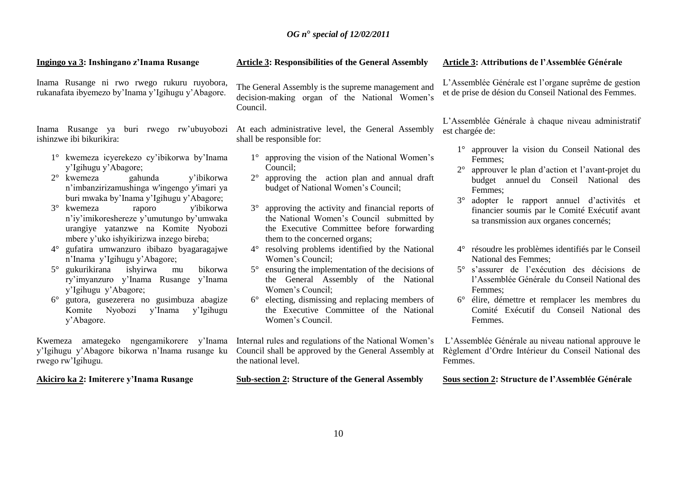**Ingingo ya 3: Inshingano z'Inama Rusange**

Inama Rusange ni rwo rwego rukuru ruyobora, rukanafata ibyemezo by"Inama y"Igihugu y"Abagore.

Inama Rusange ya buri rwego rw"ubuyobozi ishinzwe ibi bikurikira:

- 1° kwemeza icyerekezo cy"ibikorwa by"Inama y"Igihugu y"Abagore;
- 2° kwemeza gahunda y"ibikorwa n"imbanzirizamushinga w'ingengo y'imari ya buri mwaka by"Inama y"Igihugu y"Abagore;
- 3° kwemeza raporo y'ibikorwa n"iy"imikoreshereze y"umutungo by"umwaka urangiye yatanzwe na Komite Nyobozi mbere y"uko ishyikirizwa inzego bireba;
- 4° gufatira umwanzuro ibibazo byagaragajwe n"Inama y"Igihugu y"Abagore;
- 5° gukurikirana ishyirwa mu bikorwa ry"imyanzuro y"Inama Rusange y"Inama y"Igihugu y"Abagore;
- 6° gutora, gusezerera no gusimbuza abagize Komite Nyobozi y"Inama y"Igihugu y"Abagore.

Kwemeza amategeko ngengamikorere y"Inama y"Igihugu y"Abagore bikorwa n"Inama rusange ku rwego rw"Igihugu.

**Akiciro ka 2: Imiterere y'Inama Rusange**

The General Assembly is the supreme management and decision-making organ of the National Women's Council.

**Article 3: Responsibilities of the General Assembly**

At each administrative level, the General Assembly shall be responsible for:

- 1° approving the vision of the National Women"s Council;
- 2° approving the action plan and annual draft budget of National Women"s Council;
- 3° approving the activity and financial reports of the National Women"s Council submitted by the Executive Committee before forwarding them to the concerned organs;
- 4° resolving problems identified by the National Women"s Council;
- 5° ensuring the implementation of the decisions of the General Assembly of the National Women"s Council;
- 6° electing, dismissing and replacing members of the Executive Committee of the National Women"s Council.

Internal rules and regulations of the National Women"s Council shall be approved by the General Assembly at the national level.

**Sub-section 2: Structure of the General Assembly**

#### **Article 3: Attributions de l'Assemblée Générale**

L"Assemblée Générale est l"organe suprême de gestion et de prise de désion du Conseil National des Femmes.

L"Assemblée Générale à chaque niveau administratif est chargée de:

- 1° approuver la vision du Conseil National des Femmes;
- 2° approuver le plan d"action et l"avant-projet du budget annuel du Conseil National des Femmes;
- 3° adopter le rapport annuel d"activités et financier soumis par le Comité Exécutif avant sa transmission aux organes concernés;
- 4° résoudre les problèmes identifiés par le Conseil National des Femmes;
- 5° s"assurer de l"exécution des décisions de l"Assemblée Générale du Conseil National des Femmes;
- 6° élire, démettre et remplacer les membres du Comité Exécutif du Conseil National des Femmes.

L"Assemblée Générale au niveau national approuve le Règlement d"Ordre Intérieur du Conseil National des Femmes.

#### **Sous section 2: Structure de l'Assemblée Générale**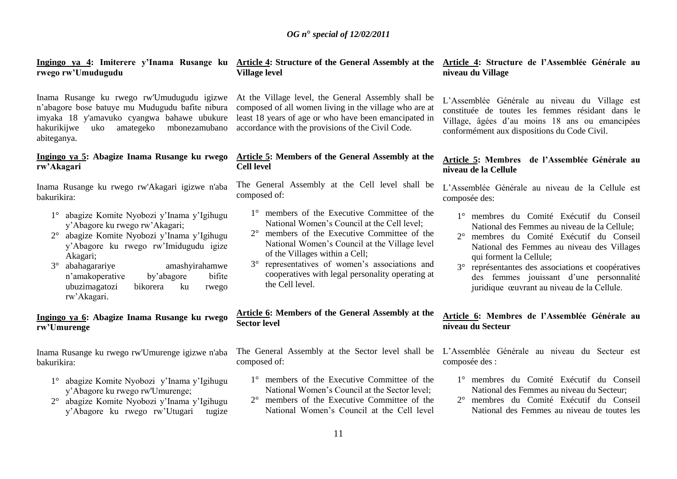**Ingingo ya 4: Imiterere y'Inama Rusange ku Article 4: Structure of the General Assembly at the rwego rw'Umudugudu**

Inama Rusange ku rwego rw'Umudugudu igizwe n"abagore bose batuye mu Mudugudu bafite nibura imyaka 18 y'amavuko cyangwa bahawe ubukure hakurikijwe uko amategeko mbonezamubano abiteganya.

# **Ingingo ya 5: Abagize Inama Rusange ku rwego rw'Akagari**

Inama Rusange ku rwego rw'Akagari igizwe n'aba bakurikira:

- 1° abagize Komite Nyobozi y"Inama y"Igihugu y"Abagore ku rwego rw"Akagari;
- 2° abagize Komite Nyobozi y"Inama y"Igihugu y"Abagore ku rwego rw"Imidugudu igize Akagari;
- 3° abahagarariye amashyirahamwe n"amakoperative by"abagore bifite ubuzimagatozi bikorera ku rwego rw"Akagari.

# **Ingingo ya 6: Abagize Inama Rusange ku rwego rw'Umurenge**

Inama Rusange ku rwego rw'Umurenge igizwe n'aba bakurikira:

- 1° abagize Komite Nyobozi y"Inama y"Igihugu y"Abagore ku rwego rw'Umurenge;
- 2° abagize Komite Nyobozi y"Inama y"Igihugu y"Abagore ku rwego rw"Utugari tugize

# **Village level**

At the Village level, the General Assembly shall be composed of all women living in the village who are at least 18 years of age or who have been emancipated in accordance with the provisions of the Civil Code.

# **Article 5: Members of the General Assembly at the Cell level**

The General Assembly at the Cell level shall be composed of:

- 1° members of the Executive Committee of the National Women's Council at the Cell level:
- 2° members of the Executive Committee of the National Women"s Council at the Village level of the Villages within a Cell;
- 3° representatives of women"s associations and cooperatives with legal personality operating at the Cell level.

# **Article 6: Members of the General Assembly at the Sector level**

composed of:

- 1° members of the Executive Committee of the National Women's Council at the Sector level:
- 2° members of the Executive Committee of the National Women"s Council at the Cell level

#### **Article 4: Structure de l'Assemblée Générale au niveau du Village**

L"Assemblée Générale au niveau du Village est constituée de toutes les femmes résidant dans le Village, âgées d"au moins 18 ans ou emancipées conformément aux dispositions du Code Civil.

# **Article 5: Membres de l'Assemblée Générale au niveau de la Cellule**

L"Assemblée Générale au niveau de la Cellule est composée des:

- 1° membres du Comité Exécutif du Conseil National des Femmes au niveau de la Cellule;
- 2° membres du Comité Exécutif du Conseil National des Femmes au niveau des Villages qui forment la Cellule;
- 3° représentantes des associations et coopératives des femmes jouissant d"une personnalité juridique œuvrant au niveau de la Cellule.

# **Article 6: Membres de l'Assemblée Générale au niveau du Secteur**

The General Assembly at the Sector level shall be L"Assemblée Générale au niveau du Secteur est composée des :

- 1° membres du Comité Exécutif du Conseil National des Femmes au niveau du Secteur;
- 2° membres du Comité Exécutif du Conseil National des Femmes au niveau de toutes les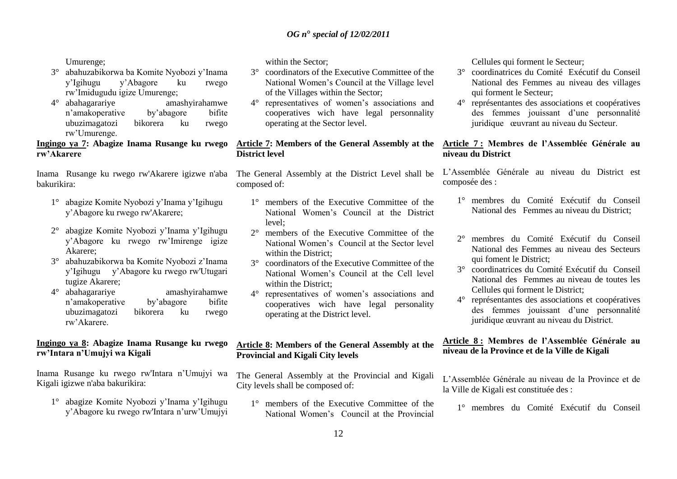Umurenge;

- 3° abahuzabikorwa ba Komite Nyobozi y"Inama y"Igihugu y"Abagore ku rwego rw"Imidugudu igize Umurenge;
- $4^\circ$  abahagarariye n"amakoperative by"abagore bifite ubuzimagatozi bikorera ku rwego rw"Umurenge.

**Ingingo ya 7: Abagize Inama Rusange ku rwego rw'Akarere**

Inama Rusange ku rwego rw'Akarere igizwe n'aba bakurikira:

- 1° abagize Komite Nyobozi y"Inama y"Igihugu y"Abagore ku rwego rw'Akarere;
- 2° abagize Komite Nyobozi y"Inama y"Igihugu y"Abagore ku rwego rw"Imirenge igize Akarere;
- 3° abahuzabikorwa ba Komite Nyobozi z"Inama y"Igihugu y"Abagore ku rwego rw'Utugari tugize Akarere;
- 4° abahagarariye amashyirahamwe n"amakoperative by"abagore bifite ubuzimagatozi bikorera ku rwego rw"Akarere.

# **Ingingo ya 8: Abagize Inama Rusange ku rwego rw'Intara n'Umujyi wa Kigali**

Inama Rusange ku rwego rw'Intara n"Umujyi wa Kigali igizwe n'aba bakurikira:

1° abagize Komite Nyobozi y"Inama y"Igihugu y"Abagore ku rwego rw'Intara n"urw"Umujyi within the Sector;

- 3° coordinators of the Executive Committee of the National Women"s Council at the Village level of the Villages within the Sector;
- 4° representatives of women"s associations and cooperatives wich have legal personnality operating at the Sector level.

# **Article 7: Members of the General Assembly at the District level**

The General Assembly at the District Level shall be composed of:

- 1° members of the Executive Committee of the National Women"s Council at the District  $level:$
- 2° members of the Executive Committee of the National Women"s Council at the Sector level within the District:
- 3° coordinators of the Executive Committee of the National Women"s Council at the Cell level within the District;
- 4° representatives of women"s associations and cooperatives wich have legal personality operating at the District level.

# **Article 8: Members of the General Assembly at the Provincial and Kigali City levels**

The General Assembly at the Provincial and Kigali City levels shall be composed of:

1° members of the Executive Committee of the National Women"s Council at the Provincial

Cellules qui forment le Secteur;

- 3° coordinatrices du Comité Exécutif du Conseil National des Femmes au niveau des villages qui forment le Secteur;
- 4° représentantes des associations et coopératives des femmes jouissant d"une personnalité juridique œuvrant au niveau du Secteur.

# **Article 7 : Membres de l'Assemblée Générale au niveau du District**

L"Assemblée Générale au niveau du District est composée des :

- 1° membres du Comité Exécutif du Conseil National des Femmes au niveau du District;
- 2° membres du Comité Exécutif du Conseil National des Femmes au niveau des Secteurs qui foment le District;
- 3° coordinatrices du Comité Exécutif du Conseil National des Femmes au niveau de toutes les Cellules qui forment le District;
- 4° représentantes des associations et coopératives des femmes jouissant d"une personnalité juridique œuvrant au niveau du District.

# **Article 8 : Membres de l'Assemblée Générale au niveau de la Province et de la Ville de Kigali**

L"Assemblée Générale au niveau de la Province et de la Ville de Kigali est constituée des :

1° membres du Comité Exécutif du Conseil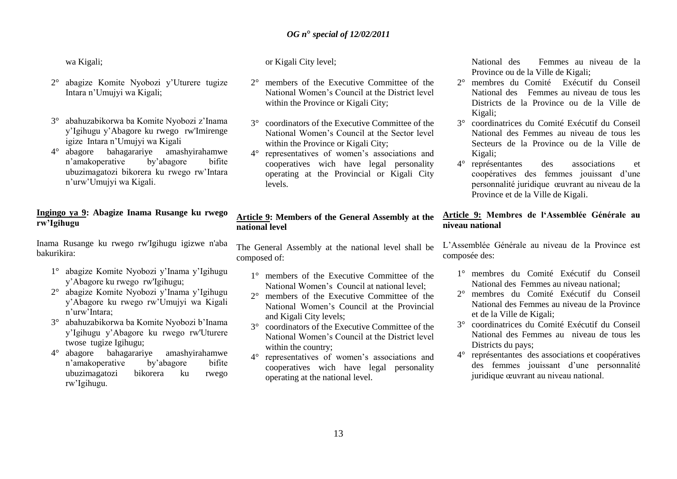wa Kigali;

- 2° abagize Komite Nyobozi y"Uturere tugize Intara n"Umujyi wa Kigali;
- 3° abahuzabikorwa ba Komite Nyobozi z"Inama y"Igihugu y"Abagore ku rwego rw'Imirenge igize Intara n"Umujyi wa Kigali
- 4° abagore bahagarariye amashyirahamwe n"amakoperative by"abagore bifite ubuzimagatozi bikorera ku rwego rw"Intara n"urw"Umujyi wa Kigali.

# **Ingingo ya 9: Abagize Inama Rusange ku rwego rw'Igihugu**

Inama Rusange ku rwego rw'Igihugu igizwe n'aba bakurikira:

- 1° abagize Komite Nyobozi y"Inama y"Igihugu y"Abagore ku rwego rw'Igihugu;
- 2° abagize Komite Nyobozi y"Inama y"Igihugu y"Abagore ku rwego rw"Umujyi wa Kigali n"urw"Intara;
- 3° abahuzabikorwa ba Komite Nyobozi b"Inama y"Igihugu y"Abagore ku rwego rw'Uturere twose tugize Igihugu;
- 4° abagore bahagarariye amashyirahamwe n"amakoperative by"abagore bifite ubuzimagatozi bikorera ku rwego rw"Igihugu.

or Kigali City level;

- 2° members of the Executive Committee of the National Women"s Council at the District level within the Province or Kigali City;
- 3° coordinators of the Executive Committee of the National Women"s Council at the Sector level within the Province or Kigali City;
- 4° representatives of women"s associations and cooperatives wich have legal personality operating at the Provincial or Kigali City levels.

# **Article 9: Members of the General Assembly at the national level**

The General Assembly at the national level shall be composed of:

- 1° members of the Executive Committee of the National Women's Council at national level:
- 2° members of the Executive Committee of the National Women"s Council at the Provincial and Kigali City levels;
- 3° coordinators of the Executive Committee of the National Women"s Council at the District level within the country;
- 4° representatives of women"s associations and cooperatives wich have legal personality operating at the national level.

National des Femmes au niveau de la Province ou de la Ville de Kigali;

- 2° membres du Comité Exécutif du Conseil National des Femmes au niveau de tous les Districts de la Province ou de la Ville de Kigali;
- 3° coordinatrices du Comité Exécutif du Conseil National des Femmes au niveau de tous les Secteurs de la Province ou de la Ville de Kigali;
- 4° représentantes des associations et coopératives des femmes jouissant d"une personnalité juridique œuvrant au niveau de la Province et de la Ville de Kigali.

# **Article 9: Membres de l'Assemblée Générale au niveau national**

L"Assemblée Générale au niveau de la Province est composée des:

- 1° membres du Comité Exécutif du Conseil National des Femmes au niveau national;
- 2° membres du Comité Exécutif du Conseil National des Femmes au niveau de la Province et de la Ville de Kigali;
- 3° coordinatrices du Comité Exécutif du Conseil National des Femmes au niveau de tous les Districts du pays;
- 4° représentantes des associations et coopératives des femmes jouissant d"une personnalité juridique œuvrant au niveau national.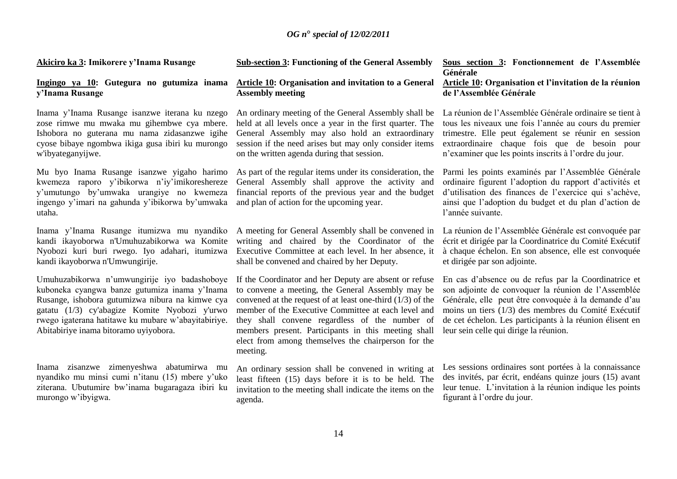**Akiciro ka 3: Imikorere y'Inama Rusange**

#### **Ingingo ya 10: Gutegura no gutumiza inama y'Inama Rusange**

Inama y"Inama Rusange isanzwe iterana ku nzego zose rimwe mu mwaka mu gihembwe cya mbere. Ishobora no guterana mu nama zidasanzwe igihe cyose bibaye ngombwa ikiga gusa ibiri ku murongo w'ibyateganyijwe.

Mu byo Inama Rusange isanzwe yigaho harimo kwemeza raporo y"ibikorwa n"iy"imikoreshereze y"umutungo by"umwaka urangiye no kwemeza ingengo y"imari na gahunda y"ibikorwa by"umwaka utaha.

Inama y"Inama Rusange itumizwa mu nyandiko kandi ikayoborwa n'Umuhuzabikorwa wa Komite Nyobozi kuri buri rwego. Iyo adahari, itumizwa kandi ikayoborwa n'Umwungirije.

Umuhuzabikorwa n"umwungirije iyo badashoboye kuboneka cyangwa banze gutumiza inama y"Inama Rusange, ishobora gutumizwa nibura na kimwe cya gatatu (1/3) cy'abagize Komite Nyobozi y'urwo rwego igaterana hatitawe ku mubare w"abayitabiriye. Abitabiriye inama bitoramo uyiyobora.

Inama zisanzwe zimenyeshwa abatumirwa mu nyandiko mu minsi cumi n"itanu (15) mbere y"uko ziterana. Ubutumire bw"inama bugaragaza ibiri ku murongo w"ibyigwa.

#### **Sub-section 3: Functioning of the General Assembly**

### **Article 10: Organisation and invitation to a General Assembly meeting**

An ordinary meeting of the General Assembly shall be held at all levels once a year in the first quarter. The General Assembly may also hold an extraordinary session if the need arises but may only consider items on the written agenda during that session.

As part of the regular items under its consideration, the General Assembly shall approve the activity and financial reports of the previous year and the budget and plan of action for the upcoming year.

A meeting for General Assembly shall be convened in writing and chaired by the Coordinator of the Executive Committee at each level. In her absence, it shall be convened and chaired by her Deputy.

If the Coordinator and her Deputy are absent or refuse to convene a meeting, the General Assembly may be convened at the request of at least one-third (1/3) of the member of the Executive Committee at each level and they shall convene regardless of the number of members present. Participants in this meeting shall elect from among themselves the chairperson for the meeting.

An ordinary session shall be convened in writing at least fifteen (15) days before it is to be held. The invitation to the meeting shall indicate the items on the agenda.

#### **Sous section 3: Fonctionnement de l'Assemblée Générale**

#### **Article 10: Organisation et l'invitation de la réunion de l'Assemblée Générale**

La réunion de l"Assemblée Générale ordinaire se tient à tous les niveaux une fois l"année au cours du premier trimestre. Elle peut également se réunir en session extraordinaire chaque fois que de besoin pour n"examiner que les points inscrits à l"ordre du jour.

Parmi les points examinés par l"Assemblée Générale ordinaire figurent l"adoption du rapport d"activités et d'utilisation des finances de l'exercice qui s'achève, ainsi que l"adoption du budget et du plan d"action de l"année suivante.

La réunion de l"Assemblée Générale est convoquée par écrit et dirigée par la Coordinatrice du Comité Exécutif à chaque échelon. En son absence, elle est convoquée et dirigée par son adjointe.

En cas d"absence ou de refus par la Coordinatrice et son adjointe de convoquer la réunion de l"Assemblée Générale, elle peut être convoquée à la demande d"au moins un tiers (1/3) des membres du Comité Exécutif de cet échelon. Les participants à la réunion élisent en leur sein celle qui dirige la réunion.

Les sessions ordinaires sont portées à la connaissance des invités, par écrit, endéans quinze jours (15) avant leur tenue. L"invitation à la réunion indique les points figurant à l"ordre du jour.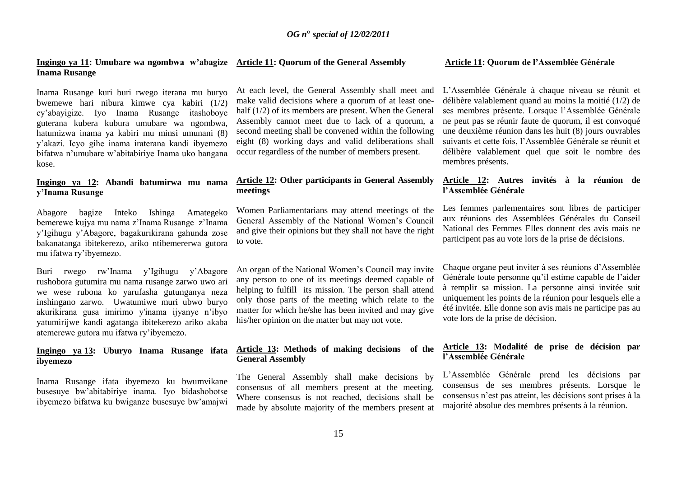#### **Ingingo ya 11: Umubare wa ngombwa w'abagize Article 11: Quorum of the General Assembly Inama Rusange**

Inama Rusange kuri buri rwego iterana mu buryo bwemewe hari nibura kimwe cya kabiri (1/2) cy"abayigize. Iyo Inama Rusange itashoboye guterana kubera kubura umubare wa ngombwa, hatumizwa inama ya kabiri mu minsi umunani (8) y"akazi. Icyo gihe inama iraterana kandi ibyemezo bifatwa n"umubare w"abitabiriye Inama uko bangana kose.

#### **Ingingo ya 12: Abandi batumirwa mu nama y'Inama Rusange**

Abagore bagize Inteko Ishinga Amategeko bemerewe kujya mu nama z"Inama Rusange z"Inama y"Igihugu y"Abagore, bagakurikirana gahunda zose bakanatanga ibitekerezo, ariko ntibemererwa gutora mu ifatwa ry"ibyemezo.

Buri rwego rw"Inama y"Igihugu y"Abagore rushobora gutumira mu nama rusange zarwo uwo ari we wese rubona ko yarufasha gutunganya neza inshingano zarwo. Uwatumiwe muri ubwo buryo akurikirana gusa imirimo y'inama ijyanye n"ibyo yatumirijwe kandi agatanga ibitekerezo ariko akaba atemerewe gutora mu ifatwa ry"ibyemezo.

# **Ingingo ya 13: Uburyo Inama Rusange ifata ibyemezo**

Inama Rusange ifata ibyemezo ku bwumvikane busesuye bw"abitabiriye inama. Iyo bidashobotse ibyemezo bifatwa ku bwiganze busesuye bw"amajwi

At each level, the General Assembly shall meet and make valid decisions where a quorum of at least onehalf (1/2) of its members are present. When the General Assembly cannot meet due to lack of a quorum, a second meeting shall be convened within the following eight (8) working days and valid deliberations shall occur regardless of the number of members present.

#### **Article 12: Other participants in General Assembly meetings**

Women Parliamentarians may attend meetings of the General Assembly of the National Women"s Council and give their opinions but they shall not have the right to vote.

An organ of the National Women"s Council may invite any person to one of its meetings deemed capable of helping to fulfill its mission. The person shall attend only those parts of the meeting which relate to the matter for which he/she has been invited and may give his/her opinion on the matter but may not vote.

# **Article 13: Methods of making decisions of the General Assembly**

The General Assembly shall make decisions by consensus of all members present at the meeting. Where consensus is not reached, decisions shall be made by absolute majority of the members present at

#### **Article 11: Quorum de l'Assemblée Générale**

L"Assemblée Générale à chaque niveau se réunit et délibère valablement quand au moins la moitié (1/2) de ses membres présente. Lorsque l"Assemblée Générale ne peut pas se réunir faute de quorum, il est convoqué une deuxième réunion dans les huit (8) jours ouvrables suivants et cette fois, l"Assemblée Générale se réunit et délibère valablement quel que soit le nombre des membres présents.

#### **Article 12: Autres invités à la réunion de l'Assemblée Générale**

Les femmes parlementaires sont libres de participer aux réunions des Assemblées Générales du Conseil National des Femmes Elles donnent des avis mais ne participent pas au vote lors de la prise de décisions.

Chaque organe peut inviter à ses réunions d"Assemblée Générale toute personne qu"il estime capable de l"aider à remplir sa mission. La personne ainsi invitée suit uniquement les points de la réunion pour lesquels elle a été invitée. Elle donne son avis mais ne participe pas au vote lors de la prise de décision.

# **Article 13: Modalité de prise de décision par l'Assemblée Générale**

L"Assemblée Générale prend les décisions par consensus de ses membres présents. Lorsque le consensus n"est pas atteint, les décisions sont prises à la majorité absolue des membres présents à la réunion.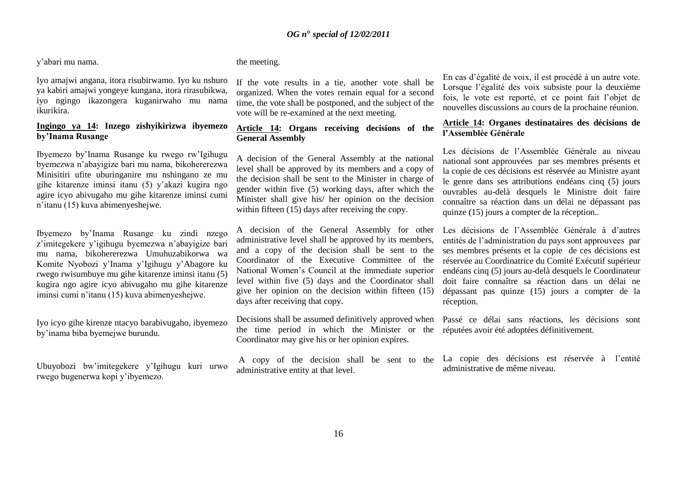y"abari mu nama.

Iyo amajwi angana, itora risubirwamo. Iyo ku nshuro ya kabiri amajwi yongeye kungana, itora rirasubikwa, iyo ngingo ikazongera kuganirwaho mu nama ikurikira.

# **Ingingo ya 14: Inzego zishyikirizwa ibyemezo by'Inama Rusange**

Ibyemezo by"Inama Rusange ku rwego rw"Igihugu byemezwa n"abayigize bari mu nama, bikohererezwa Minisitiri ufite uburinganire mu nshingano ze mu gihe kitarenze iminsi itanu (5) y"akazi kugira ngo agire icyo abivugaho mu gihe kitarenze iminsi cumi n"itanu (15) kuva abimenyeshejwe.

Ibyemezo by"Inama Rusange ku zindi nzego z"imitegekere y"igihugu byemezwa n"abayigize bari mu nama, bikohererezwa Umuhuzabikorwa wa Komite Nyobozi y"Inama y"Igihugu y"Abagore ku rwego rwisumbuye mu gihe kitarenze iminsi itanu (5) kugira ngo agire icyo abivugaho mu gihe kitarenze iminsi cumi n"itanu (15) kuva abimenyeshejwe.

Iyo icyo gihe kirenze ntacyo barabivugaho, ibyemezo by"inama biba byemejwe burundu.

Ubuyobozi bw"imitegekere y"Igihugu kuri urwo rwego bugenerwa kopi y"ibyemezo.

# the meeting.

If the vote results in a tie, another vote shall be organized. When the votes remain equal for a second time, the vote shall be postponed, and the subject of the vote will be re-examined at the next meeting.

# **Article 14: Organs receiving decisions of the General Assembly**

A decision of the General Assembly at the national level shall be approved by its members and a copy of the decision shall be sent to the Minister in charge of gender within five (5) working days, after which the Minister shall give his/ her opinion on the decision within fifteen (15) days after receiving the copy.

A decision of the General Assembly for other administrative level shall be approved by its members, and a copy of the decision shall be sent to the Coordinator of the Executive Committee of the National Women"s Council at the immediate superior level within five (5) days and the Coordinator shall give her opinion on the decision within fifteen (15) days after receiving that copy.

Decisions shall be assumed definitively approved when the time period in which the Minister or the Coordinator may give his or her opinion expires.

A copy of the decision shall be sent to the administrative entity at that level.

En cas d"égalité de voix, il est procédé à un autre vote. Lorsque l"égalité des voix subsiste pour la deuxième fois, le vote est reporté, et ce point fait l"objet de nouvelles discussions au cours de la prochaine réunion.

# **Article 14: Organes destinataires des décisions de l'Assemblée Générale**

Les décisions de l"Assemblée Générale au niveau national sont approuvées par ses membres présents et la copie de ces décisions est réservée au Ministre ayant le genre dans ses attributions endéans cinq (5) jours ouvrables au-delà desquels le Ministre doit faire connaître sa réaction dans un délai ne dépassant pas quinze (15) jours a compter de la réception..

Les décisions de l'Assemblée Générale à d'autres entités de l"administration du pays sont approuvees par ses membres présents et la copie de ces décisions est réservée au Coordinatrice du Comité Exécutif supérieur endéans cinq (5) jours au-delà desquels le Coordinateur doit faire connaître sa réaction dans un délai ne dépassant pas quinze (15) jours a compter de la réception.

Passé ce délai sans réactions, les décisions sont réputées avoir été adoptées définitivement.

La copie des décisions est réservée à l'entité administrative de même niveau.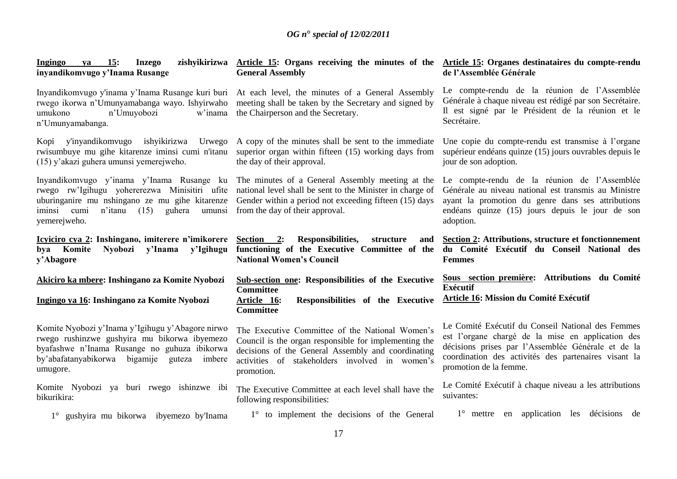| zishyikirizwa<br>Ingingo<br>15:<br><b>Inzego</b><br>va<br>inyandikomvugo y'Inama Rusange                                                                                                                              | Article 15: Organs receiving the minutes of the<br><b>General Assembly</b>                                                                                                                                                     | Article 15: Organes destinataires du compte-rendu<br>de l'Assemblée Générale                                                                                                                                                                   |
|-----------------------------------------------------------------------------------------------------------------------------------------------------------------------------------------------------------------------|--------------------------------------------------------------------------------------------------------------------------------------------------------------------------------------------------------------------------------|------------------------------------------------------------------------------------------------------------------------------------------------------------------------------------------------------------------------------------------------|
| Inyandikomvugo y'inama y'Inama Rusange kuri buri<br>rwego ikorwa n'Umunyamabanga wayo. Ishyirwaho<br>n'Umuyobozi<br>umukono<br>w'inama<br>n'Umunyamabanga.                                                            | At each level, the minutes of a General Assembly<br>meeting shall be taken by the Secretary and signed by<br>the Chairperson and the Secretary.                                                                                | Le compte-rendu de la réunion de l'Assemblée<br>Générale à chaque niveau est rédigé par son Secrétaire.<br>Il est signé par le Président de la réunion et le<br>Secrétaire.                                                                    |
| y'inyandikomvugo ishyikirizwa<br>Urwego<br>Kopi<br>rwisumbuye mu gihe kitarenze iminsi cumi n'itanu<br>(15) y'akazi guhera umunsi yemerejweho.                                                                        | A copy of the minutes shall be sent to the immediate<br>superior organ within fifteen (15) working days from<br>the day of their approval.                                                                                     | Une copie du compte-rendu est transmise à l'organe<br>supérieur endéans quinze (15) jours ouvrables depuis le<br>jour de son adoption.                                                                                                         |
| Inyandikomvugo y'inama y'Inama Rusange ku<br>rwego rw'Igihugu yohererezwa Minisitiri ufite<br>uburinganire mu nshingano ze mu gihe kitarenze<br>(15)<br>cumi<br>n'itanu<br>guhera<br>umunsi<br>iminsi<br>yemerejweho. | The minutes of a General Assembly meeting at the<br>national level shall be sent to the Minister in charge of<br>Gender within a period not exceeding fifteen (15) days<br>from the day of their approval.                     | Le compte-rendu de la réunion de l'Assemblée<br>Générale au niveau national est transmis au Ministre<br>ayant la promotion du genre dans ses attributions<br>endéans quinze (15) jours depuis le jour de son<br>adoption.                      |
| Icyiciro cya 2: Inshingano, imiterere n'imikorere<br>y'Igihugu<br>bya Komite<br>Nyobozi<br>y'Inama                                                                                                                    | Section 2:<br>Responsibilities,<br>structure<br>and<br>functioning of the Executive Committee of the du Comité Exécutif du Conseil National des                                                                                | Section 2: Attributions, structure et fonctionnement                                                                                                                                                                                           |
| y'Abagore                                                                                                                                                                                                             | <b>National Women's Council</b>                                                                                                                                                                                                | <b>Femmes</b>                                                                                                                                                                                                                                  |
| Akiciro ka mbere: Inshingano za Komite Nyobozi<br>Ingingo ya 16: Inshingano za Komite Nyobozi                                                                                                                         | Sub-section one: Responsibilities of the Executive<br><b>Committee</b><br>Responsibilities of the Executive<br>Article 16:<br><b>Committee</b>                                                                                 | Sous section première: Attributions du Comité<br><b>Exécutif</b><br>Article 16: Mission du Comité Exécutif                                                                                                                                     |
| Komite Nyobozi y'Inama y'Igihugu y'Abagore nirwo<br>rwego rushinzwe gushyira mu bikorwa ibyemezo<br>byafashwe n'Inama Rusange no guhuza ibikorwa<br>by'abafatanyabikorwa bigamije<br>guteza<br>imbere<br>umugore.     | The Executive Committee of the National Women's<br>Council is the organ responsible for implementing the<br>decisions of the General Assembly and coordinating<br>activities of stakeholders involved in women's<br>promotion. | Le Comité Exécutif du Conseil National des Femmes<br>est l'organe chargé de la mise en application des<br>décisions prises par l'Assemblée Générale et de la<br>coordination des activités des partenaires visant la<br>promotion de la femme. |
| Komite Nyobozi ya buri rwego ishinzwe ibi<br>bikurikira:                                                                                                                                                              | The Executive Committee at each level shall have the<br>following responsibilities:                                                                                                                                            | Le Comité Exécutif à chaque niveau a les attributions<br>suivantes:                                                                                                                                                                            |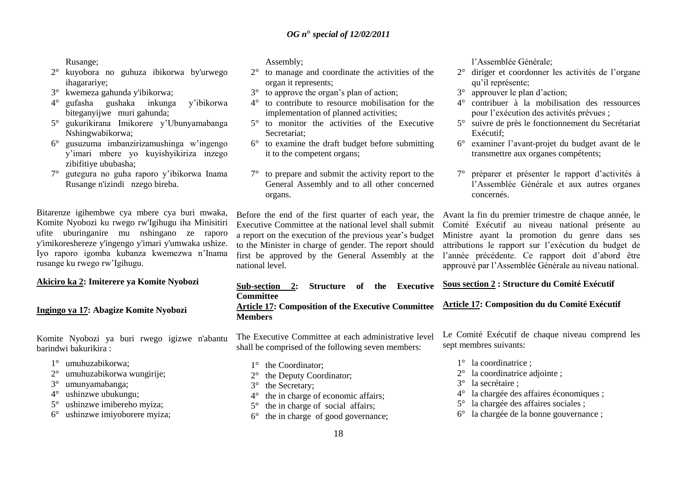Rusange;

- 2° kuyobora no guhuza ibikorwa by'urwego ihagarariye;
- 3° kwemeza gahunda y'ibikorwa;
- 4° gufasha gushaka inkunga y"ibikorwa biteganyijwe muri gahunda;
- 5° gukurikirana Imikorere y"Ubunyamabanga Nshingwabikorwa;
- 6° gusuzuma imbanzirizamushinga w"ingengo y"imari mbere yo kuyishyikiriza inzego zibifitiye ububasha;
- 7° gutegura no guha raporo y"ibikorwa Inama Rusange n'izindi nzego bireba.

Bitarenze igihembwe cya mbere cya buri mwaka, Komite Nyobozi ku rwego rw'Igihugu iha Minisitiri ufite uburinganire mu nshingano ze raporo y'imikoreshereze y'ingengo y'imari y'umwaka ushize. Iyo raporo igomba kubanza kwemezwa n"Inama rusange ku rwego rw"Igihugu.

# **Akiciro ka 2: Imiterere ya Komite Nyobozi**

**Ingingo ya 17: Abagize Komite Nyobozi** 

Komite Nyobozi ya buri rwego igizwe n'abantu barindwi bakurikira :

- 1° umuhuzabikorwa;
- 2° umuhuzabikorwa wungirije;
- 3° umunyamabanga;
- 4° ushinzwe ubukungu;
- 5° ushinzwe imibereho myiza;
- 6° ushinzwe imiyoborere myiza;

Assembly;

- 2° to manage and coordinate the activities of the organ it represents;
- 3° to approve the organ"s plan of action;
- 4° to contribute to resource mobilisation for the implementation of planned activities;
- 5° to monitor the activities of the Executive Secretariat;
- 6° to examine the draft budget before submitting it to the competent organs;
- 7° to prepare and submit the activity report to the General Assembly and to all other concerned organs.

Before the end of the first quarter of each year, the Executive Committee at the national level shall submit a report on the execution of the previous year"s budget to the Minister in charge of gender. The report should first be approved by the General Assembly at the national level.

# **Sub-section 2: Structure of the Executive Committee**

**Article 17: Composition of the Executive Committee Members**

The Executive Committee at each administrative level shall be comprised of the following seven members:

- 1° the Coordinator:
- 2° the Deputy Coordinator;
- 3° the Secretary;
- 4° the in charge of economic affairs;
- 5° the in charge of social affairs;
- 6° the in charge of good governance;

l"Assemblée Générale;

- 2° diriger et coordonner les activités de l"organe qu'il représente:
- 3° approuver le plan d"action;
- 4° contribuer à la mobilisation des ressources pour l"exécution des activités prévues ;
- 5° suivre de près le fonctionnement du Secrétariat Exécutif;
- 6° examiner l"avant-projet du budget avant de le transmettre aux organes compétents;
- 7° préparer et présenter le rapport d"activités à l"Assemblée Générale et aux autres organes concernés.

Avant la fin du premier trimestre de chaque année, le Comité Exécutif au niveau national présente au Ministre ayant la promotion du genre dans ses attributions le rapport sur l"exécution du budget de l"année précédente. Ce rapport doit d"abord être approuvé par l"Assemblée Générale au niveau national.

**Sous section 2 : Structure du Comité Exécutif** 

#### **Article 17: Composition du du Comité Exécutif**

Le Comité Exécutif de chaque niveau comprend les sept membres suivants:

- 1° la coordinatrice ;
- 2° la coordinatrice adjointe ;
- 3° la secrétaire ;
- 4° la chargée des affaires économiques ;
- 5° la chargée des affaires sociales ;
- 6° la chargée de la bonne gouvernance ;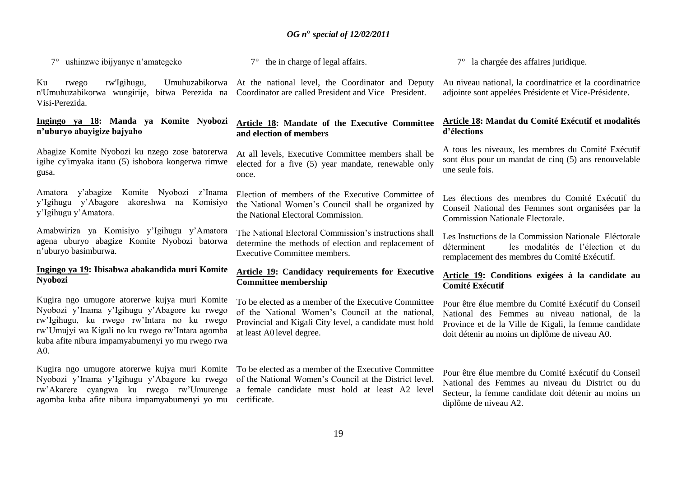7° ushinzwe ibijyanye n"amategeko

Ku rwego rw'Igihugu, Umuhuzabikorwa At the national level, the Coordinator and Deputy n'Umuhuzabikorwa wungirije, bitwa Perezida na Coordinator are called President and Vice President. Visi-Perezida.

#### **Ingingo ya 18: Manda ya Komite Nyobozi n'uburyo abayigize bajyaho**

Abagize Komite Nyobozi ku nzego zose batorerwa igihe cy'imyaka itanu (5) ishobora kongerwa rimwe gusa.

Amatora y"abagize Komite Nyobozi z"Inama y"Igihugu y"Abagore akoreshwa na Komisiyo y"Igihugu y"Amatora.

Amabwiriza ya Komisiyo y"Igihugu y"Amatora agena uburyo abagize Komite Nyobozi batorwa n"uburyo basimburwa.

# **Ingingo ya 19: Ibisabwa abakandida muri Komite Nyobozi**

Kugira ngo umugore atorerwe kujya muri Komite Nyobozi y"Inama y"Igihugu y"Abagore ku rwego rw"Igihugu, ku rwego rw"Intara no ku rwego rw"Umujyi wa Kigali no ku rwego rw"Intara agomba kuba afite nibura impamyabumenyi yo mu rwego rwa A0.

Kugira ngo umugore atorerwe kujya muri Komite Nyobozi y"Inama y"Igihugu y"Abagore ku rwego agomba kuba afite nibura impamyabumenyi yo mu certificate.

7° the in charge of legal affairs.

#### **Article 18: Mandate of the Executive Committee and election of members**

At all levels, Executive Committee members shall be elected for a five (5) year mandate, renewable only once.

Election of members of the Executive Committee of the National Women"s Council shall be organized by the National Electoral Commission.

The National Electoral Commission's instructions shall determine the methods of election and replacement of Executive Committee members.

# **Article 19: Candidacy requirements for Executive Committee membership**

To be elected as a member of the Executive Committee of the National Women"s Council at the national, Provincial and Kigali City level, a candidate must hold at least A0 level degree.

rw"Akarere cyangwa ku rwego rw"Umurenge a female candidate must hold at least A2 level To be elected as a member of the Executive Committee of the National Women"s Council at the District level,

7° la chargée des affaires juridique.

Au niveau national, la coordinatrice et la coordinatrice adjointe sont appelées Présidente et Vice-Présidente.

#### **Article 18: Mandat du Comité Exécutif et modalités d'élections**

A tous les niveaux, les membres du Comité Exécutif sont élus pour un mandat de cinq (5) ans renouvelable une seule fois.

Les élections des membres du Comité Exécutif du Conseil National des Femmes sont organisées par la Commission Nationale Electorale.

Les Instuctions de la Commission Nationale Eléctorale déterminent les modalités de l"élection et du remplacement des membres du Comité Exécutif.

#### **Article 19: Conditions exigées à la candidate au Comité Exécutif**

Pour être élue membre du Comité Exécutif du Conseil National des Femmes au niveau national, de la Province et de la Ville de Kigali, la femme candidate doit détenir au moins un diplôme de niveau A0.

Pour être élue membre du Comité Exécutif du Conseil National des Femmes au niveau du District ou du Secteur, la femme candidate doit détenir au moins un diplôme de niveau A2.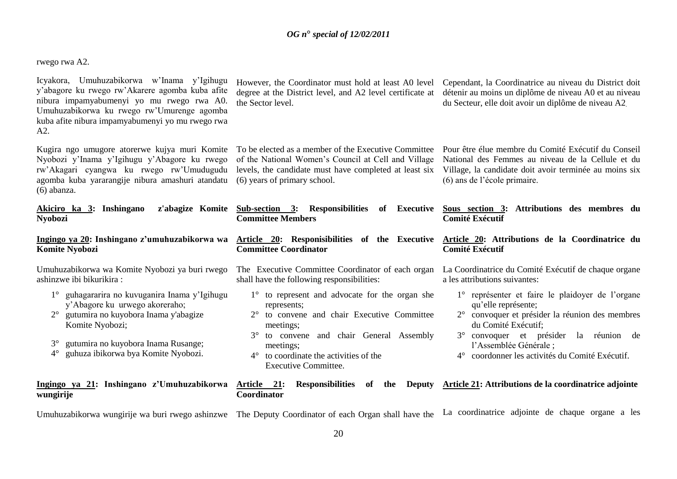rwego rwa A2.

Icyakora, Umuhuzabikorwa w"Inama y"Igihugu y"abagore ku rwego rw"Akarere agomba kuba afite nibura impamyabumenyi yo mu rwego rwa A0. Umuhuzabikorwa ku rwego rw"Umurenge agomba kuba afite nibura impamyabumenyi yo mu rwego rwa A2.

Kugira ngo umugore atorerwe kujya muri Komite Nyobozi y"Inama y"Igihugu y"Abagore ku rwego rw"Akagari cyangwa ku rwego rw"Umudugudu agomba kuba yararangije nibura amashuri atandatu (6) years of primary school. (6) abanza.

Akiciro **Nyobozi** 

**Ingingo Komite** 

Umuhuza ashinzwe

- 1° guhagararira no kuvuganira Inama y"Igihugu y"Abagore ku urwego akoreraho;
- 2° gutumira no kuyobora Inama y'abagize Komite Nyobozi;
- 3° gutumira no kuyobora Inama Rusange;
- 4° guhuza ibikorwa bya Komite Nyobozi.

#### **Ingingo wungirije**

However, the Coordinator must hold at least A0 level degree at the District level, and A2 level certificate at the Sector level.

Cependant, la Coordinatrice au niveau du District doit détenir au moins un diplôme de niveau A0 et au niveau du Secteur, elle doit avoir un diplôme de niveau A2.

of the National Women"s Council at Cell and Village levels, the candidate must have completed at least six

To be elected as a member of the Executive Committee Pour être élue membre du Comité Exécutif du Conseil National des Femmes au niveau de la Cellule et du Village, la candidate doit avoir terminée au moins six (6) ans de l"école primaire.

| ka 3: Inshingano                                                                                                                                                                                                      | z'abagize Komite Sub-section 3: Responsibilities<br>Executive<br>of<br><b>Committee Members</b>                                                                                                                                                                  | Sous section 3: Attributions des membres du<br><b>Comité Exécutif</b>                                                                                                                                                                                                                                       |
|-----------------------------------------------------------------------------------------------------------------------------------------------------------------------------------------------------------------------|------------------------------------------------------------------------------------------------------------------------------------------------------------------------------------------------------------------------------------------------------------------|-------------------------------------------------------------------------------------------------------------------------------------------------------------------------------------------------------------------------------------------------------------------------------------------------------------|
| ya 20: Inshingano z'umuhuzabikorwa wa<br><b>Nyobozi</b>                                                                                                                                                               | <b>Committee Coordinator</b>                                                                                                                                                                                                                                     | Article 20: Responisibilities of the Executive Article 20: Attributions de la Coordinatrice du<br><b>Comité Exécutif</b>                                                                                                                                                                                    |
| abikorwa wa Komite Nyobozi ya buri rwego<br>e ibi bikurikira :                                                                                                                                                        | The Executive Committee Coordinator of each organ<br>shall have the following responsibilities:                                                                                                                                                                  | La Coordinatrice du Comité Exécutif de chaque organe<br>a les attributions suivantes:                                                                                                                                                                                                                       |
| guhagararira no kuvuganira Inama y'Igihugu<br>y'Abagore ku urwego akoreraho;<br>gutumira no kuyobora Inama y'abagize<br>Komite Nyobozi;<br>gutumira no kuyobora Inama Rusange;<br>guhuza ibikorwa bya Komite Nyobozi. | 1° to represent and advocate for the organ she<br>represents;<br>2° to convene and chair Executive Committee<br>meetings;<br>3° to convene and chair General Assembly<br>meetings:<br>to coordinate the activities of the<br>$4^{\circ}$<br>Executive Committee. | 1° représenter et faire le plaidoyer de l'organe<br>qu'elle représente;<br>convoquer et présider la réunion des membres<br>$2^{\circ}$<br>du Comité Exécutif;<br>$3^\circ$<br>convoquer et présider la<br>réunion de<br>l'Assemblée Générale ;<br>coordonner les activités du Comité Exécutif.<br>$4^\circ$ |
| ya 21: Inshingano z'Umuhuzabikorwa Article 21: Responsibilities                                                                                                                                                       | the<br>of                                                                                                                                                                                                                                                        | Deputy Article 21: Attributions de la coordinatrice adjointe                                                                                                                                                                                                                                                |

Umuhuzabikorwa wungirije wa buri rwego ashinzwe The Deputy Coordinator of each Organ shall have the La coordinatrice adjointe de chaque organe a les

**Coordinator**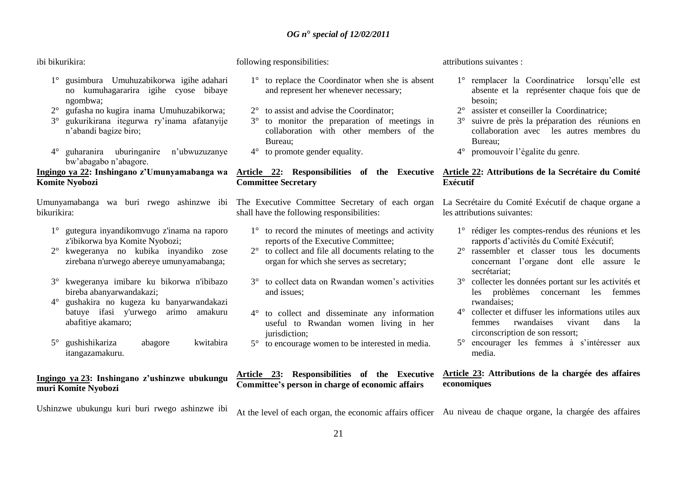#### ibi bikurikira:

- 1° gusimbura Umuhuzabikorwa igihe adahari no kumuhagararira igihe cyose bibaye ngombwa;
- 2° gufasha no kugira inama Umuhuzabikorwa;
- 3° gukurikirana itegurwa ry"inama afatanyije n"abandi bagize biro;
- 4° guharanira uburinganire n"ubwuzuzanye bw"abagabo n"abagore.

# **Ingingo ya 22: Inshingano z'Umunyamabanga wa Komite Nyobozi**

bikurikira:

- 1° gutegura inyandikomvugo z'inama na raporo z'ibikorwa bya Komite Nyobozi;
- 2° kwegeranya no kubika inyandiko zose zirebana n'urwego abereye umunyamabanga;
- 3° kwegeranya imibare ku bikorwa n'ibibazo bireba abanyarwandakazi;
- 4° gushakira no kugeza ku banyarwandakazi batuye ifasi y'urwego arimo amakuru abafitiye akamaro;
- 5° gushishikariza abagore kwitabira itangazamakuru.

#### **Ingingo ya 23: Inshingano z'ushinzwe ubukungu muri Komite Nyobozi**

Ushinzwe ubukungu kuri buri rwego ashinzwe ibi

following responsibilities:

- 1° to replace the Coordinator when she is absent and represent her whenever necessary;
- 2° to assist and advise the Coordinator;
- 3° to monitor the preparation of meetings in collaboration with other members of the Bureau;
- 4° to promote gender equality.

# **Committee Secretary**

shall have the following responsibilities:

- 1° to record the minutes of meetings and activity reports of the Executive Committee;
- 2° to collect and file all documents relating to the organ for which she serves as secretary;
- 3° to collect data on Rwandan women"s activities and issues;
- 4° to collect and disseminate any information useful to Rwandan women living in her jurisdiction:
- 5° to encourage women to be interested in media.

# attributions suivantes :

- 1° remplacer la Coordinatrice lorsqu"elle est absente et la représenter chaque fois que de besoin;
- 2° assister et conseiller la Coordinatrice;
- 3° suivre de près la préparation des réunions en collaboration avec les autres membres du Bureau;
- 4° promouvoir l"égalite du genre.

#### **Article 22: Responsibilities of the Executive Article 22: Attributions de la Secrétaire du Comité Exécutif**

Umunyamabanga wa buri rwego ashinzwe ibi The Executive Committee Secretary of each organ La Secrétaire du Comité Exécutif de chaque organe a les attributions suivantes:

- 1° rédiger les comptes-rendus des réunions et les rapports d"activités du Comité Exécutif;
- 2° rassembler et classer tous les documents concernant l"organe dont elle assure le secrétariat;
- 3° collecter les données portant sur les activités et les problèmes concernant les femmes rwandaises;
- 4° collecter et diffuser les informations utiles aux femmes rwandaises vivant dans la circonscription de son ressort;
- 5° encourager les femmes à s"intéresser aux media.

#### **Article 23: Responsibilities of the Executive Article 23: Attributions de la chargée des affaires economiques**

At the level of each organ, the economic affairs officer Au niveau de chaque organe, la chargée des affaires

**Committee's person in charge of economic affairs**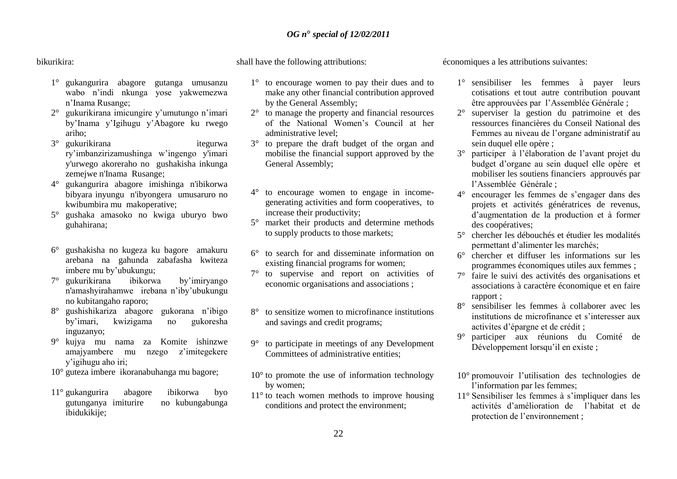#### bikurikira:

- 1° gukangurira abagore gutanga umusanzu wabo n"indi nkunga yose yakwemezwa n"Inama Rusange;
- 2° gukurikirana imicungire y"umutungo n"imari by"Inama y"Igihugu y"Abagore ku rwego ariho;
- 3° gukurikirana itegurwa ry"imbanzirizamushinga w"ingengo y'imari y'urwego akoreraho no gushakisha inkunga zemejwe n'Inama Rusange;
- 4° gukangurira abagore imishinga n'ibikorwa bibyara inyungu n'ibyongera umusaruro no kwibumbira mu makoperative;
- 5° gushaka amasoko no kwiga uburyo bwo guhahirana;
- 6° gushakisha no kugeza ku bagore amakuru arebana na gahunda zabafasha kwiteza imbere mu by"ubukungu;
- 7° gukurikirana ibikorwa by"imiryango n'amashyirahamwe irebana n"iby"ubukungu no kubitangaho raporo;
- 8° gushishikariza abagore gukorana n"ibigo by"imari, kwizigama no gukoresha inguzanyo;
- 9° kujya mu nama za Komite ishinzwe amajyambere mu nzego z"imitegekere y"igihugu aho iri;
- 10° guteza imbere ikoranabuhanga mu bagore;
- 11° gukangurira abagore ibikorwa byo gutunganya imiturire no kubungabunga ibidukikije;

shall have the following attributions:

- 1° to encourage women to pay their dues and to make any other financial contribution approved by the General Assembly;
- 2° to manage the property and financial resources of the National Women"s Council at her administrative level;
- 3° to prepare the draft budget of the organ and mobilise the financial support approved by the General Assembly;
- 4° to encourage women to engage in incomegenerating activities and form cooperatives, to increase their productivity;
- 5° market their products and determine methods to supply products to those markets;
- 6° to search for and disseminate information on existing financial programs for women;
- 7° to supervise and report on activities of economic organisations and associations ;
- 8° to sensitize women to microfinance institutions and savings and credit programs;
- 9° to participate in meetings of any Development Committees of administrative entities;
- $10^{\circ}$  to promote the use of information technology by women;
- 11° to teach women methods to improve housing conditions and protect the environment;

économiques a les attributions suivantes:

- 1° sensibiliser les femmes à payer leurs cotisations et tout autre contribution pouvant être approuvées par l"Assemblée Générale ;
- 2° superviser la gestion du patrimoine et des ressources financières du Conseil National des Femmes au niveau de l"organe administratif au sein duquel elle opère ;
- 3° participer à l"élaboration de l"avant projet du budget d"organe au sein duquel elle opère et mobiliser les soutiens financiers approuvés par l"Assemblée Générale ;
- 4° encourager les femmes de s"engager dans des projets et activités génératrices de revenus, d"augmentation de la production et à former des coopératives;
- 5° chercher les débouchés et étudier les modalités permettant d"alimenter les marchés;
- 6° chercher et diffuser les informations sur les programmes économiques utiles aux femmes ;
- 7° faire le suivi des activités des organisations et associations à caractère économique et en faire rapport ;
- 8° sensibiliser les femmes à collaborer avec les institutions de microfinance et s"interesser aux activites d"épargne et de crédit ;
- 9° participer aux réunions du Comité de Développement lorsqu'il en existe ;
- 10° promouvoir l"utilisation des technologies de l'information par les femmes;
- 11° Sensibiliser les femmes à s"impliquer dans les activités d"amélioration de l"habitat et de protection de l"environnement ;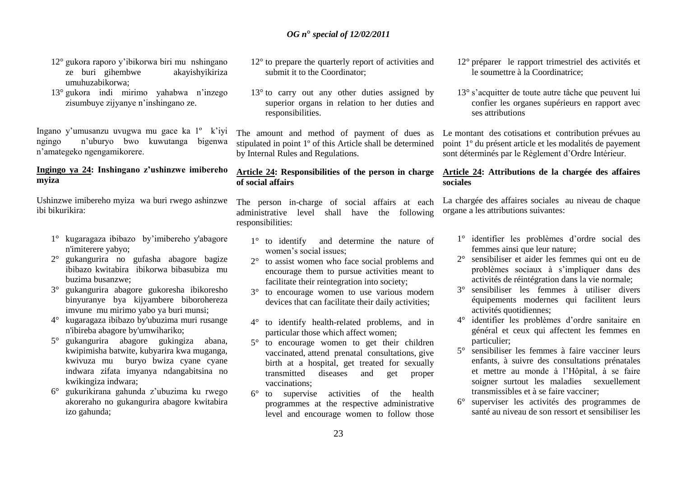- 12° gukora raporo y"ibikorwa biri mu nshingano ze buri gihembwe akayishyikiriza umuhuzabikorwa;
- 13° gukora indi mirimo yahabwa n"inzego zisumbuye zijyanye n"inshingano ze.

Ingano y"umusanzu uvugwa mu gace ka 1º k"iyi ngingo n"uburyo bwo kuwutanga bigenwa n"amategeko ngengamikorere.

# **Ingingo ya 24: Inshingano z'ushinzwe imibereho myiza**

Ushinzwe imibereho myiza wa buri rwego ashinzwe ibi bikurikira:

- 1° kugaragaza ibibazo by"imibereho y'abagore n'imiterere yabyo;
- 2° gukangurira no gufasha abagore bagize ibibazo kwitabira ibikorwa bibasubiza mu buzima busanzwe;
- 3° gukangurira abagore gukoresha ibikoresho binyuranye bya kijyambere biborohereza imvune mu mirimo yabo ya buri munsi;
- 4° kugaragaza ibibazo by'ubuzima muri rusange n'ibireba abagore by'umwihariko;
- 5° gukangurira abagore gukingiza abana, kwipimisha batwite, kubyarira kwa muganga, kwivuza mu buryo bwiza cyane cyane indwara zifata imyanya ndangabitsina no kwikingiza indwara;
- 6° gukurikirana gahunda z"ubuzima ku rwego akoreraho no gukangurira abagore kwitabira izo gahunda;
- 12° to prepare the quarterly report of activities and submit it to the Coordinator:
- 13<sup>°</sup> to carry out any other duties assigned by superior organs in relation to her duties and responsibilities.

The amount and method of payment of dues as stipulated in point 1º of this Article shall be determined by Internal Rules and Regulations.

# **Article 24: Responsibilities of the person in charge of social affairs**

The person in-charge of social affairs at each administrative level shall have the following responsibilities:

- 1° to identify and determine the nature of women"s social issues;
- 2° to assist women who face social problems and encourage them to pursue activities meant to facilitate their reintegration into society;
- 3° to encourage women to use various modern devices that can facilitate their daily activities;
- 4° to identify health-related problems, and in particular those which affect women;
- 5° to encourage women to get their children vaccinated, attend prenatal consultations, give birth at a hospital, get treated for sexually transmitted diseases and get proper vaccinations;
- 6° to supervise activities of the health programmes at the respective administrative level and encourage women to follow those
- 12° préparer le rapport trimestriel des activités et le soumettre à la Coordinatrice;
- 13° s"acquitter de toute autre tâche que peuvent lui confier les organes supérieurs en rapport avec ses attributions

Le montant des cotisations et contribution prévues au point 1º du présent article et les modalités de payement sont déterminés par le Règlement d"Ordre Intérieur.

# **Article 24: Attributions de la chargée des affaires sociales**

La chargée des affaires sociales au niveau de chaque organe a les attributions suivantes:

- 1° identifier les problèmes d"ordre social des femmes ainsi que leur nature;
- 2° sensibiliser et aider les femmes qui ont eu de problèmes sociaux à s"impliquer dans des activités de réintégration dans la vie normale;
- 3° sensibiliser les femmes à utiliser divers équipements modernes qui facilitent leurs activités quotidiennes;
- 4° identifier les problèmes d"ordre sanitaire en général et ceux qui affectent les femmes en particulier;
- 5° sensibiliser les femmes à faire vacciner leurs enfants, à suivre des consultations prénatales et mettre au monde à l"Hôpital, à se faire soigner surtout les maladies sexuellement transmissibles et à se faire vacciner;
- 6° superviser les activités des programmes de santé au niveau de son ressort et sensibiliser les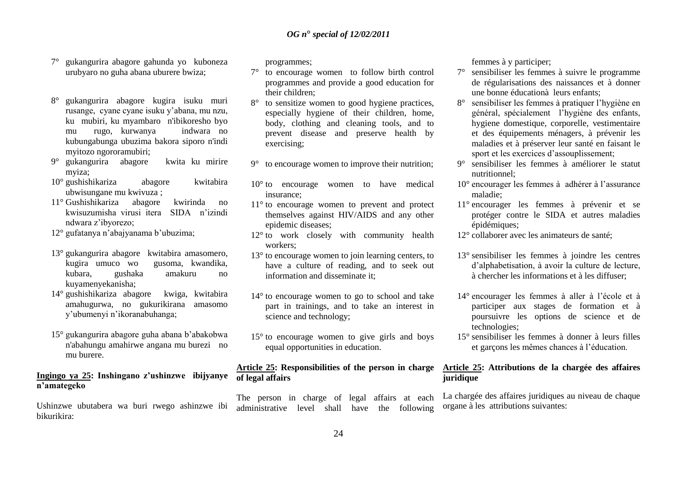- 7° gukangurira abagore gahunda yo kuboneza urubyaro no guha abana uburere bwiza;
- 8° gukangurira abagore kugira isuku muri rusange, cyane cyane isuku y"abana, mu nzu, ku mubiri, ku myambaro n'ibikoresho byo mu rugo, kurwanya indwara no kubungabunga ubuzima bakora siporo n'indi myitozo ngororamubiri;
- 9° gukangurira abagore kwita ku mirire myiza;
- 10° gushishikariza abagore kwitabira ubwisungane mu kwivuza ;
- 11° Gushishikariza abagore kwirinda no kwisuzumisha virusi itera SIDA n"izindi ndwara z"ibyorezo;
- 12° gufatanya n'abajyanama b'ubuzima;
- 13° gukangurira abagore kwitabira amasomero, kugira umuco wo gusoma, kwandika, kubara, gushaka amakuru no kuyamenyekanisha;
- 14° gushishikariza abagore kwiga, kwitabira amahugurwa, no gukurikirana amasomo y"ubumenyi n"ikoranabuhanga;
- 15° gukangurira abagore guha abana b"abakobwa n'abahungu amahirwe angana mu burezi no mu burere.

#### **Ingingo ya 25: Inshingano z'ushinzwe ibijyanye n'amategeko**

Ushinzwe ubutabera wa buri rwego ashinzwe ibi bikurikira:

programmes;

- 7° to encourage women to follow birth control programmes and provide a good education for their children;
- 8° to sensitize women to good hygiene practices, especially hygiene of their children, home, body, clothing and cleaning tools, and to prevent disease and preserve health by exercising;
- 9° to encourage women to improve their nutrition;
- 10° to encourage women to have medical insurance;
- 11° to encourage women to prevent and protect themselves against HIV/AIDS and any other epidemic diseases;
- 12° to work closely with community health workers;
- 13° to encourage women to join learning centers, to have a culture of reading, and to seek out information and disseminate it:
- 14° to encourage women to go to school and take part in trainings, and to take an interest in science and technology;
- 15° to encourage women to give girls and boys equal opportunities in education.

# **Article 25: Responsibilities of the person in charge of legal affairs**

The person in charge of legal affairs at each administrative level shall have the following femmes à y participer;

- 7° sensibiliser les femmes à suivre le programme de régularisations des naissances et à donner une bonne éducationà leurs enfants;
- 8° sensibiliser les femmes à pratiquer l"hygiène en général, spécialement l"hygiène des enfants, hygiene domestique, corporelle, vestimentaire et des équipements ménagers, à prévenir les maladies et à préserver leur santé en faisant le sport et les exercices d"assouplissement;
- 9° sensibiliser les femmes à améliorer le statut nutritionnel;
- 10° encourager les femmes à adhérer à l"assurance maladie;
- 11° encourager les femmes à prévenir et se protéger contre le SIDA et autres maladies épidémiques;
- 12° collaborer avec les animateurs de santé;
- 13° sensibiliser les femmes à joindre les centres d"alphabetisation, à avoir la culture de lecture, à chercher les informations et à les diffuser;
- 14° encourager les femmes à aller à l"école et à participer aux stages de formation et à poursuivre les options de science et de technologies;
- 15° sensibiliser les femmes à donner à leurs filles et garçons les mêmes chances à l"éducation.

# **Article 25: Attributions de la chargée des affaires juridique**

La chargée des affaires juridiques au niveau de chaque organe à les attributions suivantes: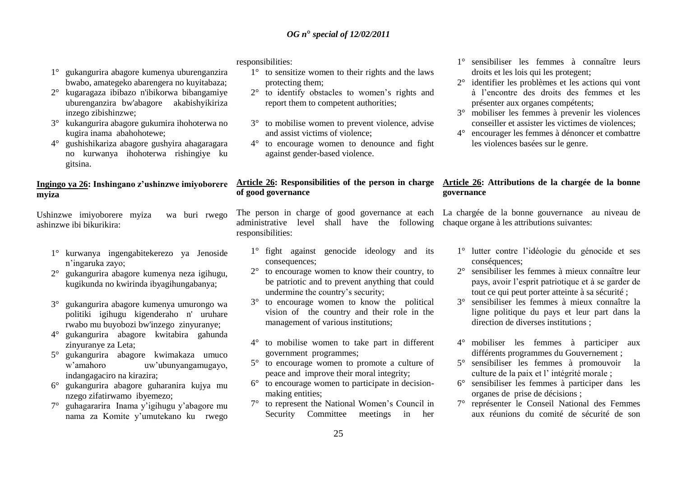1° gukangurira abagore kumenya uburenganzira bwabo, amategeko abarengera no kuyitabaza;

- 2° kugaragaza ibibazo n'ibikorwa bibangamiye uburenganzira bw'abagore akabishyikiriza inzego zibishinzwe;
- 3° kukangurira abagore gukumira ihohoterwa no kugira inama abahohotewe;
- 4° gushishikariza abagore gushyira ahagaragara no kurwanya ihohoterwa rishingiye ku gitsina.

# **Ingingo ya 26: Inshingano z'ushinzwe imiyoborere myiza**

Ushinzwe imiyoborere myiza wa buri rwego ashinzwe ibi bikurikira:

- 1° kurwanya ingengabitekerezo ya Jenoside n"ingaruka zayo;
- 2° gukangurira abagore kumenya neza igihugu, kugikunda no kwirinda ibyagihungabanya;
- 3° gukangurira abagore kumenya umurongo wa politiki igihugu kigenderaho n' uruhare rwabo mu buyobozi bw'inzego zinyuranye;
- 4° gukangurira abagore kwitabira gahunda zinyuranye za Leta;
- 5° gukangurira abagore kwimakaza umuco w"amahoro uw"ubunyangamugayo, indangagaciro na kirazira;
- 6° gukangurira abagore guharanira kujya mu nzego zifatirwamo ibyemezo;
- 7° guhagararira Inama y"igihugu y"abagore mu nama za Komite y"umutekano ku rwego

responsibilities:

- 1° to sensitize women to their rights and the laws protecting them;
- 2° to identify obstacles to women"s rights and report them to competent authorities;
- 3° to mobilise women to prevent violence, advise and assist victims of violence;
- 4° to encourage women to denounce and fight against gender-based violence.

# **of good governance**

The person in charge of good governance at each La chargée de la bonne gouvernance au niveau de administrative level shall have the following chaque organe à les attributions suivantes: responsibilities:

- 1° fight against genocide ideology and its consequences;
- 2° to encourage women to know their country, to be patriotic and to prevent anything that could undermine the country"s security;
- 3° to encourage women to know the political vision of the country and their role in the management of various institutions;
- 4° to mobilise women to take part in different government programmes;
- 5° to encourage women to promote a culture of peace and improve their moral integrity;
- 6° to encourage women to participate in decisionmaking entities;
- 7° to represent the National Women"s Council in Security Committee meetings in her
- 1° sensibiliser les femmes à connaître leurs droits et les lois qui les protegent;
- 2° identifier les problèmes et les actions qui vont à l"encontre des droits des femmes et les présenter aux organes compétents;
- 3° mobiliser les femmes à prevenir les violences conseiller et assister les victimes de violences;
- 4° encourager les femmes à dénoncer et combattre les violences basées sur le genre.

# **Article 26: Responsibilities of the person in charge Article 26: Attributions de la chargée de la bonne governance**

- 1° lutter contre l"idéologie du génocide et ses conséquences;
- 2° sensibiliser les femmes à mieux connaître leur pays, avoir l"esprit patriotique et à se garder de tout ce qui peut porter atteinte à sa sécurité ;
- 3° sensibiliser les femmes à mieux connaître la ligne politique du pays et leur part dans la direction de diverses institutions ;
- 4° mobiliser les femmes à participer aux différents programmes du Gouvernement ;
- 5° sensibiliser les femmes à promouvoir la culture de la paix et l" intégrité morale ;
- 6° sensibiliser les femmes à participer dans les organes de prise de décisions ;
- 7° représenter le Conseil National des Femmes aux réunions du comité de sécurité de son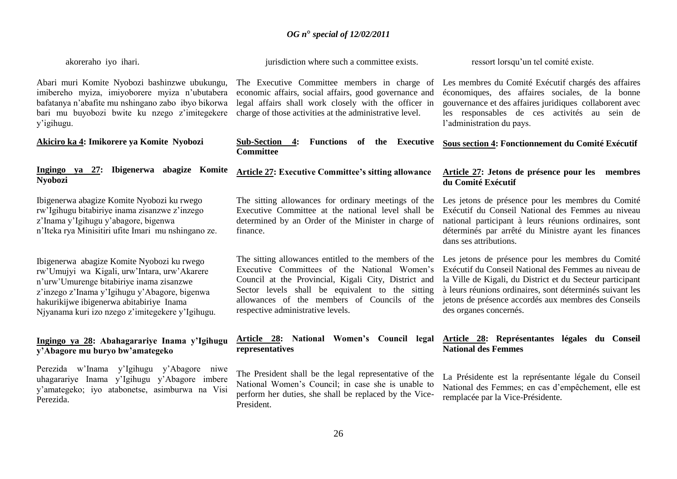| akoreraho iyo ihari.                                                                                                                                                                                                                                                                    | jurisdiction where such a committee exists.                                                                                                                                                                                                                                                            | ressort lorsqu'un tel comité existe.                                                                                                                                                                                                                                                                                 |
|-----------------------------------------------------------------------------------------------------------------------------------------------------------------------------------------------------------------------------------------------------------------------------------------|--------------------------------------------------------------------------------------------------------------------------------------------------------------------------------------------------------------------------------------------------------------------------------------------------------|----------------------------------------------------------------------------------------------------------------------------------------------------------------------------------------------------------------------------------------------------------------------------------------------------------------------|
| Abari muri Komite Nyobozi bashinzwe ubukungu,<br>imibereho myiza, imiyoborere myiza n'ubutabera<br>bafatanya n'abafite mu nshingano zabo ibyo bikorwa<br>bari mu buyobozi bwite ku nzego z'imitegekere<br>y'igihugu.                                                                    | The Executive Committee members in charge of<br>economic affairs, social affairs, good governance and<br>legal affairs shall work closely with the officer in<br>charge of those activities at the administrative level.                                                                               | Les membres du Comité Exécutif chargés des affaires<br>économiques, des affaires sociales, de la bonne<br>gouvernance et des affaires juridiques collaborent avec<br>les responsables de ces activités au sein de<br>l'administration du pays.                                                                       |
| Akiciro ka 4: Imikorere ya Komite Nyobozi                                                                                                                                                                                                                                               | Functions of the<br><b>Executive</b><br><b>Sub-Section</b><br>4:<br><b>Committee</b>                                                                                                                                                                                                                   | Sous section 4: Fonctionnement du Comité Exécutif                                                                                                                                                                                                                                                                    |
| Ingingo ya 27: Ibigenerwa abagize Komite<br><b>Nyobozi</b>                                                                                                                                                                                                                              | <b>Article 27: Executive Committee's sitting allowance</b>                                                                                                                                                                                                                                             | Article 27: Jetons de présence pour les membres<br>du Comité Exécutif                                                                                                                                                                                                                                                |
| Ibigenerwa abagize Komite Nyobozi ku rwego<br>rw'Igihugu bitabiriye inama zisanzwe z'inzego<br>z'Inama y'Igihugu y'abagore, bigenwa<br>n'Iteka rya Minisitiri ufite Imari mu nshingano ze.                                                                                              | The sitting allowances for ordinary meetings of the<br>Executive Committee at the national level shall be<br>determined by an Order of the Minister in charge of<br>finance.                                                                                                                           | Les jetons de présence pour les membres du Comité<br>Exécutif du Conseil National des Femmes au niveau<br>national participant à leurs réunions ordinaires, sont<br>déterminés par arrêté du Ministre ayant les finances<br>dans ses attributions.                                                                   |
| Ibigenerwa abagize Komite Nyobozi ku rwego<br>rw'Umujyi wa Kigali, urw'Intara, urw'Akarere<br>n'urw'Umurenge bitabiriye inama zisanzwe<br>z'inzego z'Inama y'Igihugu y'Abagore, bigenwa<br>hakurikijwe ibigenerwa abitabiriye Inama<br>Njyanama kuri izo nzego z'imitegekere y'Igihugu. | The sitting allowances entitled to the members of the<br>Executive Committees of the National Women's<br>Council at the Provincial, Kigali City, District and<br>Sector levels shall be equivalent to the sitting<br>allowances of the members of Councils of the<br>respective administrative levels. | Les jetons de présence pour les membres du Comité<br>Exécutif du Conseil National des Femmes au niveau de<br>la Ville de Kigali, du District et du Secteur participant<br>à leurs réunions ordinaires, sont déterminés suivant les<br>jetons de présence accordés aux membres des Conseils<br>des organes concernés. |
| Ingingo ya 28: Abahagarariye Inama y'Igihugu<br>y'Abagore mu buryo bw'amategeko                                                                                                                                                                                                         | <b>Article 28:</b> National Women's Council<br>legal<br>representatives                                                                                                                                                                                                                                | Article 28: Représentantes légales du Conseil<br><b>National des Femmes</b>                                                                                                                                                                                                                                          |

Perezida w"Inama y"Igihugu y"Abagore niwe uhagarariye Inama y"Igihugu y"Abagore imbere y"amategeko; iyo atabonetse, asimburwa na Visi Perezida.

The President shall be the legal representative of the National Women"s Council; in case she is unable to perform her duties, she shall be replaced by the Vice-President.

La Présidente est la représentante légale du Conseil National des Femmes; en cas d"empêchement, elle est remplacée par la Vice-Présidente.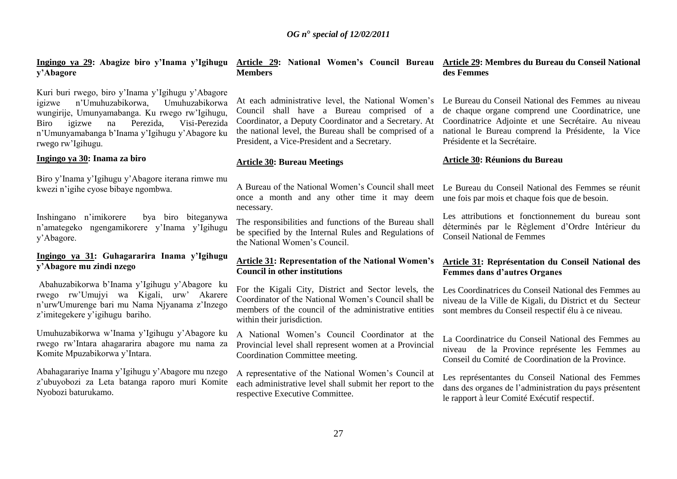# **y'Abagore**

Kuri buri rwego, biro y"Inama y"Igihugu y"Abagore igizwe n"Umuhuzabikorwa, Umuhuzabikorwa wungirije, Umunyamabanga. Ku rwego rw"Igihugu, Biro igizwe na Perezida, Visi-Perezida n"Umunyamabanga b"Inama y"Igihugu y"Abagore ku rwego rw"Igihugu.

#### **Ingingo ya 30: Inama za biro**

Biro y"Inama y"Igihugu y"Abagore iterana rimwe mu kwezi n"igihe cyose bibaye ngombwa.

Inshingano n"imikorere bya biro biteganywa n"amategeko ngengamikorere y"Inama y"Igihugu y"Abagore.

# **Ingingo ya 31: Guhagararira Inama y'Igihugu y'Abagore mu zindi nzego**

Abahuzabikorwa b"Inama y"Igihugu y"Abagore ku rwego rw"Umujyi wa Kigali, urw" Akarere n"urw'Umurenge bari mu Nama Njyanama z"Inzego z"imitegekere y"igihugu bariho.

Umuhuzabikorwa w"Inama y"Igihugu y"Abagore ku rwego rw"Intara ahagararira abagore mu nama za Komite Mpuzabikorwa y"Intara.

Abahagarariye Inama y"Igihugu y"Abagore mu nzego z"ubuyobozi za Leta batanga raporo muri Komite Nyobozi baturukamo.

#### Ingingo ya 29: Abagize biro y'Inama y'Igihugu <u>Article 29</u>: National Women's Council Bureau <u>Article29</u>:MembresduBureauduConseilNational **Members des Femmes**

Council shall have a Bureau comprised of a Coordinator, a Deputy Coordinator and a Secretary. At the national level, the Bureau shall be comprised of a President, a Vice-President and a Secretary.

#### **Article 30: Bureau Meetings**

A Bureau of the National Women"s Council shall meet once a month and any other time it may deem necessary.

The responsibilities and functions of the Bureau shall be specified by the Internal Rules and Regulations of the National Women's Council

#### **Article 31: Representation of the National Women's Council in other institutions**

For the Kigali City, District and Sector levels, the Coordinator of the National Women"s Council shall be members of the council of the administrative entities within their jurisdiction.

A National Women"s Council Coordinator at the Provincial level shall represent women at a Provincial Coordination Committee meeting.

A representative of the National Women"s Council at each administrative level shall submit her report to the respective Executive Committee.

At each administrative level, the National Women"s Le Bureau du Conseil National des Femmes au niveau de chaque organe comprend une Coordinatrice, une Coordinatrice Adjointe et une Secrétaire. Au niveau national le Bureau comprend la Présidente, la Vice Présidente et la Secrétaire.

#### **Article 30: Réunions du Bureau**

Le Bureau du Conseil National des Femmes se réunit une fois par mois et chaque fois que de besoin.

Les attributions et fonctionnement du bureau sont déterminés par le Règlement d"Ordre Intérieur du Conseil National de Femmes

#### **Article 31: Représentation du Conseil National des Femmes dans d'autres Organes**

Les Coordinatrices du Conseil National des Femmes au niveau de la Ville de Kigali, du District et du Secteur sont membres du Conseil respectif élu à ce niveau.

La Coordinatrice du Conseil National des Femmes au niveau de la Province représente les Femmes au Conseil du Comité de Coordination de la Province.

Les représentantes du Conseil National des Femmes dans des organes de l"administration du pays présentent le rapport à leur Comité Exécutif respectif.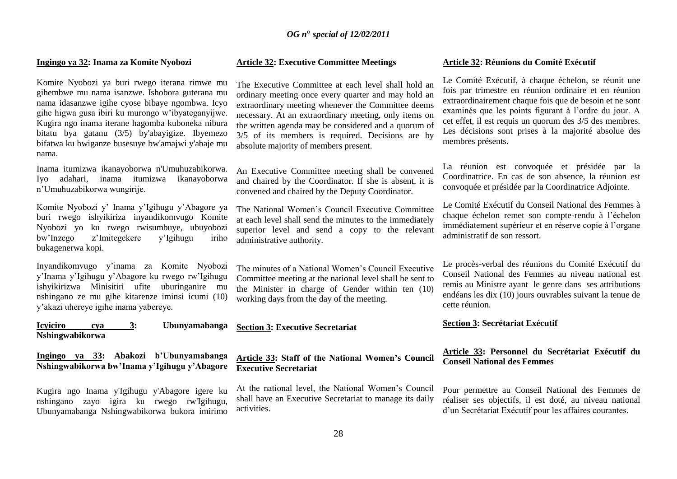#### **Ingingo ya 32: Inama za Komite Nyobozi**

Komite Nyobozi ya buri rwego iterana rimwe mu gihembwe mu nama isanzwe. Ishobora guterana mu nama idasanzwe igihe cyose bibaye ngombwa. Icyo gihe higwa gusa ibiri ku murongo w"ibyateganyijwe. Kugira ngo inama iterane hagomba kuboneka nibura bitatu bya gatanu (3/5) by'abayigize. Ibyemezo bifatwa ku bwiganze busesuye bw'amajwi y'abaje mu nama.

Inama itumizwa ikanayoborwa n'Umuhuzabikorwa. Iyo adahari, inama itumizwa ikanayoborwa n"Umuhuzabikorwa wungirije.

Komite Nyobozi y" Inama y"Igihugu y"Abagore ya buri rwego ishyikiriza inyandikomvugo Komite Nyobozi yo ku rwego rwisumbuye, ubuyobozi bw"Inzego z"Imitegekere y"Igihugu iriho bukagenerwa kopi.

Inyandikomvugo y"inama za Komite Nyobozi y"Inama y"Igihugu y"Abagore ku rwego rw"Igihugu ishyikirizwa Minisitiri ufite uburinganire mu nshingano ze mu gihe kitarenze iminsi icumi (10) y"akazi uhereye igihe inama yabereye.

**Icyiciro cya 3: Ubunyamabanga Nshingwabikorwa**

**Ingingo ya 33: Abakozi b'Ubunyamabanga Nshingwabikorwa bw'Inama y'Igihugu y'Abagore**

Kugira ngo Inama y'Igihugu y'Abagore igere ku nshingano zayo igira ku rwego rw'Igihugu, Ubunyamabanga Nshingwabikorwa bukora imirimo

#### **Article 32: Executive Committee Meetings**

The Executive Committee at each level shall hold an ordinary meeting once every quarter and may hold an extraordinary meeting whenever the Committee deems necessary. At an extraordinary meeting, only items on the written agenda may be considered and a quorum of 3/5 of its members is required. Decisions are by absolute majority of members present.

An Executive Committee meeting shall be convened and chaired by the Coordinator. If she is absent, it is convened and chaired by the Deputy Coordinator.

The National Women"s Council Executive Committee at each level shall send the minutes to the immediately superior level and send a copy to the relevant administrative authority.

The minutes of a National Women"s Council Executive Committee meeting at the national level shall be sent to the Minister in charge of Gender within ten (10) working days from the day of the meeting.

#### **Section 3: Executive Secretariat**

#### **Article 33: Staff of the National Women's Council Executive Secretariat**

At the national level, the National Women"s Council shall have an Executive Secretariat to manage its daily activities.

#### **Article 32: Réunions du Comité Exécutif**

Le Comité Exécutif, à chaque échelon, se réunit une fois par trimestre en réunion ordinaire et en réunion extraordinairement chaque fois que de besoin et ne sont examinés que les points figurant à l"ordre du jour. A cet effet, il est requis un quorum des 3/5 des membres. Les décisions sont prises à la majorité absolue des membres présents.

La réunion est convoquée et présidée par la Coordinatrice. En cas de son absence, la réunion est convoquée et présidée par la Coordinatrice Adjointe.

Le Comité Exécutif du Conseil National des Femmes à chaque échelon remet son compte-rendu à l"échelon immédiatement supérieur et en réserve copie à l"organe administratif de son ressort.

Le procès-verbal des réunions du Comité Exécutif du Conseil National des Femmes au niveau national est remis au Ministre ayant le genre dans ses attributions endéans les dix (10) jours ouvrables suivant la tenue de cette réunion.

#### **Section 3: Secrétariat Exécutif**

#### **Article 33: Personnel du Secrétariat Exécutif du Conseil National des Femmes**

Pour permettre au Conseil National des Femmes de réaliser ses objectifs, il est doté, au niveau national d"un Secrétariat Exécutif pour les affaires courantes.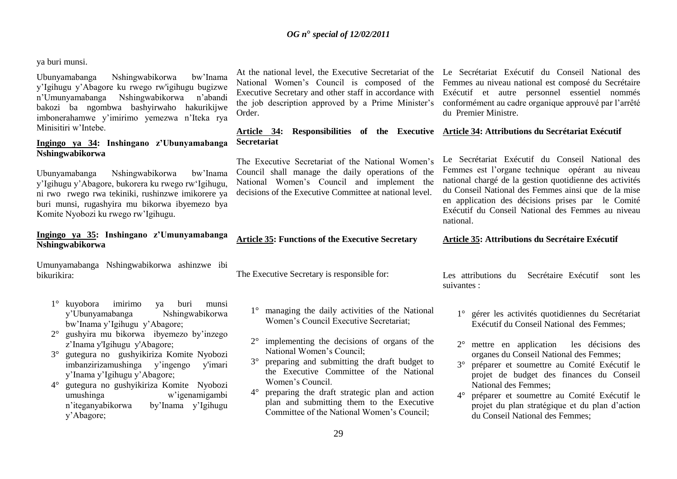ya buri munsi.

Ubunyamabanga Nshingwabikorwa bw"Inama y"Igihugu y"Abagore ku rwego rw'igihugu bugizwe n"Umunyamabanga Nshingwabikorwa n"abandi bakozi ba ngombwa bashyirwaho hakurikijwe imbonerahamwe y"imirimo yemezwa n"Iteka rya Minisitiri w"Intebe.

#### **Ingingo ya 34: Inshingano z'Ubunyamabanga Nshingwabikorwa**

Ubunyamabanga Nshingwabikorwa bw"Inama y"Igihugu y"Abagore, bukorera ku rwego rw"Igihugu, ni rwo rwego rwa tekiniki, rushinzwe imikorere ya buri munsi, rugashyira mu bikorwa ibyemezo bya Komite Nyobozi ku rwego rw"Igihugu.

#### **Ingingo ya 35: Inshingano z'Umunyamabanga Nshingwabikorwa**

Umunyamabanga Nshingwabikorwa ashinzwe ibi bikurikira:

- 1° kuyobora imirimo ya buri munsi y"Ubunyamabanga Nshingwabikorwa bw"Inama y"Igihugu y"Abagore;
- 2° gushyira mu bikorwa ibyemezo by"inzego z"Inama y'Igihugu y'Abagore;
- 3° gutegura no gushyikiriza Komite Nyobozi imbanzirizamushinga y"ingengo y'imari y"Inama y"Igihugu y"Abagore;
- 4° gutegura no gushyikiriza Komite Nyobozi umushinga w'igenamigambi<br>n'iteganyabikorwa by'Inama y'Igihugu by'Inama y'Igihugu y"Abagore;

Order.

#### **Article 34: Responsibilities of the Executive Article 34: Attributions du Secrétariat Exécutif Secretariat**

The Executive Secretariat of the National Women"s Council shall manage the daily operations of the National Women"s Council and implement the decisions of the Executive Committee at national level.

**Article 35: Functions of the Executive Secretary**

The Executive Secretary is responsible for:

- 1° managing the daily activities of the National Women"s Council Executive Secretariat;
- 2° implementing the decisions of organs of the National Women"s Council;
- 3° preparing and submitting the draft budget to the Executive Committee of the National Women"s Council.
- 4° preparing the draft strategic plan and action plan and submitting them to the Executive Committee of the National Women"s Council;

At the national level, the Executive Secretariat of the Le Secrétariat Exécutif du Conseil National des National Women"s Council is composed of the Femmes au niveau national est composé du Secrétaire Executive Secretary and other staff in accordance with Exécutif et autre personnel essentiel nommés the job description approved by a Prime Minister"s conformément au cadre organique approuvé par l"arrêté du Premier Ministre.

Le Secrétariat Exécutif du Conseil National des Femmes est l'organe technique opérant au niveau national chargé de la gestion quotidienne des activités du Conseil National des Femmes ainsi que de la mise en application des décisions prises par le Comité Exécutif du Conseil National des Femmes au niveau national.

#### Article 35: Attributions du Secrétaire Exécutif

Les attributions du Secrétaire Exécutif sont les suivantes :

- 1° gérer les activités quotidiennes du Secrétariat Exécutif du Conseil National des Femmes;
- 2° mettre en application les décisions des organes du Conseil National des Femmes;
- 3° préparer et soumettre au Comité Exécutif le projet de budget des finances du Conseil National des Femmes;
- 4° préparer et soumettre au Comité Exécutif le projet du plan stratégique et du plan d"action du Conseil National des Femmes;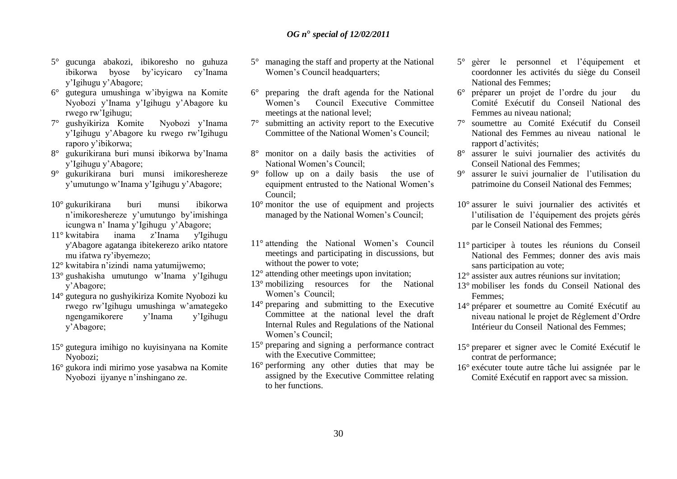- 5° gucunga abakozi, ibikoresho no guhuza ibikorwa byose by"icyicaro cy"Inama y"Igihugu y"Abagore;
- 6° gutegura umushinga w"ibyigwa na Komite Nyobozi y"Inama y"Igihugu y"Abagore ku rwego rw"Igihugu;
- 7° gushyikiriza Komite Nyobozi y"Inama y"Igihugu y"Abagore ku rwego rw"Igihugu raporo y"ibikorwa;
- 8° gukurikirana buri munsi ibikorwa by"Inama y"Igihugu y"Abagore;
- 9° gukurikirana buri munsi imikoreshereze y"umutungo w"Inama y"Igihugu y"Abagore;
- 10° gukurikirana buri munsi ibikorwa n"imikoreshereze y"umutungo by"imishinga icungwa n" Inama y"Igihugu y"Abagore;
- 11° kwitabira inama z"Inama y'Igihugu y'Abagore agatanga ibitekerezo ariko ntatore mu ifatwa ry"ibyemezo;
- 12° kwitabira n"izindi nama yatumijwemo;
- 13° gushakisha umutungo w"Inama y"Igihugu y"Abagore;
- 14° gutegura no gushyikiriza Komite Nyobozi ku rwego rw"Igihugu umushinga w"amategeko ngengamikorere y"Inama y"Igihugu y"Abagore;
- 15° gutegura imihigo no kuyisinyana na Komite Nyobozi;
- 16° gukora indi mirimo yose yasabwa na Komite Nyobozi ijyanye n"inshingano ze.
- 5° managing the staff and property at the National Women"s Council headquarters;
- 6° preparing the draft agenda for the National Women"s Council Executive Committee meetings at the national level;
- 7° submitting an activity report to the Executive Committee of the National Women"s Council;
- 8° monitor on a daily basis the activities of National Women's Council:
- 9° follow up on a daily basis the use of equipment entrusted to the National Women's Council;
- 10° monitor the use of equipment and projects managed by the National Women's Council:
- 11° attending the National Women"s Council meetings and participating in discussions, but without the power to vote;
- 12° attending other meetings upon invitation;
- 13° mobilizing resources for the National Women's Council:
- 14° preparing and submitting to the Executive Committee at the national level the draft Internal Rules and Regulations of the National Women"s Council;
- 15° preparing and signing a performance contract with the Executive Committee;
- 16° performing any other duties that may be assigned by the Executive Committee relating to her functions.
- 5° gèrer le personnel et l"équipement et coordonner les activités du siège du Conseil National des Femmes;
- 6° préparer un projet de l"ordre du jour du Comité Exécutif du Conseil National des Femmes au niveau national;
- 7° soumettre au Comité Exécutif du Conseil National des Femmes au niveau national le rapport d"activités;
- 8° assurer le suivi journalier des activités du Conseil National des Femmes;
- 9° assurer le suivi journalier de l"utilisation du patrimoine du Conseil National des Femmes;
- 10° assurer le suivi journalier des activités et l"utilisation de l"équipement des projets gérés par le Conseil National des Femmes;
- 11° participer à toutes les réunions du Conseil National des Femmes; donner des avis mais sans participation au vote;
- 12° assister aux autres réunions sur invitation;
- 13° mobiliser les fonds du Conseil National des Femmes;
- 14° préparer et soumettre au Comité Exécutif au niveau national le projet de Réglement d"Ordre Intérieur du Conseil National des Femmes;
- 15° preparer et signer avec le Comité Exécutif le contrat de performance;
- 16° exécuter toute autre tâche lui assignée par le Comité Exécutif en rapport avec sa mission.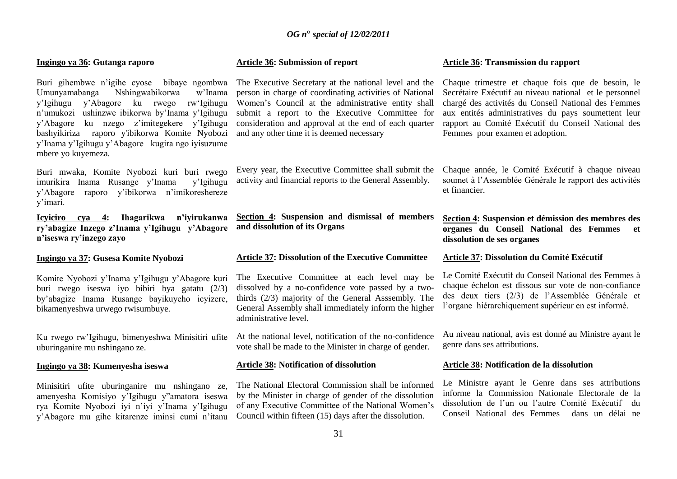#### **Ingingo ya 36: Gutanga raporo**

Buri gihembwe n'igihe cyose bibaye ngombwa<br>Umunyamabanga Nshingwabikorwa w'Inama Nshingwabikorwa y"Igihugu y"Abagore ku rwego rw"Igihugu n"umukozi ushinzwe ibikorwa by"Inama y"Igihugu y"Abagore ku nzego z"imitegekere y"Igihugu bashyikiriza raporo y'ibikorwa Komite Nyobozi y"Inama y"Igihugu y"Abagore kugira ngo iyisuzume mbere yo kuyemeza.

Buri mwaka, Komite Nyobozi kuri buri rwego imurikira Inama Rusange y"Inama y"Igihugu y"Abagore raporo y"ibikorwa n"imikoreshereze y"imari.

**Icyiciro cya 4: Ihagarikwa n'iyirukanwa ry'abagize Inzego z'Inama y'Igihugu y'Abagore n'iseswa ry'inzego zayo**

**Ingingo ya 37: Gusesa Komite Nyobozi**

Komite Nyobozi y"Inama y"Igihugu y"Abagore kuri buri rwego iseswa iyo bibiri bya gatatu (2/3) by"abagize Inama Rusange bayikuyeho icyizere, bikamenyeshwa urwego rwisumbuye.

Ku rwego rw"Igihugu, bimenyeshwa Minisitiri ufite uburinganire mu nshingano ze.

#### **Ingingo ya 38: Kumenyesha iseswa**

Minisitiri ufite uburinganire mu nshingano ze, amenyesha Komisiyo y"Igihugu y"amatora iseswa rya Komite Nyobozi iyi n"iyi y"Inama y"Igihugu y"Abagore mu gihe kitarenze iminsi cumi n"itanu

#### **Article 36: Submission of report**

The Executive Secretary at the national level and the person in charge of coordinating activities of National Women"s Council at the administrative entity shall submit a report to the Executive Committee for consideration and approval at the end of each quarter and any other time it is deemed necessary

Every year, the Executive Committee shall submit the activity and financial reports to the General Assembly.

**Section 4: Suspension and dismissal of members and dissolution of its Organs**

#### **Article 37: Dissolution of the Executive Committee**

The Executive Committee at each level may be dissolved by a no-confidence vote passed by a twothirds (2/3) majority of the General Asssembly. The General Assembly shall immediately inform the higher administrative level.

At the national level, notification of the no-confidence vote shall be made to the Minister in charge of gender.

#### **Article 38: Notification of dissolution**

The National Electoral Commission shall be informed by the Minister in charge of gender of the dissolution of any Executive Committee of the National Women"s Council within fifteen (15) days after the dissolution.

#### **Article 36: Transmission du rapport**

Chaque trimestre et chaque fois que de besoin, le Secrétaire Exécutif au niveau national et le personnel chargé des activités du Conseil National des Femmes aux entités administratives du pays soumettent leur rapport au Comité Exécutif du Conseil National des Femmes pour examen et adoption.

Chaque année, le Comité Exécutif à chaque niveau soumet à l"Assemblée Générale le rapport des activités et financier.

#### **Section 4: Suspension et démission des membres des organes du Conseil National des Femmes et dissolution de ses organes**

#### **Article 37: Dissolution du Comité Exécutif**

Le Comité Exécutif du Conseil National des Femmes à chaque échelon est dissous sur vote de non-confiance des deux tiers (2/3) de l"Assemblée Générale et l"organe hiérarchiquement supérieur en est informé.

Au niveau national, avis est donné au Ministre ayant le genre dans ses attributions.

#### **Article 38: Notification de la dissolution**

Le Ministre ayant le Genre dans ses attributions informe la Commission Nationale Electorale de la dissolution de l"un ou l"autre Comité Exécutif du Conseil National des Femmes dans un délai ne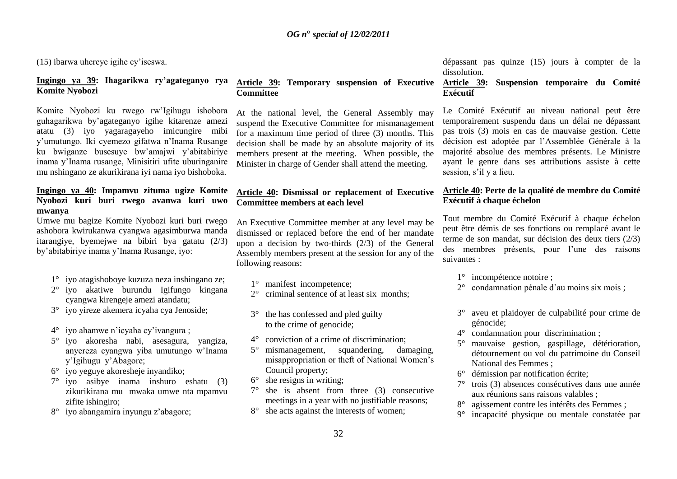(15) ibarwa uhereye igihe cy"iseswa.

# **Ingingo ya 39: Ihagarikwa ry'agateganyo rya Komite Nyobozi**

Komite Nyobozi ku rwego rw"Igihugu ishobora guhagarikwa by"agateganyo igihe kitarenze amezi atatu (3) iyo yagaragayeho imicungire mibi y"umutungo. Iki cyemezo gifatwa n"Inama Rusange ku bwiganze busesuye bw"amajwi y"abitabiriye inama y"Inama rusange, Minisitiri ufite uburinganire mu nshingano ze akurikirana iyi nama iyo bishoboka.

#### **Ingingo ya 40: Impamvu zituma ugize Komite Nyobozi kuri buri rwego avanwa kuri uwo mwanya**

Umwe mu bagize Komite Nyobozi kuri buri rwego ashobora kwirukanwa cyangwa agasimburwa manda itarangiye, byemejwe na bibiri bya gatatu (2/3) by"abitabiriye inama y"Inama Rusange, iyo:

- 1° iyo atagishoboye kuzuza neza inshingano ze;
- 2° iyo akatiwe burundu Igifungo kingana cyangwa kirengeje amezi atandatu;
- 3° iyo yireze akemera icyaha cya Jenoside;
- 4° iyo ahamwe n"icyaha cy"ivangura ;
- 5° iyo akoresha nabi, asesagura, yangiza, anyereza cyangwa yiba umutungo w"Inama y"Igihugu y"Abagore;
- 6° iyo yeguye akoresheje inyandiko;
- 7° iyo asibye inama inshuro eshatu (3) zikurikirana mu mwaka umwe nta mpamvu zifite ishingiro;
- 8° iyo abangamira inyungu z"abagore;

#### **Article 39: Temporary suspension of Executive Committee**

At the national level, the General Assembly may suspend the Executive Committee for mismanagement for a maximum time period of three (3) months. This decision shall be made by an absolute majority of its members present at the meeting. When possible, the Minister in charge of Gender shall attend the meeting.

# **Article 40: Dismissal or replacement of Executive Committee members at each level**

An Executive Committee member at any level may be dismissed or replaced before the end of her mandate upon a decision by two-thirds (2/3) of the General Assembly members present at the session for any of the following reasons:

- 1° manifest incompetence:
- 2° criminal sentence of at least six months;
- 3° the has confessed and pled guilty to the crime of genocide;
- 4° conviction of a crime of discrimination;
- 5° mismanagement, squandering, damaging, misappropriation or theft of National Women"s Council property;
- $6^\circ$  she resigns in writing:
- 7° she is absent from three (3) consecutive meetings in a year with no justifiable reasons;
- 8° she acts against the interests of women;

dépassant pas quinze (15) jours à compter de la dissolution.

# **Article 39: Suspension temporaire du Comité Exécutif**

Le Comité Exécutif au niveau national peut être temporairement suspendu dans un délai ne dépassant pas trois (3) mois en cas de mauvaise gestion. Cette décision est adoptée par l"Assemblée Générale à la majorité absolue des membres présents. Le Ministre ayant le genre dans ses attributions assiste à cette session, s'il y a lieu.

# **Article 40: Perte de la qualité de membre du Comité Exécutif à chaque échelon**

Tout membre du Comité Exécutif à chaque échelon peut être démis de ses fonctions ou remplacé avant le terme de son mandat, sur décision des deux tiers (2/3) des membres présents, pour l"une des raisons suivantes :

- 1° incompétence notoire ;
- condamnation pénale d'au moins six mois ;
- 3° aveu et plaidoyer de culpabilité pour crime de génocide;
- 4° condamnation pour discrimination ;
- 5° mauvaise gestion, gaspillage, détérioration, détournement ou vol du patrimoine du Conseil National des Femmes ;
- 6° démission par notification écrite;
- 7° trois (3) absences consécutives dans une année aux réunions sans raisons valables ;
- 8° agissement contre les intérêts des Femmes ;
- 9° incapacité physique ou mentale constatée par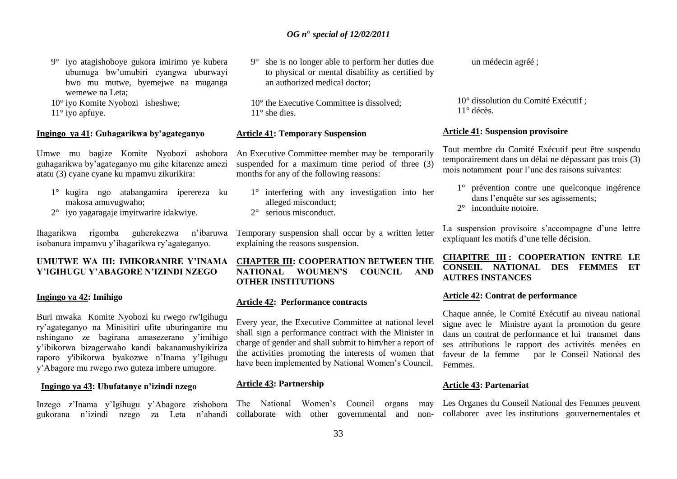9° iyo atagishoboye gukora imirimo ye kubera ubumuga bw"umubiri cyangwa uburwayi bwo mu mutwe, byemejwe na muganga wemewe na Leta;

10° iyo Komite Nyobozi isheshwe;

11° iyo apfuye.

#### **Ingingo ya 41: Guhagarikwa by'agateganyo**

Umwe mu bagize Komite Nyobozi ashobora guhagarikwa by"agateganyo mu gihe kitarenze amezi atatu (3) cyane cyane ku mpamvu zikurikira:

- 1° kugira ngo atabangamira iperereza ku makosa amuvugwaho;
- 2° iyo yagaragaje imyitwarire idakwiye.

Ihagarikwa rigomba guherekezwa n"ibaruwa isobanura impamvu y"ihagarikwa ry"agateganyo.

#### **UMUTWE WA III: IMIKORANIRE Y'INAMA Y'IGIHUGU Y'ABAGORE N'IZINDI NZEGO**

#### **Ingingo ya 42: Imihigo**

Buri mwaka Komite Nyobozi ku rwego rw'Igihugu ry"agateganyo na Minisitiri ufite uburinganire mu nshingano ze bagirana amasezerano y"imihigo y"ibikorwa bizagerwaho kandi bakanamushyikiriza raporo y'ibikorwa byakozwe n"Inama y"Igihugu y"Abagore mu rwego rwo guteza imbere umugore.

#### **Ingingo ya 43: Ubufatanye n'izindi nzego**

gukorana n"izindi nzego za Leta n"abandi collaborate with other governmental and non-collaborer avec les institutions gouvernementales et

9° she is no longer able to perform her duties due to physical or mental disability as certified by an authorized medical doctor;

10° the Executive Committee is dissolved; 11° she dies.

#### **Article 41: Temporary Suspension**

An Executive Committee member may be temporarily suspended for a maximum time period of three (3) months for any of the following reasons:

- 1° interfering with any investigation into her alleged misconduct; 2° serious misconduct.
- 

Temporary suspension shall occur by a written letter explaining the reasons suspension.

# **CHAPTER III: COOPERATION BETWEEN THE NATIONAL WOUMEN'S COUNCIL AND OTHER INSTITUTIONS**

#### **Article 42: Performance contracts**

Every year, the Executive Committee at national level shall sign a performance contract with the Minister in charge of gender and shall submit to him/her a report of the activities promoting the interests of women that have been implemented by National Women's Council.

# **Article 43: Partnership**

Inzego z"Inama y"Igihugu y"Abagore zishobora The National Women"s Council organs may

un médecin agréé ;

10° dissolution du Comité Exécutif ; 11° décès.

#### **Article 41: Suspension provisoire**

Tout membre du Comité Exécutif peut être suspendu temporairement dans un délai ne dépassant pas trois (3) mois notamment pour l"une des raisons suivantes:

- 1° prévention contre une quelconque ingérence dans l'enquête sur ses agissements:
- 2° inconduite notoire.

La suspension provisoire s'accompagne d'une lettre expliquant les motifs d"une telle décision.

# **CHAPITRE III : COOPERATION ENTRE LE CONSEIL NATIONAL DES FEMMES ET AUTRES INSTANCES**

#### **Article 42: Contrat de performance**

Chaque année, le Comité Exécutif au niveau national signe avec le Ministre ayant la promotion du genre dans un contrat de performance et lui transmet dans ses attributions le rapport des activités menées en faveur de la femme par le Conseil National des Femmes.

#### **Article 43: Partenariat**

Les Organes du Conseil National des Femmes peuvent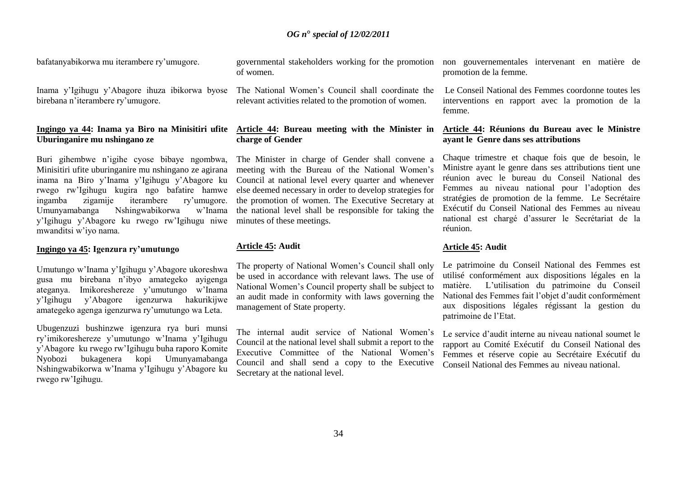bafatanyabikorwa mu iterambere ry"umugore.

Inama y"Igihugu y"Abagore ihuza ibikorwa byose birebana n"iterambere ry"umugore.

#### **Ingingo ya 44: Inama ya Biro na Minisitiri ufite Uburinganire mu nshingano ze**

Buri gihembwe n"igihe cyose bibaye ngombwa, Minisitiri ufite uburinganire mu nshingano ze agirana inama na Biro y"Inama y"Igihugu y"Abagore ku rwego rw"Igihugu kugira ngo bafatire hamwe ingamba zigamije iterambere ry"umugore. Umunyamabanga Nshingwabikorwa w"Inama y"Igihugu y"Abagore ku rwego rw"Igihugu niwe mwanditsi w"iyo nama.

#### **Ingingo ya 45: Igenzura ry'umutungo**

Umutungo w"Inama y"Igihugu y"Abagore ukoreshwa gusa mu birebana n"ibyo amategeko ayigenga ateganya. Imikoreshereze y"umutungo w"Inama y"Igihugu y"Abagore igenzurwa hakurikijwe amategeko agenga igenzurwa ry"umutungo wa Leta.

Ubugenzuzi bushinzwe igenzura rya buri munsi ry"imikoreshereze y"umutungo w"Inama y"Igihugu y"Abagore ku rwego rw"Igihugu buha raporo Komite Nyobozi bukagenera kopi Umunyamabanga Nshingwabikorwa w"Inama y"Igihugu y"Abagore ku rwego rw"Igihugu.

governmental stakeholders working for the promotion of women.

The National Women"s Council shall coordinate the relevant activities related to the promotion of women.

# **Article 44: Bureau meeting with the Minister in charge of Gender**

The Minister in charge of Gender shall convene a meeting with the Bureau of the National Women's Council at national level every quarter and whenever else deemed necessary in order to develop strategies for the promotion of women. The Executive Secretary at the national level shall be responsible for taking the minutes of these meetings.

#### **Article 45: Audit**

The property of National Women"s Council shall only be used in accordance with relevant laws. The use of National Women"s Council property shall be subject to an audit made in conformity with laws governing the management of State property.

The internal audit service of National Women's Council at the national level shall submit a report to the Executive Committee of the National Women's Council and shall send a copy to the Executive Secretary at the national level.

non gouvernementales intervenant en matière de promotion de la femme.

Le Conseil National des Femmes coordonne toutes les interventions en rapport avec la promotion de la femme.

#### **Article 44: Réunions du Bureau avec le Ministre ayant le Genre dans ses attributions**

Chaque trimestre et chaque fois que de besoin, le Ministre ayant le genre dans ses attributions tient une réunion avec le bureau du Conseil National des Femmes au niveau national pour l"adoption des stratégies de promotion de la femme. Le Secrétaire Exécutif du Conseil National des Femmes au niveau national est chargé d"assurer le Secrétariat de la réunion.

#### **Article 45: Audit**

Le patrimoine du Conseil National des Femmes est utilisé conformément aux dispositions légales en la matière. L"utilisation du patrimoine du Conseil National des Femmes fait l"objet d"audit conformément aux dispositions légales régissant la gestion du patrimoine de l"Etat.

Le service d"audit interne au niveau national soumet le rapport au Comité Exécutif du Conseil National des Femmes et réserve copie au Secrétaire Exécutif du Conseil National des Femmes au niveau national.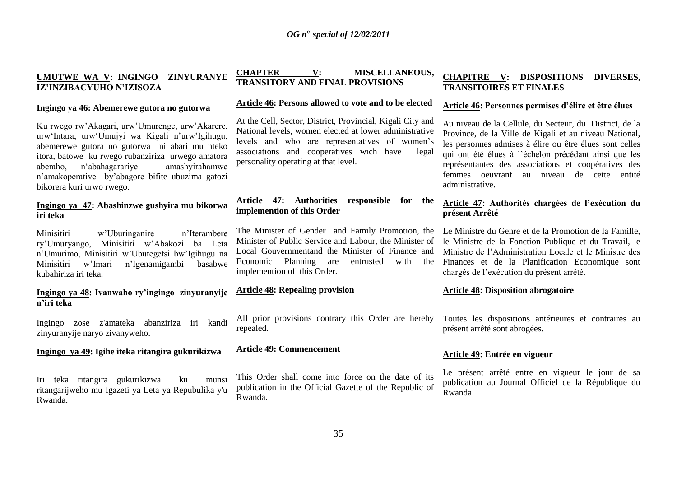# **UMUTWE WA V: INGINGO ZINYURANYE IZ'INZIBACYUHO N'IZISOZA**

#### **Ingingo ya 46: Abemerewe gutora no gutorwa**

Ku rwego rw"Akagari, urw"Umurenge, urw"Akarere, urw"Intara, urw"Umujyi wa Kigali n"urw"Igihugu, abemerewe gutora no gutorwa ni abari mu nteko itora, batowe ku rwego rubanziriza urwego amatora aberaho, n"abahagarariye amashyirahamwe n"amakoperative by"abagore bifite ubuzima gatozi bikorera kuri urwo rwego.

#### **Ingingo ya 47: Abashinzwe gushyira mu bikorwa iri teka**

Minisitiri w'Uburinganire n'Iterambere ry"Umuryango, Minisitiri w"Abakozi ba Leta n'Umurimo, Minisitiri w'Ubutegetsi bw'Igihugu na<br>Minisitiri w'Imari n'Igenamigambi basabwe Minisitiri w"Imari n"Igenamigambi basabwe kubahiriza iri teka.

# **Ingingo ya 48: Ivanwaho ry'ingingo zinyuranyije n'iri teka**

Ingingo zose z'amateka abanziriza iri kandi zinyuranyije naryo zivanyweho.

#### **Ingingo ya 49: Igihe iteka ritangira gukurikizwa**

Iri teka ritangira gukurikizwa ku munsi ritangarijweho mu Igazeti ya Leta ya Repubulika y'u Rwanda.

# **CHAPTER V: MISCELLANEOUS, TRANSITORY AND FINAL PROVISIONS**

# **Article 46: Persons allowed to vote and to be elected**

At the Cell, Sector, District, Provincial, Kigali City and National levels, women elected at lower administrative levels and who are representatives of women"s associations and cooperatives wich have legal personality operating at that level.

# **Article 47: Authorities responsible for the implemention of this Order**

The Minister of Gender and Family Promotion, the Minister of Public Service and Labour, the Minister of Local Gouvernmentand the Minister of Finance and Economic Planning are entrusted with implemention of this Order.

#### **Article 48: Repealing provision**

All prior provisions contrary this Order are hereby repealed.

# **Article 49: Commencement**

This Order shall come into force on the date of its publication in the Official Gazette of the Republic of Rwanda.

# **CHAPITRE V: DISPOSITIONS DIVERSES, TRANSITOIRES ET FINALES**

#### **Article 46: Personnes permises d'élire et être élues**

Au niveau de la Cellule, du Secteur, du District, de la Province, de la Ville de Kigali et au niveau National, les personnes admises à élire ou être élues sont celles qui ont été élues à l"échelon précédant ainsi que les représentantes des associations et coopératives des femmes oeuvrant au niveau de cette entité administrative.

# **Article 47: Authorités chargées de l'exécution du présent Arrêté**

Le Ministre du Genre et de la Promotion de la Famille, le Ministre de la Fonction Publique et du Travail, le Ministre de l"Administration Locale et le Ministre des Finances et de la Planification Economique sont chargés de l"exécution du présent arrêté.

#### **Article 48: Disposition abrogatoire**

Toutes les dispositions antérieures et contraires au présent arrêté sont abrogées.

# **Article 49: Entrée en vigueur**

Le présent arrêté entre en vigueur le jour de sa publication au Journal Officiel de la République du Rwanda.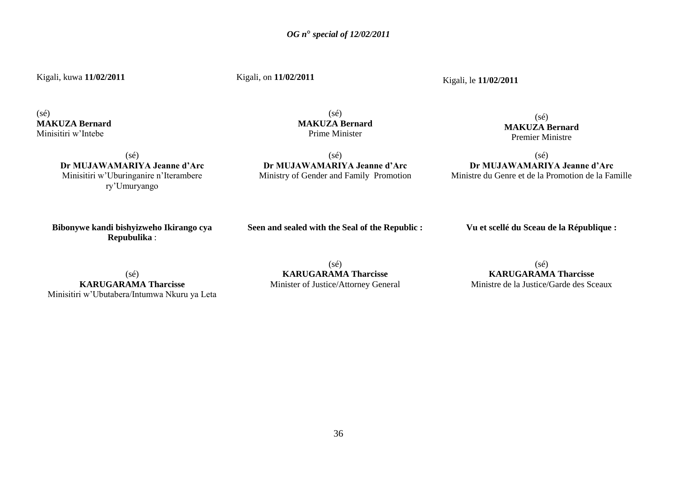Kigali, kuwa **11/02/2011**

Kigali, on **11/02/2011**

Kigali, le **11/02/2011**

 $(s\acute{e})$ **MAKUZA Bernard** Minisitiri w"Intebe

 $(sé)$ **MAKUZA Bernard** Prime Minister

(sé) **MAKUZA Bernard**

Premier Ministre

(sé) **Dr MUJAWAMARIYA Jeanne d'Arc** Minisitiri w"Uburinganire n"Iterambere ry"Umuryango

 $(sé)$ **Dr MUJAWAMARIYA Jeanne d'Arc** Ministry of Gender and Family Promotion

(sé) **Dr MUJAWAMARIYA Jeanne d'Arc** Ministre du Genre et de la Promotion de la Famille

**Bibonywe kandi bishyizweho Ikirango cya Repubulika** :

**Seen and sealed with the Seal of the Republic :**

**Vu et scellé du Sceau de la République :**

(sé) **KARUGARAMA Tharcisse** Minisitiri w"Ubutabera/Intumwa Nkuru ya Leta

(sé) **KARUGARAMA Tharcisse** Minister of Justice/Attorney General

 $(sé)$ **KARUGARAMA Tharcisse** Ministre de la Justice/Garde des Sceaux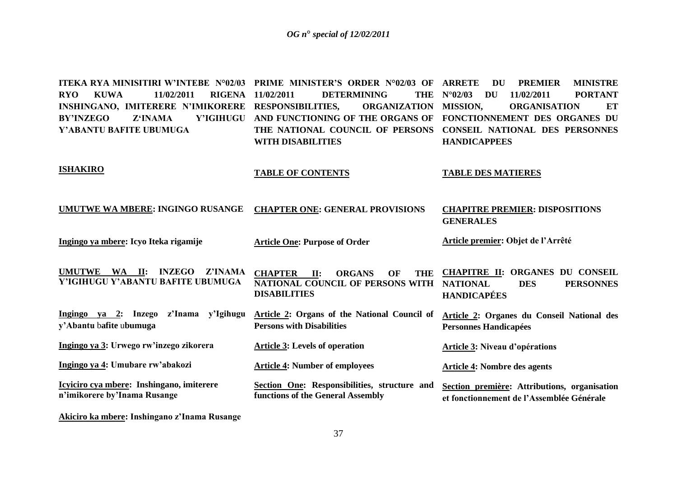**ITEKA RYA MINISITIRI W'INTEBE N°02/03 PRIME MINISTER'S ORDER N°02/03 OF RYO KUWA 11/02/2011 RIGENA INSHINGANO, IMITERERE N'IMIKORERE RESPONSIBILITIES, ORGANIZATION BY'INZEGO Z'INAMA Y'IGIHUGU AND FUNCTIONING OF THE ORGANS OF FONCTIONNEMENT DES ORGANES DU Y'ABANTU BAFITE UBUMUGA ISHAKIRO UMUTWE WA MBERE: INGINGO RUSANGE Ingingo ya mbere: Icyo Iteka rigamije UMUTWE WA II: INZEGO Z'INAMA Y'IGIHUGU Y'ABANTU BAFITE UBUMUGA Ingingo ya 2: Inzego z'Inama y'Igihugu y'Abantu** b**afite** u**bumuga Ingingo ya 3: Urwego rw'inzego zikorera Ingingo ya 4: Umubare rw'abakozi Icyiciro cya mbere: Inshingano, imiterere n'imikorere by'Inama Rusange DETERMINING THE NATIONAL COUNCIL OF PERSONS CONSEIL NATIONAL DES PERSONNES WITH DISABILITIES TABLE OF CONTENTS CHAPTER ONE: GENERAL PROVISIONS Article One: Purpose of Order CHAPTER II: ORGANS OF THE NATIONAL COUNCIL OF PERSONS WITH NATIONAL DISABILITIES Article 2: Organs of the National Council of Persons with Disabilities Article 3: Levels of operation Article 4: Number of employees Section One: Responsibilities, structure and functions of the General Assembly DU PREMIER MINISTRE N°02/03 DU 11/02/2011 PORTANT ORGANIZATION MISSION. ORGANISATION ET HANDICAPPEES TABLE DES MATIERES CHAPITRE PREMIER: DISPOSITIONS GENERALES Article premier: Objet de l'Arrêté CHAPITRE II: ORGANES DU CONSEIL**  DES PERSONNES **HANDICAPÉES Article 2: Organes du Conseil National des Personnes Handicapées Article 3: Niveau d'opérations Article 4: Nombre des agents Section première: Attributions, organisation et fonctionnement de l'Assemblée Générale**

**Akiciro ka mbere: Inshingano z'Inama Rusange**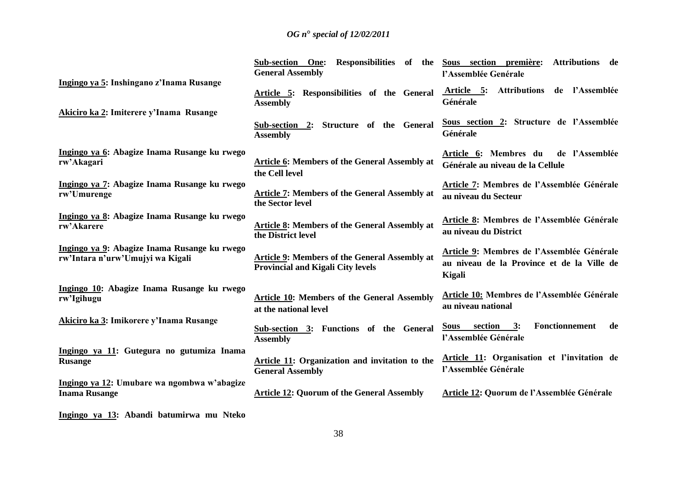|                                                                                  | Responsibilities of the<br>Sub-section One:<br><b>General Assembly</b>                           | Sous section première:<br><b>Attributions</b><br>de<br>l'Assemblée Genérale                        |
|----------------------------------------------------------------------------------|--------------------------------------------------------------------------------------------------|----------------------------------------------------------------------------------------------------|
| Ingingo ya 5: Inshingano z'Inama Rusange                                         | Article 5: Responsibilities of the General<br><b>Assembly</b>                                    | Attributions de l'Assemblée<br>Article 5:<br>Générale                                              |
| Akiciro ka 2: Imiterere y'Inama Rusange                                          | Sub-section 2: Structure of the General<br><b>Assembly</b>                                       | Sous section 2: Structure de l'Assemblée<br>Générale                                               |
| Ingingo ya 6: Abagize Inama Rusange ku rwego<br>rw'Akagari                       | <b>Article 6: Members of the General Assembly at</b><br>the Cell level                           | de l'Assemblée<br>Article 6: Membres du<br>Générale au niveau de la Cellule                        |
| Ingingo ya 7: Abagize Inama Rusange ku rwego<br>rw'Umurenge                      | <b>Article 7: Members of the General Assembly at</b><br>the Sector level                         | Article 7: Membres de l'Assemblée Générale<br>au niveau du Secteur                                 |
| Ingingo ya 8: Abagize Inama Rusange ku rwego<br>rw'Akarere                       | <b>Article 8: Members of the General Assembly at</b><br>the District level                       | Article 8: Membres de l'Assemblée Générale<br>au niveau du District                                |
| Ingingo ya 9: Abagize Inama Rusange ku rwego<br>rw'Intara n'urw'Umujyi wa Kigali | <b>Article 9: Members of the General Assembly at</b><br><b>Provincial and Kigali City levels</b> | Article 9: Membres de l'Assemblée Générale<br>au niveau de la Province et de la Ville de<br>Kigali |
| Ingingo 10: Abagize Inama Rusange ku rwego<br>rw'Igihugu                         | <b>Article 10:</b> Members of the General Assembly<br>at the national level                      | <b>Article 10: Membres de l'Assemblée Générale</b><br>au niveau national                           |
| Akiciro ka 3: Imikorere y'Inama Rusange                                          | Sub-section 3: Functions of the General<br><b>Assembly</b>                                       | Sous section 3:<br><b>Fonctionnement</b><br>de<br>l'Assemblée Générale                             |
| Ingingo ya 11: Gutegura no gutumiza Inama<br><b>Rusange</b>                      | Article 11: Organization and invitation to the<br><b>General Assembly</b>                        | Article 11: Organisation et l'invitation de<br>l'Assemblée Générale                                |
| Ingingo ya 12: Umubare wa ngombwa w'abagize<br><b>Inama Rusange</b>              | <b>Article 12: Quorum of the General Assembly</b>                                                | Article 12: Quorum de l'Assemblée Générale                                                         |

**Ingingo ya 13: Abandi batumirwa mu Nteko**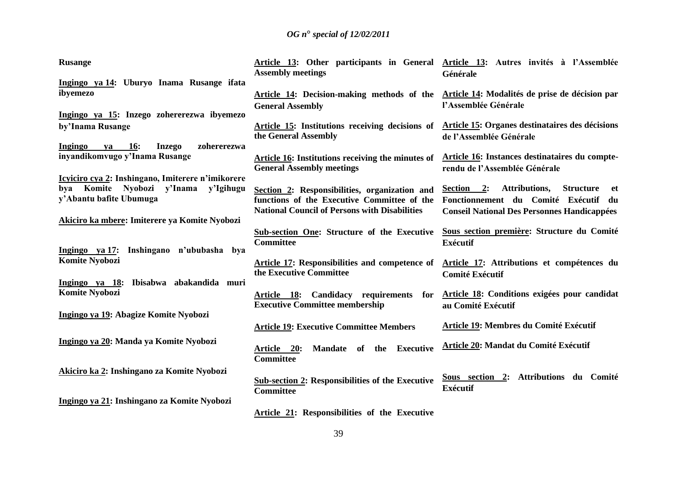| <b>Rusange</b>                                                   | Article 13: Other participants in General Article 13: Autres invités à l'Assemblée<br><b>Assembly meetings</b> | Générale                                                     |
|------------------------------------------------------------------|----------------------------------------------------------------------------------------------------------------|--------------------------------------------------------------|
| Ingingo ya 14: Uburyo Inama Rusange ifata                        |                                                                                                                |                                                              |
| ibyemezo                                                         | Article 14: Decision-making methods of the                                                                     | Article 14: Modalités de prise de décision par               |
|                                                                  | <b>General Assembly</b>                                                                                        | l'Assemblée Générale                                         |
| Ingingo ya 15: Inzego zohererezwa ibyemezo                       |                                                                                                                |                                                              |
| by'Inama Rusange                                                 | <b>Article 15: Institutions receiving decisions of</b>                                                         | Article 15: Organes destinataires des décisions              |
|                                                                  | the General Assembly                                                                                           | de l'Assemblée Générale                                      |
| Ingingo<br><b>16:</b><br><b>Inzego</b><br>zohererezwa<br>ya      |                                                                                                                |                                                              |
| inyandikomvugo y'Inama Rusange                                   | <b>Article 16:</b> Institutions receiving the minutes of                                                       | Article 16: Instances destinataires du compte-               |
|                                                                  | <b>General Assembly meetings</b>                                                                               | rendu de l'Assemblée Générale                                |
| Icyiciro cya 2: Inshingano, Imiterere n'imikorere                |                                                                                                                |                                                              |
| Komite Nyobozi y'Inama<br>y'Igihugu<br>bya                       | Section 2: Responsibilities, organization and                                                                  | <b>Attributions,</b><br>Section 2:<br><b>Structure</b><br>et |
| y'Abantu bafite Ubumuga                                          | functions of the Executive Committee of the                                                                    | Fonctionnement du Comité Exécutif du                         |
|                                                                  | <b>National Council of Persons with Disabilities</b>                                                           | <b>Conseil National Des Personnes Handicappées</b>           |
| Akiciro ka mbere: Imiterere ya Komite Nyobozi                    |                                                                                                                |                                                              |
|                                                                  | Sub-section One: Structure of the Executive                                                                    | Sous section première: Structure du Comité                   |
|                                                                  | <b>Committee</b>                                                                                               | <b>Exécutif</b>                                              |
| Ingingo ya 17:<br>Inshingano n'ububasha<br>bya<br>Komite Nyobozi |                                                                                                                |                                                              |
|                                                                  | Article 17: Responsibilities and competence of<br>the Executive Committee                                      | Article 17: Attributions et compétences du                   |
| Ingingo ya 18: Ibisabwa abakandida muri                          |                                                                                                                | <b>Comité Exécutif</b>                                       |
| <b>Komite Nyobozi</b>                                            |                                                                                                                | Article 18: Conditions exigées pour candidat                 |
|                                                                  | Article 18: Candidacy requirements for<br><b>Executive Committee membership</b>                                |                                                              |
| Ingingo ya 19: Abagize Komite Nyobozi                            |                                                                                                                | au Comité Exécutif                                           |
|                                                                  | <b>Article 19: Executive Committee Members</b>                                                                 | Article 19: Membres du Comité Exécutif                       |
|                                                                  |                                                                                                                |                                                              |
| Ingingo ya 20: Manda ya Komite Nyobozi                           | Article 20:<br>Mandate of the<br><b>Executive</b>                                                              | Article 20: Mandat du Comité Exécutif                        |
|                                                                  | <b>Committee</b>                                                                                               |                                                              |
|                                                                  |                                                                                                                |                                                              |
| Akiciro ka 2: Inshingano za Komite Nyobozi                       | <b>Sub-section 2: Responsibilities of the Executive</b>                                                        | Sous section 2: Attributions du Comité                       |
|                                                                  | <b>Committee</b>                                                                                               | <b>Exécutif</b>                                              |
| Ingingo ya 21: Inshingano za Komite Nyobozi                      |                                                                                                                |                                                              |
|                                                                  | Article 21: Responsibilities of the Executive                                                                  |                                                              |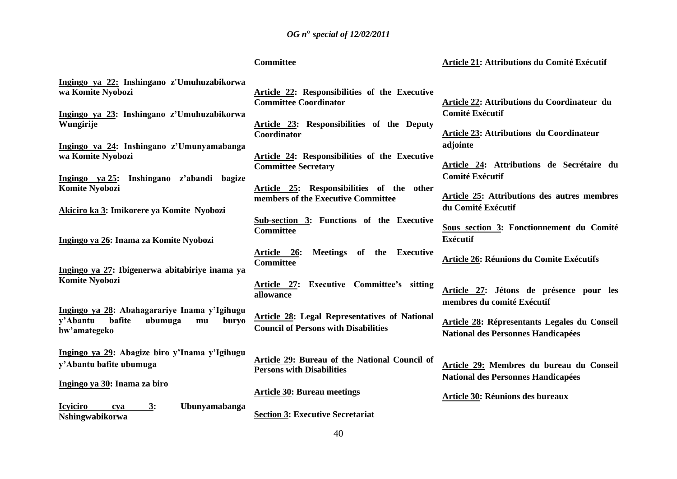| <b>Committee</b> |
|------------------|
|------------------|

# **Article 21: Attributions du Comité Exécutif**

| Ingingo ya 22: Inshingano z'Umuhuzabikorwa                                                   |                                                                                   |                                                                       |
|----------------------------------------------------------------------------------------------|-----------------------------------------------------------------------------------|-----------------------------------------------------------------------|
| wa Komite Nyobozi                                                                            | Article 22: Responsibilities of the Executive<br><b>Committee Coordinator</b>     | <b>Article 22: Attributions du Coordinateur du</b>                    |
| Ingingo ya 23: Inshingano z'Umuhuzabikorwa                                                   |                                                                                   | <b>Comité Exécutif</b>                                                |
| Wungirije                                                                                    | Article 23: Responsibilities of the Deputy<br>Coordinator                         | <b>Article 23: Attributions du Coordinateur</b>                       |
| Ingingo ya 24: Inshingano z'Umunyamabanga                                                    |                                                                                   | adjointe                                                              |
| wa Komite Nyobozi                                                                            | Article 24: Responsibilities of the Executive<br><b>Committee Secretary</b>       | Article 24: Attributions de Secrétaire du                             |
| Ingingo ya 25: Inshingano z'abandi bagize<br>Komite Nyobozi                                  | Article 25: Responsibilities of the other                                         | <b>Comité Exécutif</b>                                                |
| Akiciro ka 3: Imikorere ya Komite Nyobozi                                                    | members of the Executive Committee                                                | Article 25: Attributions des autres membres<br>du Comité Exécutif     |
|                                                                                              | Sub-section 3: Functions of the Executive                                         |                                                                       |
| Ingingo ya 26: Inama za Komite Nyobozi                                                       | <b>Committee</b>                                                                  | Sous section 3: Fonctionnement du Comité<br>Exécutif                  |
|                                                                                              | Meetings of the Executive<br>Article 26:<br><b>Committee</b>                      | Article 26: Réunions du Comite Exécutifs                              |
| Ingingo ya 27: Ibigenerwa abitabiriye inama ya<br>Komite Nyobozi                             |                                                                                   |                                                                       |
|                                                                                              | Article 27: Executive Committee's sitting<br>allowance                            | Article 27: Jétons de présence pour les<br>membres du comité Exécutif |
| Ingingo ya 28: Abahagarariye Inama y'Igihugu<br>bafite<br>y'Abantu<br>ubumuga<br>buryo<br>mu | <b>Article 28: Legal Representatives of National</b>                              | <b>Article 28: Répresentants Legales du Conseil</b>                   |
| bw'amategeko                                                                                 | <b>Council of Persons with Disabilities</b>                                       | <b>National des Personnes Handicapées</b>                             |
| Ingingo ya 29: Abagize biro y'Inama y'Igihugu                                                |                                                                                   |                                                                       |
| y'Abantu bafite ubumuga                                                                      | Article 29: Bureau of the National Council of<br><b>Persons with Disabilities</b> | Article 29: Membres du bureau du Conseil                              |
| Ingingo ya 30: Inama za biro                                                                 |                                                                                   | <b>National des Personnes Handicapées</b>                             |
|                                                                                              | <b>Article 30: Bureau meetings</b>                                                | <b>Article 30: Réunions des bureaux</b>                               |
| <b>Icyiciro</b><br>3:<br>Ubunyamabanga<br>cya<br><b>Nshingwabikorwa</b>                      | <b>Section 3: Executive Secretariat</b>                                           |                                                                       |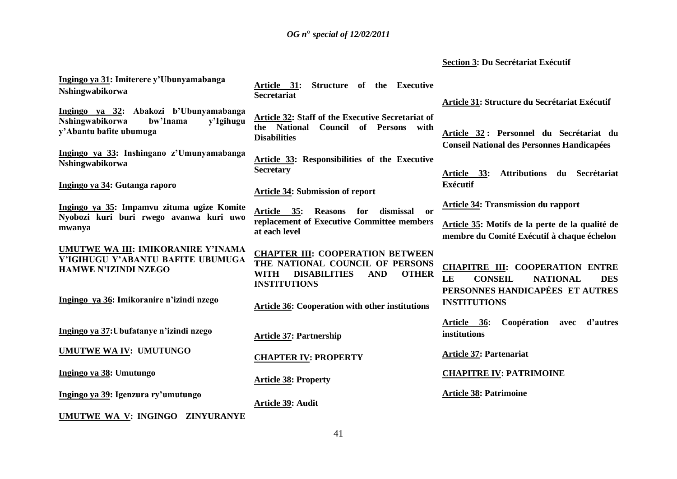# **Section 3: Du Secrétariat Exécutif**

| Ingingo ya 31: Imiterere y'Ubunyamabanga<br>Nshingwabikorwa                                                   | Structure of the Executive<br>Article 31:<br><b>Secretariat</b>                                                                                                       | Article 31: Structure du Secrétariat Exécutif                                                                                      |
|---------------------------------------------------------------------------------------------------------------|-----------------------------------------------------------------------------------------------------------------------------------------------------------------------|------------------------------------------------------------------------------------------------------------------------------------|
| Ingingo ya 32: Abakozi b'Ubunyamabanga<br>Nshingwabikorwa<br>bw'Inama<br>y'Igihugu<br>y'Abantu bafite ubumuga | Article 32: Staff of the Executive Secretariat of<br>the National<br><b>Council of Persons</b><br>with<br><b>Disabilities</b>                                         | Article 32: Personnel du Secrétariat du<br><b>Conseil National des Personnes Handicapées</b>                                       |
| Ingingo ya 33: Inshingano z'Umunyamabanga<br>Nshingwabikorwa                                                  | <b>Article 33: Responsibilities of the Executive</b><br><b>Secretary</b>                                                                                              | <b>Attributions</b><br>Secrétariat<br>du<br>Article 33:                                                                            |
| Ingingo ya 34: Gutanga raporo                                                                                 | <b>Article 34: Submission of report</b>                                                                                                                               | <b>Exécutif</b>                                                                                                                    |
| Ingingo ya 35: Impamvu zituma ugize Komite<br>Nyobozi kuri buri rwego avanwa kuri uwo                         | Article 35:<br><b>Reasons</b><br>dismissal<br>for<br>$\mathbf{or}$                                                                                                    | <b>Article 34: Transmission du rapport</b>                                                                                         |
| mwanya                                                                                                        | replacement of Executive Committee members<br>at each level                                                                                                           | Article 35: Motifs de la perte de la qualité de<br>membre du Comité Exécutif à chaque échelon                                      |
| UMUTWE WA III: IMIKORANIRE Y'INAMA<br>Y'IGIHUGU Y'ABANTU BAFITE UBUMUGA<br><b>HAMWE N'IZINDI NZEGO</b>        | <b>CHAPTER III: COOPERATION BETWEEN</b><br>THE NATIONAL COUNCIL OF PERSONS<br><b>DISABILITIES</b><br><b>OTHER</b><br><b>WITH</b><br><b>AND</b><br><b>INSTITUTIONS</b> | <b>CHAPITRE III: COOPERATION ENTRE</b><br>LE<br><b>CONSEIL</b><br><b>NATIONAL</b><br><b>DES</b><br>PERSONNES HANDICAPÉES ET AUTRES |
| Ingingo ya 36: Imikoranire n'izindi nzego                                                                     | <b>Article 36: Cooperation with other institutions</b>                                                                                                                | <b>INSTITUTIONS</b>                                                                                                                |
| Ingingo ya 37: Ubufatanye n'izindi nzego                                                                      | <b>Article 37: Partnership</b>                                                                                                                                        | Coopération avec<br>d'autres<br>Article 36:<br>institutions                                                                        |
| UMUTWE WA IV: UMUTUNGO                                                                                        | <b>CHAPTER IV: PROPERTY</b>                                                                                                                                           | <b>Article 37: Partenariat</b>                                                                                                     |
| Ingingo ya 38: Umutungo                                                                                       | <b>Article 38: Property</b>                                                                                                                                           | <b>CHAPITRE IV: PATRIMOINE</b>                                                                                                     |
| Ingingo ya 39: Igenzura ry'umutungo                                                                           | Article 39: Audit                                                                                                                                                     | <b>Article 38: Patrimoine</b>                                                                                                      |
| UMUTWE WA V: INGINGO ZINYURANYE                                                                               |                                                                                                                                                                       |                                                                                                                                    |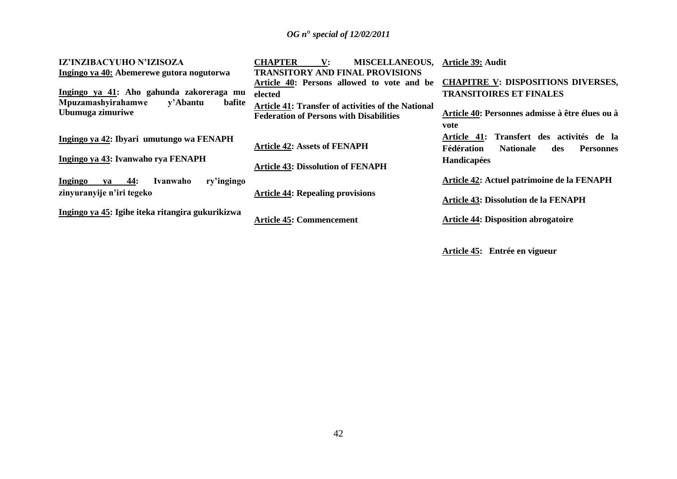| IZ'INZIBACYUHO N'IZISOZA                                     | <b>CHAPTER</b><br><b>MISCELLANEOUS,</b><br>$\mathbf{V}$ :                                                   | Article 39: Audit                                                                                                |
|--------------------------------------------------------------|-------------------------------------------------------------------------------------------------------------|------------------------------------------------------------------------------------------------------------------|
| Ingingo ya 40: Abemerewe gutora nogutorwa                    | <b>TRANSITORY AND FINAL PROVISIONS</b>                                                                      |                                                                                                                  |
|                                                              | Article 40: Persons allowed to vote and be                                                                  | <b>CHAPITRE V: DISPOSITIONS DIVERSES,</b>                                                                        |
| Ingingo ya 41: Aho gahunda zakoreraga mu                     | elected                                                                                                     | <b>TRANSITOIRES ET FINALES</b>                                                                                   |
| Mpuzamashyirahamwe<br>y'Abantu<br>bafite<br>Ubumuga zimuriwe | <b>Article 41: Transfer of activities of the National</b><br><b>Federation of Persons with Disabilities</b> | Article 40: Personnes admisse à être élues ou à                                                                  |
|                                                              |                                                                                                             | vote                                                                                                             |
| Ingingo ya 42: Ibyari umutungo wa FENAPH                     | <b>Article 42: Assets of FENAPH</b>                                                                         | Transfert des activités de la<br><b>Article 41:</b><br>Fédération<br><b>Nationale</b><br><b>Personnes</b><br>des |
| Ingingo ya 43: Ivanwaho rya FENAPH                           | <b>Article 43: Dissolution of FENAPH</b>                                                                    | Handicapées                                                                                                      |
| 44:<br>ry'ingingo<br>Ingingo<br>Ivanwaho<br>va               |                                                                                                             | Article 42: Actuel patrimoine de la FENAPH                                                                       |
| zinyuranyije n'iri tegeko                                    | <b>Article 44: Repealing provisions</b>                                                                     | <b>Article 43: Dissolution de la FENAPH</b>                                                                      |
| Ingingo ya 45: Igihe iteka ritangira gukurikizwa             | <b>Article 45: Commencement</b>                                                                             | <b>Article 44: Disposition abrogatoire</b>                                                                       |

**Article 45: Entrée en vigueur**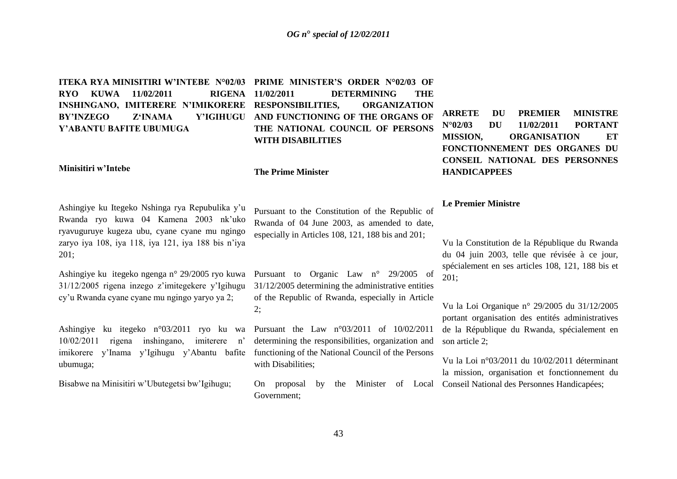**ITEKA RYA MINISITIRI W'INTEBE N°02/03 PRIME MINISTER'S ORDER N°02/03 OF RYO KUWA 11/02/2011 RIGENA Y'ABANTU BAFITE UBUMUGA**

#### **Minisitiri w'Intebe**

**INSHINGANO, IMITERERE N'IMIKORERE RESPONSIBILITIES, ORGANIZATION BY'INZEGO Z'INAMA Y'IGIHUGU AND FUNCTIONING OF THE ORGANS OF 11/02/2011 DETERMINING THE THE NATIONAL COUNCIL OF PERSONS WITH DISABILITIES**

**The Prime Minister** 

**ARRETE DU PREMIER MINISTRE N°02/03 DU 11/02/2011 PORTANT MISSION, ORGANISATION ET FONCTIONNEMENT DES ORGANES DU CONSEIL NATIONAL DES PERSONNES HANDICAPPEES** 

Ashingiye ku Itegeko Nshinga rya Repubulika y"u Rwanda ryo kuwa 04 Kamena 2003 nk"uko ryavuguruye kugeza ubu, cyane cyane mu ngingo zaryo iya 108, iya 118, iya 121, iya 188 bis n"iya 201;

Ashingiye ku itegeko ngenga n° 29/2005 ryo kuwa 31/12/2005 rigena inzego z"imitegekere y"Igihugu cy"u Rwanda cyane cyane mu ngingo yaryo ya 2;

Ashingiye ku itegeko n°03/2011 ryo ku wa 10/02/2011 rigena inshingano, imiterere n" imikorere y"Inama y"Igihugu y"Abantu bafite ubumuga;

Bisabwe na Minisitiri w"Ubutegetsi bw"Igihugu;

Pursuant to the Constitution of the Republic of Rwanda of 04 June 2003, as amended to date, especially in Articles 108, 121, 188 bis and 201;

Pursuant to Organic Law n° 29/2005 of 31/12/2005 determining the administrative entities of the Republic of Rwanda, especially in Article 2;

Pursuant the Law n°03/2011 of 10/02/2011 determining the responsibilities, organization and functioning of the National Council of the Persons with Disabilities;

On proposal by the Minister of Local Conseil National des Personnes Handicapées;Government;

**Le Premier Ministre** 

Vu la Constitution de la République du Rwanda du 04 juin 2003, telle que révisée à ce jour, spécialement en ses articles 108, 121, 188 bis et 201;

Vu la Loi Organique n° 29/2005 du 31/12/2005 portant organisation des entités administratives de la République du Rwanda, spécialement en son article 2;

Vu la Loi n°03/2011 du 10/02/2011 déterminant la mission, organisation et fonctionnement du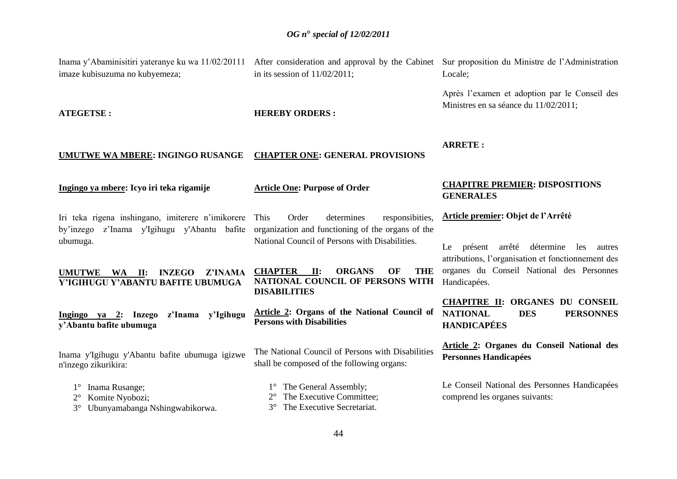Inama y'Abaminisitiri yateranye ku wa 11/02/20111 After consideration and approval by the Cabinet Sur proposition du Ministre de l'Administration

imaze kubisuzuma no kubyemeza; **ATEGETSE : UMUTWE WA MBERE: INGINGO RUSANGE Ingingo ya mbere: Icyo iri teka rigamije** Iri teka rigena inshingano, imiterere n"imikorere by"inzego z"Inama y'Igihugu y'Abantu bafite organization and functioning of the organs of the ubumuga. **UMUTWE WA II: INZEGO Z'INAMA Y'IGIHUGU Y'ABANTU BAFITE UBUMUGA Ingingo ya 2: Inzego z'Inama y'Igihugu y'Abantu bafite ubumuga** Inama y'Igihugu y'Abantu bafite ubumuga igizwe n'inzego zikurikira: 1° Inama Rusange; 2° Komite Nyobozi; 3° Ubunyamabanga Nshingwabikorwa. in its session of 11/02/2011; **HEREBY ORDERS : CHAPTER ONE: GENERAL PROVISIONS Article One: Purpose of Order**  Order determines responsibities, National Council of Persons with Disabilities. **CHAPTER II: ORGANS OF THE NATIONAL COUNCIL OF PERSONS WITH DISABILITIES Article 2: Organs of the National Council of Persons with Disabilities**  The National Council of Persons with Disabilities shall be composed of the following organs: 1° The General Assembly; 2° The Executive Committee; 3° The Executive Secretariat. Locale; Après l"examen et adoption par le Conseil des Ministres en sa séance du 11/02/2011; **ARRETE : CHAPITRE PREMIER: DISPOSITIONS GENERALES Article premier: Objet de l'Arrêté**  Le présent arrêté détermine les autres attributions, l"organisation et fonctionnement des organes du Conseil National des Personnes Handicapées. **CHAPITRE II: ORGANES DU CONSEIL NATIONAL DES PERSONNES HANDICAPÉES Article 2: Organes du Conseil National des Personnes Handicapées**  Le Conseil National des Personnes Handicapées comprend les organes suivants: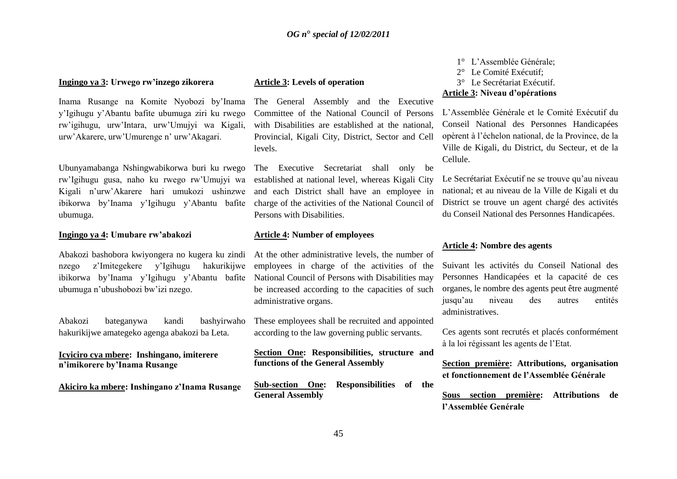#### **Ingingo ya 3: Urwego rw'inzego zikorera**

Inama Rusange na Komite Nyobozi by"Inama y"Igihugu y"Abantu bafite ubumuga ziri ku rwego rw"igihugu, urw"Intara, urw"Umujyi wa Kigali, urw"Akarere, urw"Umurenge n" urw"Akagari.

Ubunyamabanga Nshingwabikorwa buri ku rwego rw"Igihugu gusa, naho ku rwego rw"Umujyi wa Kigali n"urw"Akarere hari umukozi ushinzwe ibikorwa by"Inama y"Igihugu y"Abantu bafite ubumuga.

#### **Ingingo ya 4: Umubare rw'abakozi**

Abakozi bashobora kwiyongera no kugera ku zindi nzego z"Imitegekere y"Igihugu hakurikijwe ibikorwa by"Inama y"Igihugu y"Abantu bafite ubumuga n"ubushobozi bw"izi nzego.

Abakozi bateganywa kandi bashyirwaho hakurikijwe amategeko agenga abakozi ba Leta.

**Icyiciro cya mbere: Inshingano, imiterere n'imikorere by'Inama Rusange**

**Akiciro ka mbere: Inshingano z'Inama Rusange**

#### **Article 3: Levels of operation**

The General Assembly and the Executive Committee of the National Council of Persons with Disabilities are established at the national, Provincial, Kigali City, District, Sector and Cell levels.

The Executive Secretariat shall only be established at national level, whereas Kigali City and each District shall have an employee in charge of the activities of the National Council of Persons with Disabilities.

#### **Article 4: Number of employees**

At the other administrative levels, the number of employees in charge of the activities of the National Council of Persons with Disabilities may be increased according to the capacities of such administrative organs.

These employees shall be recruited and appointed according to the law governing public servants.

**Section One: Responsibilities, structure and functions of the General Assembly**

**Sub-section One: Responsibilities of the General Assembly** 

1° L"Assemblée Générale; 2° Le Comité Exécutif; 3° Le Secrétariat Exécutif. **Article 3: Niveau d'opérations**

L"Assemblée Générale et le Comité Exécutif du Conseil National des Personnes Handicapées opèrent à l"échelon national, de la Province, de la Ville de Kigali, du District, du Secteur, et de la Cellule.

Le Secrétariat Exécutif ne se trouve qu'au niveau national; et au niveau de la Ville de Kigali et du District se trouve un agent chargé des activités du Conseil National des Personnes Handicapées.

#### **Article 4: Nombre des agents**

Suivant les activités du Conseil National des Personnes Handicapées et la capacité de ces organes, le nombre des agents peut être augmenté jusqu"au niveau des autres entités administratives.

Ces agents sont recrutés et placés conformément à la loi régissant les agents de l"Etat.

**Section première: Attributions, organisation et fonctionnement de l'Assemblée Générale**

**Sous section première: Attributions de l'Assemblée Genérale**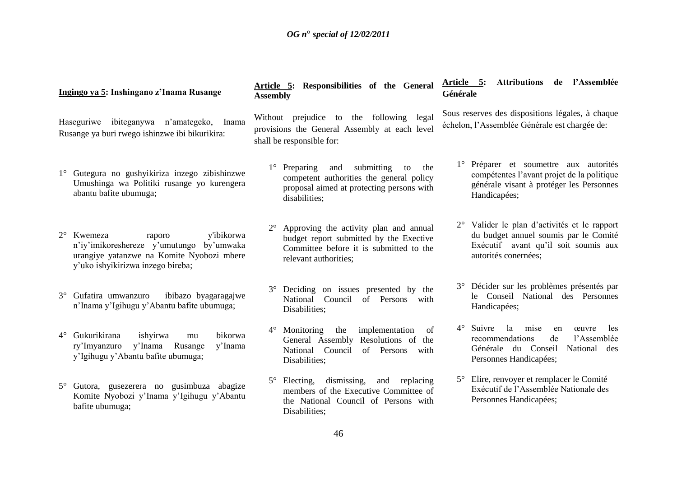| Ingingo ya 5: Inshingano z'Inama Rusange                                                                                                                    |                      | Article 5: Responsibilities of the General<br><b>Assembly</b>                                                                                                        | Article 5:<br>Attributions de l'Assemblée<br>Générale                                                                                                              |
|-------------------------------------------------------------------------------------------------------------------------------------------------------------|----------------------|----------------------------------------------------------------------------------------------------------------------------------------------------------------------|--------------------------------------------------------------------------------------------------------------------------------------------------------------------|
| ibiteganywa n'amategeko, Inama<br>Haseguriwe<br>Rusange ya buri rwego ishinzwe ibi bikurikira:                                                              |                      | Without prejudice to the following<br>legal<br>provisions the General Assembly at each level<br>shall be responsible for:                                            | Sous reserves des dispositions légales, à chaque<br>échelon, l'Assemblée Générale est chargée de:                                                                  |
| Gutegura no gushyikiriza inzego zibishinzwe<br>Umushinga wa Politiki rusange yo kurengera<br>abantu bafite ubumuga;                                         |                      | submitting<br>$1^{\circ}$<br>Preparing<br>and<br>the<br>to<br>competent authorities the general policy<br>proposal aimed at protecting persons with<br>disabilities; | 1° Préparer et soumettre aux autorités<br>compétentes l'avant projet de la politique<br>générale visant à protéger les Personnes<br>Handicapées;                   |
| $2^{\circ}$ Kwemeza<br>raporo<br>n'iy'imikoreshereze y'umutungo by'umwaka<br>urangiye yatanzwe na Komite Nyobozi mbere<br>y'uko ishyikirizwa inzego bireba; | y'ibikorwa           | Approving the activity plan and annual<br>$2^{\circ}$<br>budget report submitted by the Exective<br>Committee before it is submitted to the<br>relevant authorities; | 2° Valider le plan d'activités et le rapport<br>du budget annuel soumis par le Comité<br>Exécutif avant qu'il soit soumis aux<br>autorités conernées;              |
| Gufatira umwanzuro<br>$3^\circ$<br>n'Inama y'Igihugu y'Abantu bafite ubumuga;                                                                               | ibibazo byagaragajwe | Deciding on issues presented by the<br>National<br>Council<br>of Persons with<br>Disabilities;                                                                       | 3° Décider sur les problèmes présentés par<br>le Conseil National des Personnes<br>Handicapées;                                                                    |
| Gukurikirana<br>ishyirwa<br>$4^{\circ}$<br>mu<br>y'Inama<br>Rusange<br>ry'Imyanzuro<br>y'Igihugu y'Abantu bafite ubumuga;                                   | bikorwa<br>y'Inama   | $4^\circ$ Monitoring<br>the<br>implementation<br>of<br>General Assembly Resolutions of the<br>National<br>Council<br>of Persons<br>with<br>Disabilities;             | Suivre la<br>$4^{\circ}$<br>mise<br>œuvre<br>en<br>les<br>de<br>l'Assemblée<br>recommendations<br>Générale du Conseil<br>National<br>des<br>Personnes Handicapées; |
| Gutora, gusezerera no gusimbuza abagize<br>$5^{\circ}$<br>Komite Nyobozi y'Inama y'Igihugu y'Abantu<br>bafite ubumuga;                                      |                      | $5^{\circ}$ Electing,<br>dismissing,<br>and<br>replacing<br>members of the Executive Committee of<br>the National Council of Persons with<br>Disabilities;           | 5° Elire, renvoyer et remplacer le Comité<br>Exécutif de l'Assemblée Nationale des<br>Personnes Handicapées;                                                       |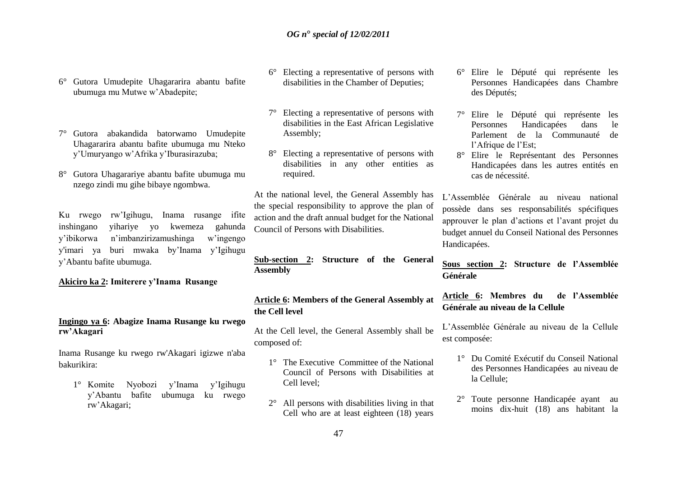- 6° Gutora Umudepite Uhagararira abantu bafite ubumuga mu Mutwe w"Abadepite;
- 7° Gutora abakandida batorwamo Umudepite Uhagararira abantu bafite ubumuga mu Nteko y"Umuryango w"Afrika y"Iburasirazuba;
- 8° Gutora Uhagarariye abantu bafite ubumuga mu nzego zindi mu gihe bibaye ngombwa.

Ku rwego rw"Igihugu, Inama rusange ifite inshingano yihariye yo kwemeza gahunda y"ibikorwa n"imbanzirizamushinga w"ingengo y'imari ya buri mwaka by"Inama y"Igihugu y"Abantu bafite ubumuga.

#### **Akiciro ka 2: Imiterere y'Inama Rusange**

#### **Ingingo ya 6: Abagize Inama Rusange ku rwego rw'Akagari**

Inama Rusange ku rwego rw'Akagari igizwe n'aba bakurikira:

1° Komite Nyobozi y"Inama y"Igihugu y"Abantu bafite ubumuga ku rwego rw"Akagari;

- 6° Electing a representative of persons with disabilities in the Chamber of Deputies;
- 7° Electing a representative of persons with disabilities in the East African Legislative Assembly;
- 8° Electing a representative of persons with disabilities in any other entities as required.

At the national level, the General Assembly has the special responsibility to approve the plan of action and the draft annual budget for the National Council of Persons with Disabilities.

**Sub-section 2: Structure of the General Assembly** 

# **Article 6: Members of the General Assembly at the Cell level**

At the Cell level, the General Assembly shall be composed of:

- 1° The Executive Committee of the National Council of Persons with Disabilities at Cell level;
- 2° All persons with disabilities living in that Cell who are at least eighteen (18) years
- 6° Elire le Député qui représente les Personnes Handicapées dans Chambre des Députés;
- 7° Elire le Député qui représente les Personnes Handicapées dans le Parlement de la Communauté de l'Afrique de l'Est:
- 8° Elire le Représentant des Personnes Handicapées dans les autres entités en cas de nécessité.

L"Assemblée Générale au niveau national possède dans ses responsabilités spécifiques approuver le plan d"actions et l"avant projet du budget annuel du Conseil National des Personnes Handicapées.

**Sous section 2: Structure de l'Assemblée Générale**

**Article 6: Membres du de l'Assemblée Générale au niveau de la Cellule** 

L"Assemblée Générale au niveau de la Cellule est composée:

- 1° Du Comité Exécutif du Conseil National des Personnes Handicapées au niveau de la Cellule;
- 2° Toute personne Handicapée ayant au moins dix-huit (18) ans habitant la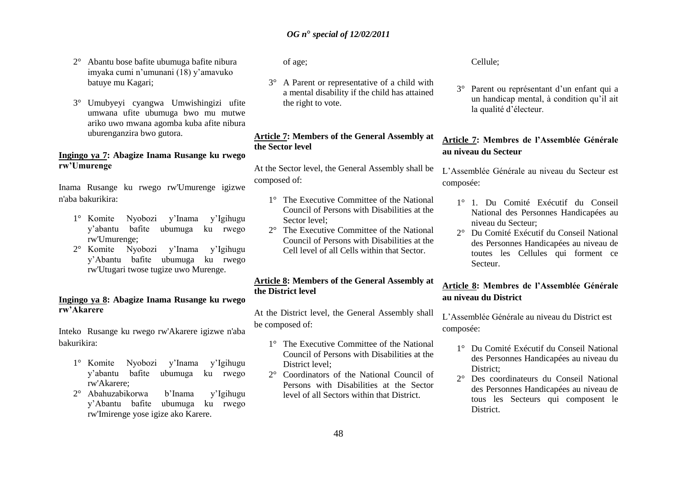- 2° Abantu bose bafite ubumuga bafite nibura imyaka cumi n"umunani (18) y"amavuko batuye mu Kagari;
- 3° Umubyeyi cyangwa Umwishingizi ufite umwana ufite ubumuga bwo mu mutwe ariko uwo mwana agomba kuba afite nibura uburenganzira bwo gutora.

#### **Ingingo ya 7: Abagize Inama Rusange ku rwego rw'Umurenge**

Inama Rusange ku rwego rw'Umurenge igizwe n'aba bakurikira:

- 1° Komite Nyobozi y"Inama y"Igihugu y"abantu bafite ubumuga ku rwego rw'Umurenge;
- 2° Komite Nyobozi y"Inama y"Igihugu y"Abantu bafite ubumuga ku rwego rw'Utugari twose tugize uwo Murenge.

#### **Ingingo ya 8: Abagize Inama Rusange ku rwego rw'Akarere**

Inteko Rusange ku rwego rw'Akarere igizwe n'aba bakurikira:

- 1° Komite Nyobozi y"Inama y"Igihugu y"abantu bafite ubumuga ku rwego rw'Akarere;
- 2° Abahuzabikorwa b"Inama y"Igihugu y"Abantu bafite ubumuga ku rwego rw'Imirenge yose igize ako Karere.

of age;

3° A Parent or representative of a child with a mental disability if the child has attained the right to vote.

# **Article 7: Members of the General Assembly at the Sector level**

At the Sector level, the General Assembly shall be composed of:

- 1° The Executive Committee of the National Council of Persons with Disabilities at the Sector level;
- 2° The Executive Committee of the National Council of Persons with Disabilities at the Cell level of all Cells within that Sector.

## **Article 8: Members of the General Assembly at the District level**

At the District level, the General Assembly shall be composed of:

- 1° The Executive Committee of the National Council of Persons with Disabilities at the District level;
- 2° Coordinators of the National Council of Persons with Disabilities at the Sector level of all Sectors within that District.

Cellule;

3° Parent ou représentant d"un enfant qui a un handicap mental, à condition qu"il ait la qualité d"électeur.

# **Article 7: Membres de l'Assemblée Générale au niveau du Secteur**

L"Assemblée Générale au niveau du Secteur est composée:

- 1° 1. Du Comité Exécutif du Conseil National des Personnes Handicapées au niveau du Secteur;
- 2° Du Comité Exécutif du Conseil National des Personnes Handicapées au niveau de toutes les Cellules qui forment ce Secteur.

# **Article 8: Membres de l'Assemblée Générale au niveau du District**

L"Assemblée Générale au niveau du District est composée:

- 1° Du Comité Exécutif du Conseil National des Personnes Handicapées au niveau du District;
- 2° Des coordinateurs du Conseil National des Personnes Handicapées au niveau de tous les Secteurs qui composent le District.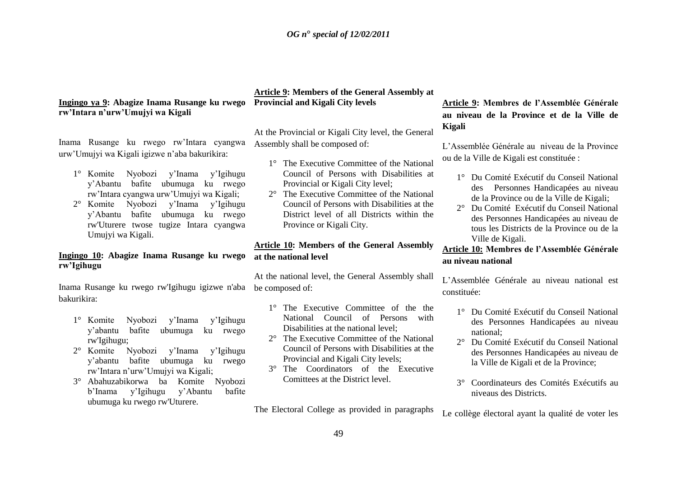# **Ingingo ya 9: Abagize Inama Rusange ku rwego Provincial and Kigali City levels rw'Intara n'urw'Umujyi wa Kigali**

Inama Rusange ku rwego rw"Intara cyangwa urw"Umujyi wa Kigali igizwe n"aba bakurikira:

- 1° Komite Nyobozi y"Inama y"Igihugu y"Abantu bafite ubumuga ku rwego rw"Intara cyangwa urw"Umujyi wa Kigali;
- 2° Komite Nyobozi y"Inama y"Igihugu y"Abantu bafite ubumuga ku rwego rw'Uturere twose tugize Intara cyangwa Umujyi wa Kigali.

## **Ingingo 10: Abagize Inama Rusange ku rwego rw'Igihugu**

Inama Rusange ku rwego rw'Igihugu igizwe n'aba be composed of: bakurikira:

- 1° Komite Nyobozi y"Inama y"Igihugu y"abantu bafite ubumuga ku rwego rw'Igihugu;
- 2° Komite Nyobozi y"Inama y"Igihugu y"abantu bafite ubumuga ku rwego rw"Intara n"urw"Umujyi wa Kigali;
- 3° Abahuzabikorwa ba Komite Nyobozi b"Inama y"Igihugu y"Abantu bafite ubumuga ku rwego rw'Uturere.

# **Article 9: Members of the General Assembly at**

At the Provincial or Kigali City level, the General Assembly shall be composed of:

- 1° The Executive Committee of the National Council of Persons with Disabilities at Provincial or Kigali City level;
- 2° The Executive Committee of the National Council of Persons with Disabilities at the District level of all Districts within the Province or Kigali City.

# **Article 10: Members of the General Assembly at the national level**

At the national level, the General Assembly shall

- 1° The Executive Committee of the the National Council of Persons with Disabilities at the national level;
- 2° The Executive Committee of the National Council of Persons with Disabilities at the Provincial and Kigali City levels;
- 3° The Coordinators of the Executive Comittees at the District level.

The Electoral College as provided in paragraphs

# **Article 9: Membres de l'Assemblée Générale au niveau de la Province et de la Ville de Kigali**

L"Assemblée Générale au niveau de la Province ou de la Ville de Kigali est constituée :

- 1° Du Comité Exécutif du Conseil National des Personnes Handicapées au niveau de la Province ou de la Ville de Kigali;
- 2° Du Comité Exécutif du Conseil National des Personnes Handicapées au niveau de tous les Districts de la Province ou de la Ville de Kigali.

## **Article 10: Membres de l'Assemblée Générale au niveau national**

L"Assemblée Générale au niveau national est constituée:

- 1° Du Comité Exécutif du Conseil National des Personnes Handicapées au niveau national;
- 2° Du Comité Exécutif du Conseil National des Personnes Handicapées au niveau de la Ville de Kigali et de la Province;
- 3° Coordinateurs des Comités Exécutifs au niveaus des Districts.

Le collège électoral ayant la qualité de voter les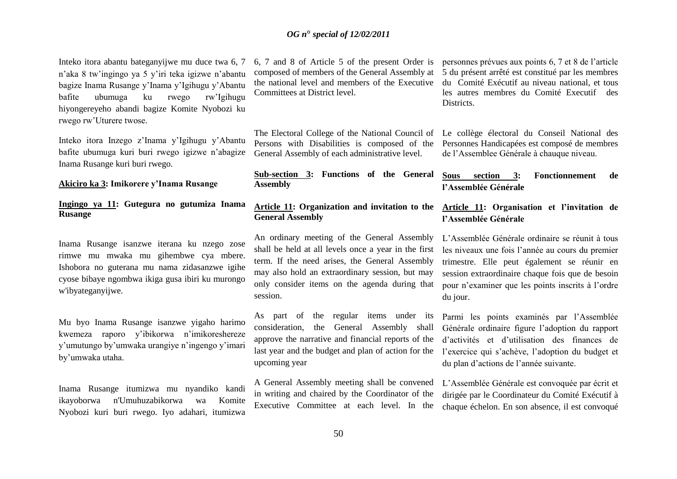Inteko itora abantu bateganyijwe mu duce twa 6, 7 n"aka 8 tw"ingingo ya 5 y"iri teka igizwe n"abantu bagize Inama Rusange y"Inama y"Igihugu y"Abantu bafite ubumuga ku rwego rw"Igihugu hiyongereyeho abandi bagize Komite Nyobozi ku rwego rw"Uturere twose.

Inteko itora Inzego z"Inama y"Igihugu y"Abantu bafite ubumuga kuri buri rwego igizwe n"abagize Inama Rusange kuri buri rwego.

#### **Akiciro ka 3: Imikorere y'Inama Rusange**

## **Ingingo ya 11: Gutegura no gutumiza Inama Rusange**

Inama Rusange isanzwe iterana ku nzego zose rimwe mu mwaka mu gihembwe cya mbere. Ishobora no guterana mu nama zidasanzwe igihe cyose bibaye ngombwa ikiga gusa ibiri ku murongo w'ibyateganyijwe.

Mu byo Inama Rusange isanzwe yigaho harimo kwemeza raporo y"ibikorwa n"imikoreshereze y"umutungo by"umwaka urangiye n"ingengo y"imari by"umwaka utaha.

Inama Rusange itumizwa mu nyandiko kandi ikayoborwa n'Umuhuzabikorwa wa Komite Nyobozi kuri buri rwego. Iyo adahari, itumizwa 6, 7 and 8 of Article 5 of the present Order is composed of members of the General Assembly at the national level and members of the Executive Committees at District level.

The Electoral College of the National Council of Persons with Disabilities is composed of the General Assembly of each administrative level.

**Sub-section 3: Functions of the General Assembly** 

#### **Article 11: Organization and invitation to the Article 11: Organisation et l'invitation de General Assembly**

An ordinary meeting of the General Assembly shall be held at all levels once a year in the first term. If the need arises, the General Assembly may also hold an extraordinary session, but may only consider items on the agenda during that session.

As part of the regular items under its consideration, the General Assembly shall approve the narrative and financial reports of the last year and the budget and plan of action for the upcoming year

A General Assembly meeting shall be convened in writing and chaired by the Coordinator of the Executive Committee at each level. In the

personnes prévues aux points 6, 7 et 8 de l"article 5 du présent arrêté est constitué par les membres du Comité Exécutif au niveau national, et tous les autres membres du Comité Executif des Districts.

Le collège électoral du Conseil National des Personnes Handicapées est composé de membres de l"Assemblee Générale à chauque niveau.

### **Sous section 3: Fonctionnement de l'Assemblée Générale**

# **l'Assemblée Générale**

L"Assemblée Générale ordinaire se réunit à tous les niveaux une fois l"année au cours du premier trimestre. Elle peut également se réunir en session extraordinaire chaque fois que de besoin pour n"examiner que les points inscrits à l"ordre du jour.

Parmi les points examinés par l"Assemblée Générale ordinaire figure l"adoption du rapport d"activités et d"utilisation des finances de l'exercice qui s'achève, l'adoption du budget et du plan d"actions de l"année suivante.

L"Assemblée Générale est convoquée par écrit et dirigée par le Coordinateur du Comité Exécutif à chaque échelon. En son absence, il est convoqué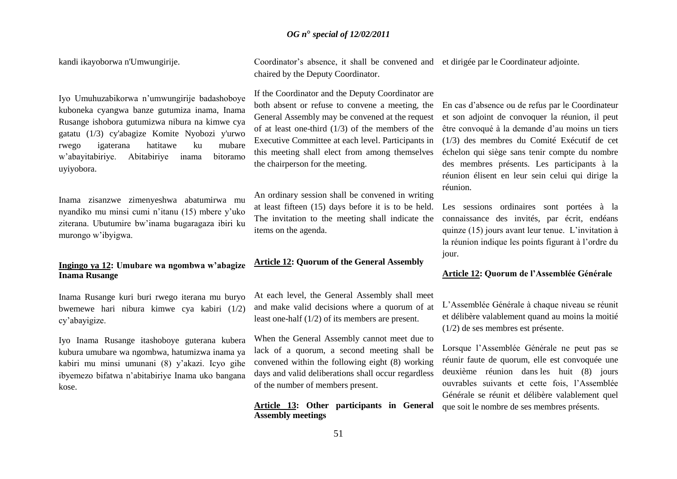kandi ikayoborwa n'Umwungirije.

Iyo Umuhuzabikorwa n"umwungirije badashoboye kuboneka cyangwa banze gutumiza inama, Inama Rusange ishobora gutumizwa nibura na kimwe cya gatatu (1/3) cy'abagize Komite Nyobozi y'urwo rwego igaterana hatitawe ku mubare w"abayitabiriye. Abitabiriye inama bitoramo uyiyobora.

Inama zisanzwe zimenyeshwa abatumirwa mu nyandiko mu minsi cumi n"itanu (15) mbere y"uko ziterana. Ubutumire bw"inama bugaragaza ibiri ku murongo w"ibyigwa.

## **Ingingo ya 12: Umubare wa ngombwa w'abagize Inama Rusange**

Inama Rusange kuri buri rwego iterana mu buryo bwemewe hari nibura kimwe cya kabiri (1/2) cy"abayigize.

Iyo Inama Rusange itashoboye guterana kubera kubura umubare wa ngombwa, hatumizwa inama ya kabiri mu minsi umunani (8) y"akazi. Icyo gihe ibyemezo bifatwa n"abitabiriye Inama uko bangana kose.

Coordinator's absence, it shall be convened and et dirigée par le Coordinateur adjointe. chaired by the Deputy Coordinator.

If the Coordinator and the Deputy Coordinator are both absent or refuse to convene a meeting, the General Assembly may be convened at the request of at least one-third (1/3) of the members of the Executive Committee at each level. Participants in this meeting shall elect from among themselves the chairperson for the meeting.

An ordinary session shall be convened in writing at least fifteen (15) days before it is to be held. The invitation to the meeting shall indicate the items on the agenda.

# **Article 12: Quorum of the General Assembly**

At each level, the General Assembly shall meet and make valid decisions where a quorum of at least one-half (1/2) of its members are present.

When the General Assembly cannot meet due to lack of a quorum, a second meeting shall be convened within the following eight (8) working days and valid deliberations shall occur regardless of the number of members present.

**Article 13: Other participants in General Assembly meetings**

En cas d"absence ou de refus par le Coordinateur et son adjoint de convoquer la réunion, il peut être convoqué à la demande d"au moins un tiers (1/3) des membres du Comité Exécutif de cet échelon qui siège sans tenir compte du nombre des membres présents. Les participants à la réunion élisent en leur sein celui qui dirige la réunion.

Les sessions ordinaires sont portées à la connaissance des invités, par écrit, endéans quinze (15) jours avant leur tenue. L"invitation à la réunion indique les points figurant à l"ordre du jour.

## **Article 12: Quorum de l'Assemblée Générale**

L"Assemblée Générale à chaque niveau se réunit et délibère valablement quand au moins la moitié (1/2) de ses membres est présente.

Lorsque l"Assemblée Générale ne peut pas se réunir faute de quorum, elle est convoquée une deuxième réunion dans les huit (8) jours ouvrables suivants et cette fois, l"Assemblée Générale se réunit et délibère valablement quel que soit le nombre de ses membres présents.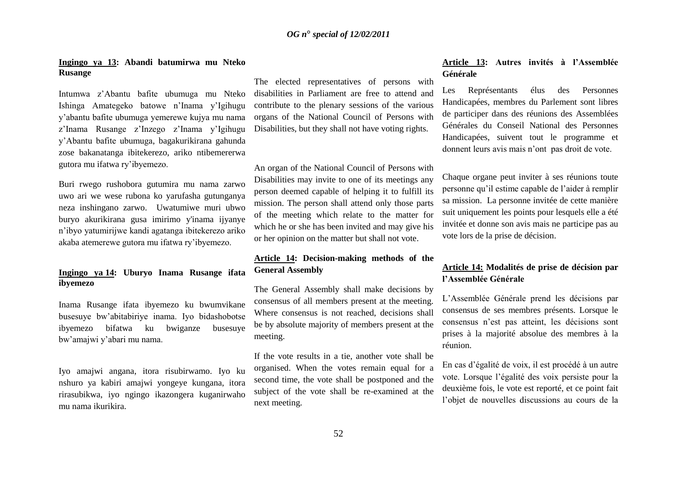#### **Ingingo ya 13: Abandi batumirwa mu Nteko Rusange**

Intumwa z"Abantu bafite ubumuga mu Nteko Ishinga Amategeko batowe n"Inama y"Igihugu y"abantu bafite ubumuga yemerewe kujya mu nama z"Inama Rusange z"Inzego z"Inama y"Igihugu y"Abantu bafite ubumuga, bagakurikirana gahunda zose bakanatanga ibitekerezo, ariko ntibemererwa gutora mu ifatwa ry"ibyemezo.

Buri rwego rushobora gutumira mu nama zarwo uwo ari we wese rubona ko yarufasha gutunganya neza inshingano zarwo. Uwatumiwe muri ubwo buryo akurikirana gusa imirimo y'inama ijyanye n"ibyo yatumirijwe kandi agatanga ibitekerezo ariko akaba atemerewe gutora mu ifatwa ry"ibyemezo.

## **Ingingo ya 14: Uburyo Inama Rusange ifata ibyemezo**

Inama Rusange ifata ibyemezo ku bwumvikane busesuye bw"abitabiriye inama. Iyo bidashobotse ibyemezo bifatwa ku bwiganze busesuye bw"amajwi y"abari mu nama.

Iyo amajwi angana, itora risubirwamo. Iyo ku nshuro ya kabiri amajwi yongeye kungana, itora rirasubikwa, iyo ngingo ikazongera kuganirwaho mu nama ikurikira.

The elected representatives of persons with disabilities in Parliament are free to attend and contribute to the plenary sessions of the various organs of the National Council of Persons with Disabilities, but they shall not have voting rights.

An organ of the National Council of Persons with Disabilities may invite to one of its meetings any person deemed capable of helping it to fulfill its mission. The person shall attend only those parts of the meeting which relate to the matter for which he or she has been invited and may give his or her opinion on the matter but shall not vote.

## **Article 14: Decision-making methods of the General Assembly**

The General Assembly shall make decisions by consensus of all members present at the meeting. Where consensus is not reached, decisions shall be by absolute majority of members present at the meeting.

If the vote results in a tie, another vote shall be organised. When the votes remain equal for a second time, the vote shall be postponed and the subject of the vote shall be re-examined at the next meeting.

## **Article 13: Autres invités à l'Assemblée Générale**

Les Représentants élus des Personnes Handicapées, membres du Parlement sont libres de participer dans des réunions des Assemblées Générales du Conseil National des Personnes Handicapées, suivent tout le programme et donnent leurs avis mais n"ont pas droit de vote.

Chaque organe peut inviter à ses réunions toute personne qu"il estime capable de l"aider à remplir sa mission. La personne invitée de cette manière suit uniquement les points pour lesquels elle a été invitée et donne son avis mais ne participe pas au vote lors de la prise de décision.

# **Article 14: Modalités de prise de décision par l'Assemblée Générale**

L"Assemblée Générale prend les décisions par consensus de ses membres présents. Lorsque le consensus n"est pas atteint, les décisions sont prises à la majorité absolue des membres à la réunion.

En cas d"égalité de voix, il est procédé à un autre vote. Lorsque l"égalité des voix persiste pour la deuxième fois, le vote est reporté, et ce point fait l'objet de nouvelles discussions au cours de la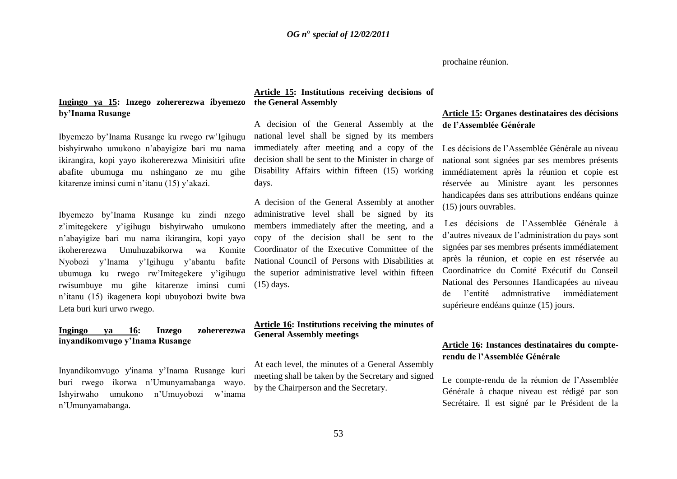#### prochaine réunion.

# **Ingingo ya 15: Inzego zohererezwa ibyemezo by'Inama Rusange**

Ibyemezo by"Inama Rusange ku rwego rw"Igihugu bishyirwaho umukono n"abayigize bari mu nama ikirangira, kopi yayo ikohererezwa Minisitiri ufite abafite ubumuga mu nshingano ze mu gihe kitarenze iminsi cumi n"itanu (15) y"akazi.

Ibyemezo by"Inama Rusange ku zindi nzego z"imitegekere y"igihugu bishyirwaho umukono n"abayigize bari mu nama ikirangira, kopi yayo ikohererezwa Umuhuzabikorwa wa Komite Nyobozi y"Inama y"Igihugu y"abantu bafite ubumuga ku rwego rw"Imitegekere y"igihugu rwisumbuye mu gihe kitarenze iminsi cumi n"itanu (15) ikagenera kopi ubuyobozi bwite bwa Leta buri kuri urwo rwego.

#### **Ingingo ya 16: Inzego zohererezwa inyandikomvugo y'Inama Rusange**

Inyandikomvugo y'inama y"Inama Rusange kuri buri rwego ikorwa n"Umunyamabanga wayo. Ishyirwaho umukono n"Umuyobozi w"inama n"Umunyamabanga.

## **Article 15: Institutions receiving decisions of the General Assembly**

A decision of the General Assembly at the national level shall be signed by its members immediately after meeting and a copy of the decision shall be sent to the Minister in charge of Disability Affairs within fifteen (15) working days.

A decision of the General Assembly at another administrative level shall be signed by its members immediately after the meeting, and a copy of the decision shall be sent to the Coordinator of the Executive Committee of the National Council of Persons with Disabilities at the superior administrative level within fifteen (15) days.

## **Article 16: Institutions receiving the minutes of General Assembly meetings**

At each level, the minutes of a General Assembly meeting shall be taken by the Secretary and signed by the Chairperson and the Secretary.

# **Article 15: Organes destinataires des décisions de l'Assemblée Générale**

Les décisions de l"Assemblée Générale au niveau national sont signées par ses membres présents immédiatement après la réunion et copie est réservée au Ministre ayant les personnes handicapées dans ses attributions endéans quinze (15) jours ouvrables.

Les décisions de l"Assemblée Générale à d"autres niveaux de l"administration du pays sont signées par ses membres présents immédiatement après la réunion, et copie en est réservée au Coordinatrice du Comité Exécutif du Conseil National des Personnes Handicapées au niveau de l"entité admnistrative immédiatement supérieure endéans quinze (15) jours.

# **Article 16: Instances destinataires du compterendu de l'Assemblée Générale**

Le compte-rendu de la réunion de l"Assemblée Générale à chaque niveau est rédigé par son Secrétaire. Il est signé par le Président de la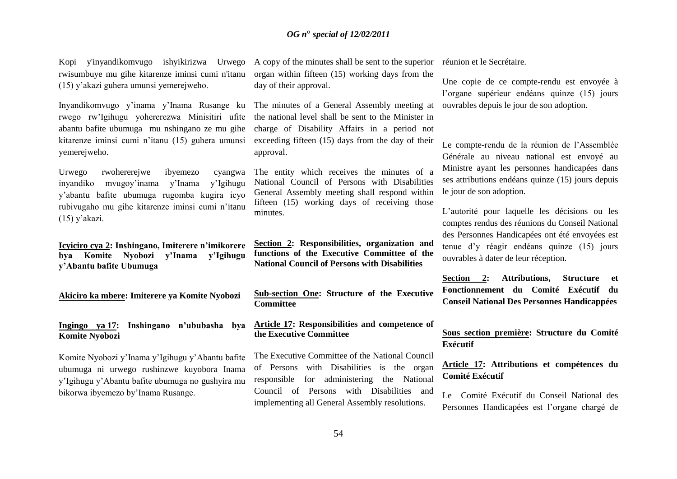Kopi y'inyandikomvugo ishyikirizwa Urwego A copy of the minutes shall be sent to the superior rwisumbuye mu gihe kitarenze iminsi cumi n'itanu (15) y"akazi guhera umunsi yemerejweho.

Inyandikomvugo y"inama y"Inama Rusange ku rwego rw"Igihugu yohererezwa Minisitiri ufite abantu bafite ubumuga mu nshingano ze mu gihe kitarenze iminsi cumi n"itanu (15) guhera umunsi yemerejweho.

Urwego rwohererejwe ibyemezo cyangwa inyandiko mvugoy"inama y"Inama y"Igihugu y"abantu bafite ubumuga rugomba kugira icyo rubivugaho mu gihe kitarenze iminsi cumi n"itanu  $(15)$  y'akazi.

**Icyiciro cya 2: Inshingano, Imiterere n'imikorere bya Komite Nyobozi y'Inama y'Igihugu y'Abantu bafite Ubumuga**

**Akiciro ka mbere: Imiterere ya Komite Nyobozi**

**Ingingo ya 17: Inshingano n'ububasha bya Komite Nyobozi** 

Komite Nyobozi y"Inama y"Igihugu y"Abantu bafite ubumuga ni urwego rushinzwe kuyobora Inama y"Igihugu y"Abantu bafite ubumuga no gushyira mu bikorwa ibyemezo by"Inama Rusange.

organ within fifteen (15) working days from the day of their approval.

The minutes of a General Assembly meeting at the national level shall be sent to the Minister in charge of Disability Affairs in a period not exceeding fifteen (15) days from the day of their approval.

The entity which receives the minutes of a National Council of Persons with Disabilities General Assembly meeting shall respond within fifteen (15) working days of receiving those minutes.

**Section 2: Responsibilities, organization and functions of the Executive Committee of the National Council of Persons with Disabilities**

**Sub-section One: Structure of the Executive Committee**

**Article 17: Responsibilities and competence of the Executive Committee**

The Executive Committee of the National Council of Persons with Disabilities is the organ responsible for administering the National Council of Persons with Disabilities and implementing all General Assembly resolutions.

réunion et le Secrétaire.

Une copie de ce compte-rendu est envoyée à l"organe supérieur endéans quinze (15) jours ouvrables depuis le jour de son adoption.

Le compte-rendu de la réunion de l"Assemblée Générale au niveau national est envoyé au Ministre ayant les personnes handicapées dans ses attributions endéans quinze (15) jours depuis le jour de son adoption.

L"autorité pour laquelle les décisions ou les comptes rendus des réunions du Conseil National des Personnes Handicapées ont été envoyées est tenue d"y réagir endéans quinze (15) jours ouvrables à dater de leur réception.

**Section 2: Attributions, Structure et Fonctionnement du Comité Exécutif du Conseil National Des Personnes Handicappées** 

## **Sous section première: Structure du Comité Exécutif**

## **Article 17: Attributions et compétences du Comité Exécutif**

Le Comité Exécutif du Conseil National des Personnes Handicapées est l"organe chargé de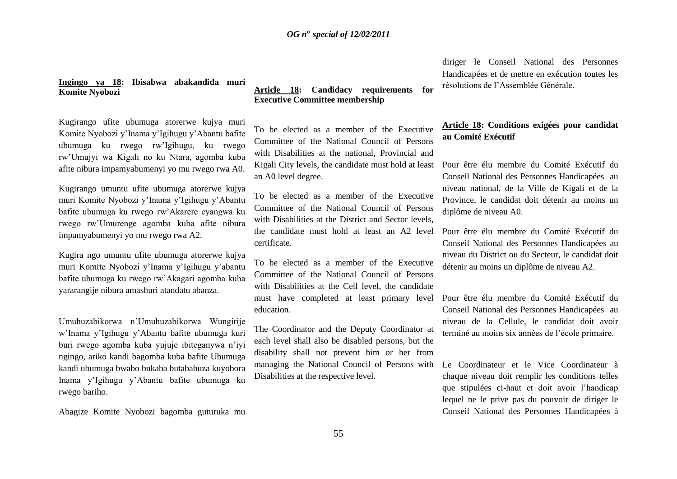## **Ingingo ya 18: Ibisabwa abakandida muri Komite Nyobozi**

Kugirango ufite ubumuga atorerwe kujya muri Komite Nyobozi y"Inama y"Igihugu y"Abantu bafite ubumuga ku rwego rw"Igihugu, ku rwego rw"Umujyi wa Kigali no ku Ntara, agomba kuba afite nibura impamyabumenyi yo mu rwego rwa A0.

Kugirango umuntu ufite ubumuga atorerwe kujya muri Komite Nyobozi y"Inama y"Igihugu y"Abantu bafite ubumuga ku rwego rw"Akarere cyangwa ku rwego rw"Umurenge agomba kuba afite nibura impamyabumenyi yo mu rwego rwa A2.

Kugira ngo umuntu ufite ubumuga atorerwe kujya muri Komite Nyobozi y"Inama y"Igihugu y"abantu bafite ubumuga ku rwego rw"Akagari agomba kuba yararangije nibura amashuri atandatu abanza.

Umuhuzabikorwa n"Umuhuzabikorwa Wungirije w"Inama y"Igihugu y"Abantu bafite ubumuga kuri buri rwego agomba kuba yujuje ibiteganywa n"iyi ngingo, ariko kandi bagomba kuba bafite Ubumuga kandi ubumuga bwabo bukaba butababuza kuyobora Inama y"Igihugu y"Abantu bafite ubumuga ku rwego bariho.

Abagize Komite Nyobozi bagomba guturuka mu

## **Article 18: Candidacy requirements for Executive Committee membership**

To be elected as a member of the Executive Committee of the National Council of Persons with Disabilities at the national, Provincial and Kigali City levels, the candidate must hold at least an A0 level degree.

To be elected as a member of the Executive Committee of the National Council of Persons with Disabilities at the District and Sector levels, the candidate must hold at least an A2 level certificate.

To be elected as a member of the Executive Committee of the National Council of Persons with Disabilities at the Cell level, the candidate must have completed at least primary level education.

The Coordinator and the Deputy Coordinator at each level shall also be disabled persons, but the disability shall not prevent him or her from managing the National Council of Persons with Disabilities at the respective level.

diriger le Conseil National des Personnes Handicapées et de mettre en exécution toutes les résolutions de l"Assemblée Générale.

# **Article 18: Conditions exigées pour candidat au Comité Exécutif**

Pour être élu membre du Comité Exécutif du Conseil National des Personnes Handicapées au niveau national, de la Ville de Kigali et de la Province, le candidat doit détenir au moins un diplôme de niveau A0.

Pour être élu membre du Comité Exécutif du Conseil National des Personnes Handicapées au niveau du District ou du Secteur, le candidat doit détenir au moins un diplôme de niveau A2.

Pour être élu membre du Comité Exécutif du Conseil National des Personnes Handicapées au niveau de la Cellule, le candidat doit avoir terminé au moins six années de l"école primaire.

Le Coordinateur et le Vice Coordinateur à chaque niveau doit remplir les conditions telles que stipulées ci-haut et doit avoir l"handicap lequel ne le prive pas du pouvoir de diriger le Conseil National des Personnes Handicapées à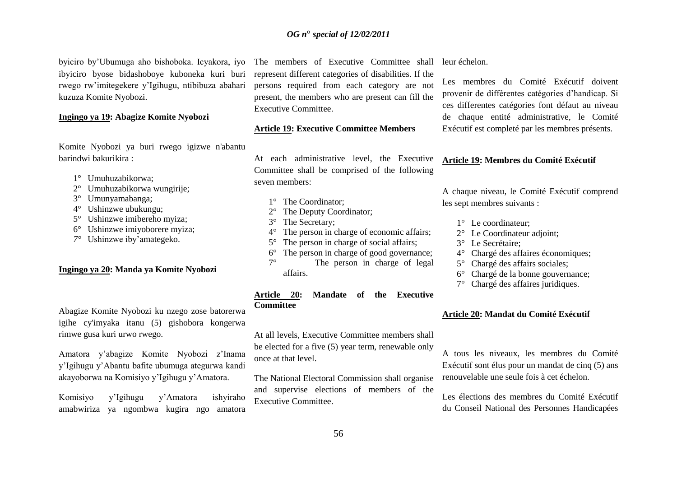byiciro by"Ubumuga aho bishoboka. Icyakora, iyo ibyiciro byose bidashoboye kuboneka kuri buri rwego rw"imitegekere y"Igihugu, ntibibuza abahari kuzuza Komite Nyobozi.

#### **Ingingo ya 19: Abagize Komite Nyobozi**

Komite Nyobozi ya buri rwego igizwe n'abantu barindwi bakurikira :

- 1° Umuhuzabikorwa;
- 2° Umuhuzabikorwa wungirije;
- 3° Umunyamabanga;
- 4° Ushinzwe ubukungu;
- 5° Ushinzwe imibereho myiza;
- 6° Ushinzwe imiyoborere myiza;
- *7°* Ushinzwe iby"amategeko.

#### **Ingingo ya 20: Manda ya Komite Nyobozi**

Abagize Komite Nyobozi ku nzego zose batorerwa igihe cy'imyaka itanu (5) gishobora kongerwa rimwe gusa kuri urwo rwego.

Amatora y"abagize Komite Nyobozi z"Inama y"Igihugu y"Abantu bafite ubumuga ategurwa kandi akayoborwa na Komisiyo y"Igihugu y"Amatora.

Komisiyo y"Igihugu y"Amatora ishyiraho amabwiriza ya ngombwa kugira ngo amatora The members of Executive Committee shall

represent different categories of disabilities. If the persons required from each category are not present, the members who are present can fill the Executive Committee.

#### **Article 19: Executive Committee Members**

At each administrative level, the Executive Committee shall be comprised of the following seven members:

- 1° The Coordinator;
- The Deputy Coordinator;
- 3° The Secretary;
- 4° The person in charge of economic affairs;
- 5° The person in charge of social affairs;
- 6° The person in charge of good governance;
- 7° The person in charge of legal affairs.

#### **Article 20: Mandate of the Executive Committee**

At all levels, Executive Committee members shall be elected for a five (5) year term, renewable only once at that level.

The National Electoral Commission shall organise and supervise elections of members of the Executive Committee.

leur échelon.

Les membres du Comité Exécutif doivent provenir de différentes catégories d"handicap. Si ces differentes catégories font défaut au niveau de chaque entité administrative, le Comité Exécutif est completé par les membres présents.

## **Article 19: Membres du Comité Exécutif**

A chaque niveau, le Comité Exécutif comprend les sept membres suivants :

- 1° Le coordinateur:
- 2° Le Coordinateur adjoint;
- 3° Le Secrétaire;
- 4° Chargé des affaires économiques;
- 5° Chargé des affairs sociales;
- 6° Chargé de la bonne gouvernance;
- 7° Chargé des affaires juridiques.

#### **Article 20: Mandat du Comité Exécutif**

A tous les niveaux, les membres du Comité Exécutif sont élus pour un mandat de cinq (5) ans renouvelable une seule fois à cet échelon.

Les élections des membres du Comité Exécutif du Conseil National des Personnes Handicapées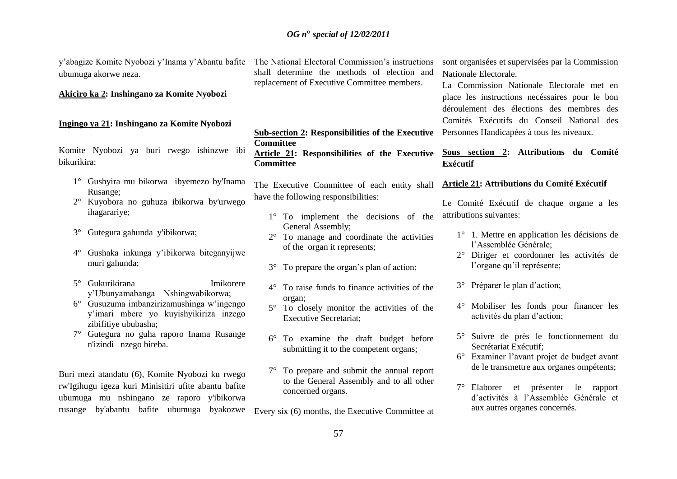y'abagize Komite Nyobozi y'Inama y'Abantu bafite The National Electoral Commission's instructions ubumuga akorwe neza.

**Akiciro ka 2: Inshingano za Komite Nyobozi**

#### **Ingingo ya 21: Inshingano za Komite Nyobozi**

Komite Nyobozi ya buri rwego ishinzwe ibi bikurikira:

- 1° Gushyira mu bikorwa ibyemezo by'Inama Rusange;
- 2° Kuyobora no guhuza ibikorwa by'urwego ihagarariye;
- 3° Gutegura gahunda y'ibikorwa;
- 4° Gushaka inkunga y"ibikorwa biteganyijwe muri gahunda;
- 5° Gukurikirana Imikorere y"Ubunyamabanga Nshingwabikorwa;
- 6° Gusuzuma imbanzirizamushinga w"ingengo y"imari mbere yo kuyishyikiriza inzego zibifitiye ububasha;
- 7° Gutegura no guha raporo Inama Rusange n'izindi nzego bireba.

Buri mezi atandatu (6), Komite Nyobozi ku rwego rw'Igihugu igeza kuri Minisitiri ufite abantu bafite ubumuga mu nshingano ze raporo y'ibikorwa rusange by'abantu bafite ubumuga byakozwe

shall determine the methods of election and replacement of Executive Committee members.

**Sub-section 2: Responsibilities of the Executive Committee Article 21: Responsibilities of the Executive Committee** 

The Executive Committee of each entity shall have the following responsibilities:

- 1° To implement the decisions of the General Assembly;
- 2° To manage and coordinate the activities of the organ it represents;
- 3° To prepare the organ"s plan of action;
- 4° To raise funds to finance activities of the organ;
- 5° To closely monitor the activities of the Executive Secretariat;
- 6° To examine the draft budget before submitting it to the competent organs:
- 7° To prepare and submit the annual report to the General Assembly and to all other concerned organs.

Every six (6) months, the Executive Committee at

sont organisées et supervisées par la Commission Nationale Electorale.

La Commission Nationale Electorale met en place les instructions necéssaires pour le bon déroulement des élections des membres des Comités Exécutifs du Conseil National des Personnes Handicapées à tous les niveaux.

# **Sous section 2: Attributions du Comité Exécutif**

## **Article 21: Attributions du Comité Exécutif**

Le Comité Exécutif de chaque organe a les attributions suivantes:

- 1° 1. Mettre en application les décisions de l"Assemblée Générale;
- 2° Diriger et coordonner les activités de l'organe qu'il représente;
- 3° Préparer le plan d"action;
- 4° Mobiliser les fonds pour financer les activités du plan d"action;
- 5° Suivre de près le fonctionnement du Secrétariat Exécutif;
- 6° Examiner l"avant projet de budget avant de le transmettre aux organes ompétents;
- 7° Elaborer et présenter le rapport d"activités à l"Assemblée Générale et aux autres organes concernés.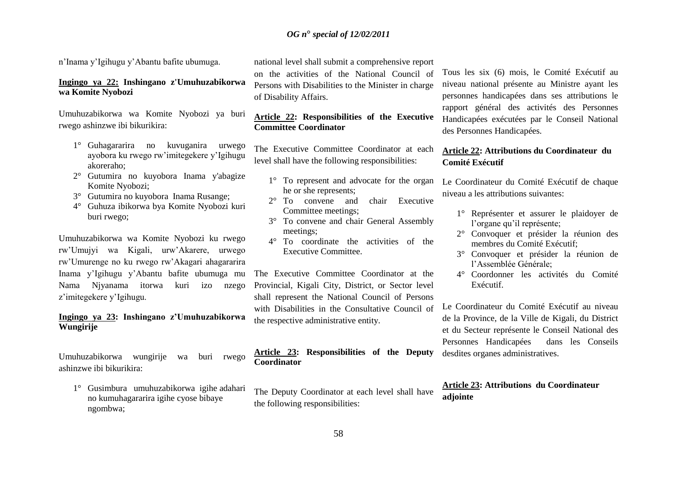n"Inama y"Igihugu y"Abantu bafite ubumuga.

#### **Ingingo ya 22: Inshingano z'Umuhuzabikorwa wa Komite Nyobozi**

Umuhuzabikorwa wa Komite Nyobozi ya buri rwego ashinzwe ibi bikurikira:

- 1° Guhagararira no kuvuganira urwego ayobora ku rwego rw"imitegekere y"Igihugu akoreraho;
- 2° Gutumira no kuyobora Inama y'abagize Komite Nyobozi;
- 3° Gutumira no kuyobora Inama Rusange;
- 4° Guhuza ibikorwa bya Komite Nyobozi kuri buri rwego;

Umuhuzabikorwa wa Komite Nyobozi ku rwego rw"Umujyi wa Kigali, urw"Akarere, urwego rw"Umurenge no ku rwego rw"Akagari ahagararira Inama y"Igihugu y"Abantu bafite ubumuga mu Nama Njyanama itorwa kuri izo nzego z"imitegekere y"Igihugu.

### **Ingingo ya 23: Inshingano z'Umuhuzabikorwa Wungirije**

Umuhuzabikorwa wungirije wa buri rwego ashinzwe ibi bikurikira:

1° Gusimbura umuhuzabikorwa igihe adahari no kumuhagararira igihe cyose bibaye ngombwa;

national level shall submit a comprehensive report on the activities of the National Council of

Persons with Disabilities to the Minister in charge of Disability Affairs.

## **Article 22: Responsibilities of the Executive Committee Coordinator**

The Executive Committee Coordinator at each level shall have the following responsibilities:

- 1° To represent and advocate for the organ he or she represents;
- 2° To convene and chair Executive Committee meetings;
- 3° To convene and chair General Assembly meetings;
- 4° To coordinate the activities of the Executive Committee.

The Executive Committee Coordinator at the Provincial, Kigali City, District, or Sector level shall represent the National Council of Persons with Disabilities in the Consultative Council of the respective administrative entity.

#### **Article 23: Responsibilities of the Deputy Coordinator**

The Deputy Coordinator at each level shall have the following responsibilities:

Tous les six (6) mois, le Comité Exécutif au niveau national présente au Ministre ayant les personnes handicapées dans ses attributions le rapport général des activités des Personnes Handicapées exécutées par le Conseil National des Personnes Handicapées.

## **Article 22: Attributions du Coordinateur du Comité Exécutif**

Le Coordinateur du Comité Exécutif de chaque niveau a les attributions suivantes:

- 1° Représenter et assurer le plaidoyer de l'organe qu'il représente;
- 2° Convoquer et présider la réunion des membres du Comité Exécutif<sup>.</sup>
- 3° Convoquer et présider la réunion de l"Assemblée Générale;
- 4° Coordonner les activités du Comité Exécutif.

Le Coordinateur du Comité Exécutif au niveau de la Province, de la Ville de Kigali, du District et du Secteur représente le Conseil National des Personnes Handicapées dans les Conseils desdites organes administratives.

# **Article 23: Attributions du Coordinateur adjointe**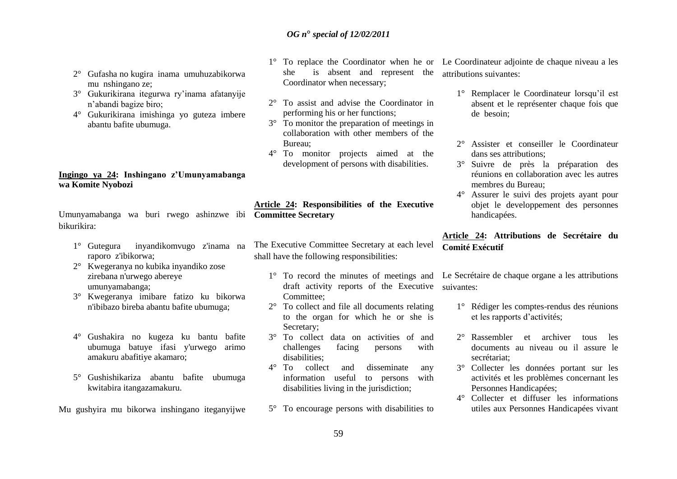- 2° Gufasha no kugira inama umuhuzabikorwa mu nshingano ze;
- 3° Gukurikirana itegurwa ry"inama afatanyije n"abandi bagize biro;
- 4° Gukurikirana imishinga yo guteza imbere abantu bafite ubumuga.

## **Ingingo ya 24: Inshingano z'Umunyamabanga wa Komite Nyobozi**

Umunyamabanga wa buri rwego ashinzwe ibi **Committee Secretary**  bikurikira:

- 1° Gutegura inyandikomvugo z'inama na raporo z'ibikorwa;
- 2° Kwegeranya no kubika inyandiko zose zirebana n'urwego abereye umunyamabanga;
- 3° Kwegeranya imibare fatizo ku bikorwa n'ibibazo bireba abantu bafite ubumuga;
- 4° Gushakira no kugeza ku bantu bafite ubumuga batuye ifasi y'urwego arimo amakuru abafitiye akamaro;
- 5° Gushishikariza abantu bafite ubumuga kwitabira itangazamakuru.

Mu gushyira mu bikorwa inshingano iteganyijwe

- she is absent and represent the attributions suivantes: Coordinator when necessary;
- 2° To assist and advise the Coordinator in performing his or her functions;
- 3° To monitor the preparation of meetings in collaboration with other members of the Bureau;
- 4° To monitor projects aimed at the development of persons with disabilities.

**Article 24: Responsibilities of the Executive** 

- The Executive Committee Secretary at each level shall have the following responsibilities:
	- 1° To record the minutes of meetings and draft activity reports of the Executive Committee;
	- 2° To collect and file all documents relating to the organ for which he or she is Secretary;
	- 3° To collect data on activities of and challenges facing persons with disabilities;
	- 4° To collect and disseminate any information useful to persons with disabilities living in the jurisdiction;
	- 5° To encourage persons with disabilities to

1° To replace the Coordinator when he or Le Coordinateur adjointe de chaque niveau a les

- 1° Remplacer le Coordinateur lorsqu"il est absent et le représenter chaque fois que de besoin;
- 2° Assister et conseiller le Coordinateur dans ses attributions;
- 3° Suivre de près la préparation des réunions en collaboration avec les autres membres du Bureau;
- 4° Assurer le suivi des projets ayant pour objet le developpement des personnes handicapées.

# **Article 24: Attributions de Secrétaire du Comité Exécutif**

Le Secrétaire de chaque organe a les attributions suivantes:

- 1° Rédiger les comptes-rendus des réunions et les rapports d"activités;
- 2° Rassembler et archiver tous les documents au niveau ou il assure le secrétariat;
- 3° Collecter les données portant sur les activités et les problèmes concernant les Personnes Handicapées;
- 4° Collecter et diffuser les informations utiles aux Personnes Handicapées vivant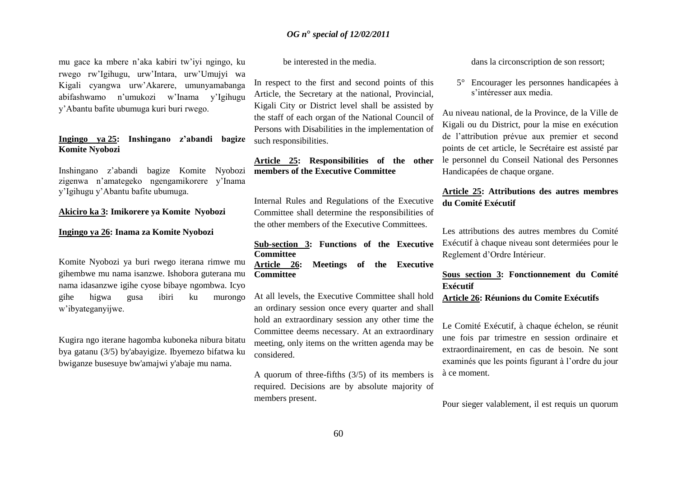mu gace ka mbere n"aka kabiri tw"iyi ngingo, ku rwego rw"Igihugu, urw"Intara, urw"Umujyi wa Kigali cyangwa urw"Akarere, umunyamabanga abifashwamo n"umukozi w"Inama y"Igihugu y"Abantu bafite ubumuga kuri buri rwego.

#### **Ingingo ya 25: Inshingano z'abandi bagize Komite Nyobozi**

Inshingano z"abandi bagize Komite Nyobozi zigenwa n"amategeko ngengamikorere y"Inama y"Igihugu y"Abantu bafite ubumuga.

#### **Akiciro ka 3: Imikorere ya Komite Nyobozi**

#### **Ingingo ya 26: Inama za Komite Nyobozi**

Komite Nyobozi ya buri rwego iterana rimwe mu gihembwe mu nama isanzwe. Ishobora guterana mu nama idasanzwe igihe cyose bibaye ngombwa. Icyo gihe higwa gusa ibiri ku murongo w"ibyateganyijwe.

Kugira ngo iterane hagomba kuboneka nibura bitatu bya gatanu (3/5) by'abayigize. Ibyemezo bifatwa ku bwiganze busesuye bw'amajwi y'abaje mu nama.

be interested in the media.

In respect to the first and second points of this Article, the Secretary at the national, Provincial, Kigali City or District level shall be assisted by the staff of each organ of the National Council of Persons with Disabilities in the implementation of such responsibilities.

# **Article 25: Responsibilities of the other members of the Executive Committee**

Internal Rules and Regulations of the Executive Committee shall determine the responsibilities of the other members of the Executive Committees.

**Sub-section 3: Functions of the Executive Committee Article 26: Meetings of the Executive Committee** 

At all levels, the Executive Committee shall hold an ordinary session once every quarter and shall hold an extraordinary session any other time the Committee deems necessary. At an extraordinary meeting, only items on the written agenda may be considered.

A quorum of three-fifths (3/5) of its members is required. Decisions are by absolute majority of members present.

dans la circonscription de son ressort;

5° Encourager les personnes handicapées à s"intéresser aux media.

Au niveau national, de la Province, de la Ville de Kigali ou du District, pour la mise en exécution de l"attribution prévue aux premier et second points de cet article, le Secrétaire est assisté par le personnel du Conseil National des Personnes Handicapées de chaque organe.

# **Article 25: Attributions des autres membres du Comité Exécutif**

Les attributions des autres membres du Comité Exécutif à chaque niveau sont determiées pour le Reglement d"Ordre Intérieur.

#### **Sous section 3: Fonctionnement du Comité Exécutif**

**Article 26: Réunions du Comite Exécutifs** 

Le Comité Exécutif, à chaque échelon, se réunit une fois par trimestre en session ordinaire et extraordinairement, en cas de besoin. Ne sont examinés que les points figurant à l"ordre du jour à ce moment.

Pour sieger valablement, il est requis un quorum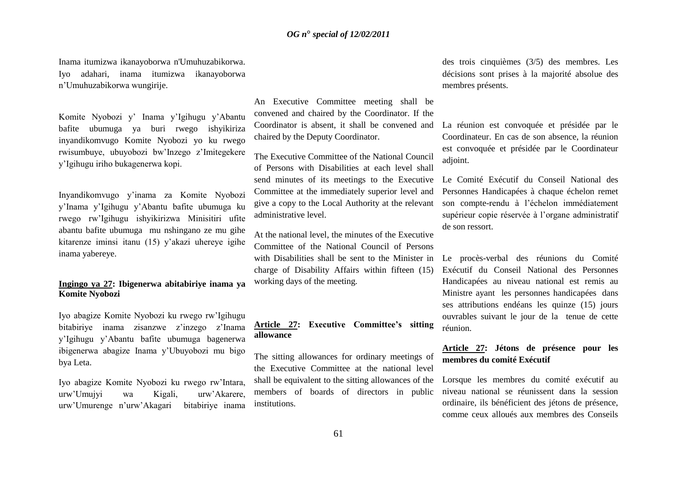Inama itumizwa ikanayoborwa n'Umuhuzabikorwa. Iyo adahari, inama itumizwa ikanayoborwa n"Umuhuzabikorwa wungirije.

Komite Nyobozi y" Inama y"Igihugu y"Abantu bafite ubumuga ya buri rwego ishyikiriza inyandikomvugo Komite Nyobozi yo ku rwego rwisumbuye, ubuyobozi bw"Inzego z"Imitegekere y"Igihugu iriho bukagenerwa kopi.

Inyandikomvugo y"inama za Komite Nyobozi y"Inama y"Igihugu y"Abantu bafite ubumuga ku rwego rw"Igihugu ishyikirizwa Minisitiri ufite abantu bafite ubumuga mu nshingano ze mu gihe kitarenze iminsi itanu (15) y"akazi uhereye igihe inama yabereye.

#### **Ingingo ya 27: Ibigenerwa abitabiriye inama ya Komite Nyobozi**

Iyo abagize Komite Nyobozi ku rwego rw"Igihugu bitabiriye inama zisanzwe z"inzego z"Inama y"Igihugu y"Abantu bafite ubumuga bagenerwa ibigenerwa abagize Inama y"Ubuyobozi mu bigo bya Leta.

Iyo abagize Komite Nyobozi ku rwego rw"Intara, urw"Umujyi wa Kigali, urw"Akarere, urw"Umurenge n"urw"Akagari bitabiriye inama

An Executive Committee meeting shall be convened and chaired by the Coordinator. If the Coordinator is absent, it shall be convened and chaired by the Deputy Coordinator.

The Executive Committee of the National Council of Persons with Disabilities at each level shall send minutes of its meetings to the Executive Committee at the immediately superior level and give a copy to the Local Authority at the relevant administrative level.

At the national level, the minutes of the Executive Committee of the National Council of Persons with Disabilities shall be sent to the Minister in charge of Disability Affairs within fifteen (15) working days of the meeting.

# **Article 27: Executive Committee's sitting allowance**

The sitting allowances for ordinary meetings of the Executive Committee at the national level shall be equivalent to the sitting allowances of the members of boards of directors in public institutions.

des trois cinquièmes (3/5) des membres. Les décisions sont prises à la majorité absolue des membres présents.

# La réunion est convoquée et présidée par le Coordinateur. En cas de son absence, la réunion est convoquée et présidée par le Coordinateur adjoint.

Le Comité Exécutif du Conseil National des Personnes Handicapées à chaque échelon remet son compte-rendu à l"échelon immédiatement supérieur copie réservée à l"organe administratif de son ressort.

Le procès-verbal des réunions du Comité Exécutif du Conseil National des Personnes Handicapées au niveau national est remis au Ministre ayant les personnes handicapées dans ses attributions endéans les quinze (15) jours ouvrables suivant le jour de la tenue de cette réunion.

# **Article 27: Jétons de présence pour les membres du comité Exécutif**

Lorsque les membres du comité exécutif au niveau national se réunissent dans la session ordinaire, ils bénéficient des jétons de présence, comme ceux alloués aux membres des Conseils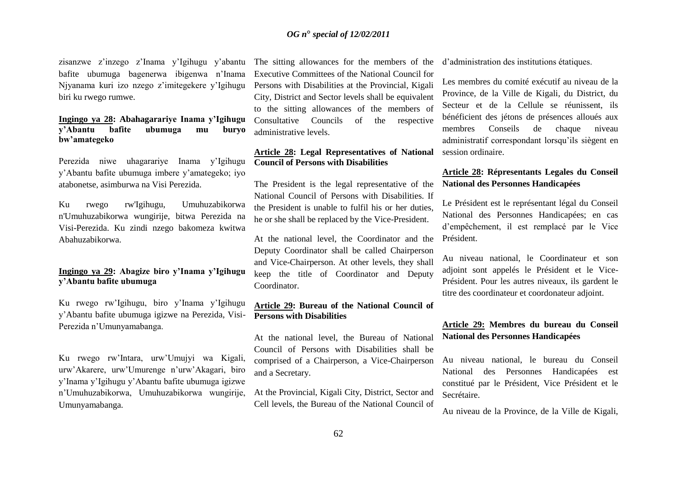zisanzwe z"inzego z"Inama y"Igihugu y"abantu bafite ubumuga bagenerwa ibigenwa n"Inama Njyanama kuri izo nzego z"imitegekere y"Igihugu biri ku rwego rumwe.

#### **Ingingo ya 28: Abahagarariye Inama y'Igihugu y'Abantu bafite ubumuga mu buryo bw'amategeko**

Perezida niwe uhagarariye Inama y"Igihugu y"Abantu bafite ubumuga imbere y"amategeko; iyo atabonetse, asimburwa na Visi Perezida.

Ku rwego rw'Igihugu, Umuhuzabikorwa n'Umuhuzabikorwa wungirije, bitwa Perezida na Visi-Perezida. Ku zindi nzego bakomeza kwitwa Abahuzabikorwa.

## **Ingingo ya 29: Abagize biro y'Inama y'Igihugu y'Abantu bafite ubumuga**

Ku rwego rw"Igihugu, biro y"Inama y"Igihugu y"Abantu bafite ubumuga igizwe na Perezida, Visi-Perezida n"Umunyamabanga.

Ku rwego rw"Intara, urw"Umujyi wa Kigali, urw"Akarere, urw"Umurenge n"urw"Akagari, biro y"Inama y"Igihugu y"Abantu bafite ubumuga igizwe n"Umuhuzabikorwa, Umuhuzabikorwa wungirije, Umunyamabanga.

The sitting allowances for the members of the Executive Committees of the National Council for Persons with Disabilities at the Provincial, Kigali City, District and Sector levels shall be equivalent to the sitting allowances of the members of Consultative Councils of the respective administrative levels.

## **Article 28: Legal Representatives of National Council of Persons with Disabilities**

The President is the legal representative of the National Council of Persons with Disabilities. If the President is unable to fulfil his or her duties, he or she shall be replaced by the Vice-President.

At the national level, the Coordinator and the Deputy Coordinator shall be called Chairperson and Vice-Chairperson. At other levels, they shall keep the title of Coordinator and Deputy Coordinator.

## **Article 29: Bureau of the National Council of Persons with Disabilities**

At the national level, the Bureau of National Council of Persons with Disabilities shall be comprised of a Chairperson, a Vice-Chairperson and a Secretary.

At the Provincial, Kigali City, District, Sector and Cell levels, the Bureau of the National Council of d"administration des institutions étatiques.

Les membres du comité exécutif au niveau de la Province, de la Ville de Kigali, du District, du Secteur et de la Cellule se réunissent, ils bénéficient des jétons de présences alloués aux membres Conseils de chaque niveau administratif correspondant lorsqu"ils siègent en session ordinaire.

## **Article 28: Répresentants Legales du Conseil National des Personnes Handicapées**

Le Président est le représentant légal du Conseil National des Personnes Handicapées; en cas d"empêchement, il est remplacé par le Vice Président.

Au niveau national, le Coordinateur et son adjoint sont appelés le Président et le Vice-Président. Pour les autres niveaux, ils gardent le titre des coordinateur et coordonateur adjoint.

# **Article 29: Membres du bureau du Conseil National des Personnes Handicapées**

Au niveau national, le bureau du Conseil National des Personnes Handicapées est constitué par le Président, Vice Président et le Secrétaire.

Au niveau de la Province, de la Ville de Kigali,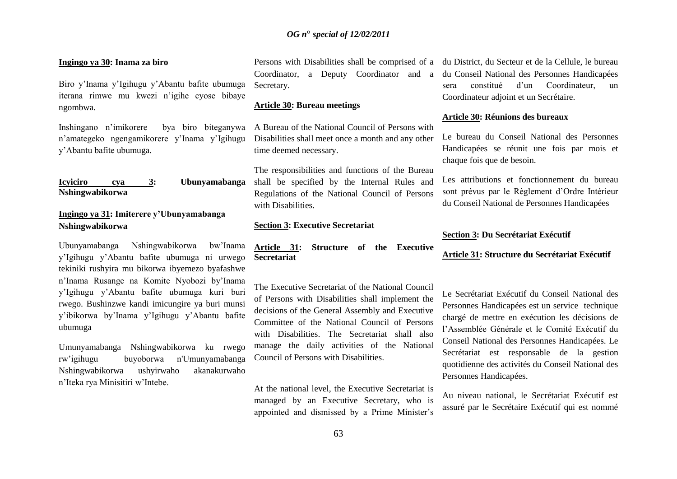#### **Ingingo ya 30: Inama za biro**

Biro y"Inama y"Igihugu y"Abantu bafite ubumuga iterana rimwe mu kwezi n"igihe cyose bibaye ngombwa.

Inshingano n"imikorere bya biro biteganywa n"amategeko ngengamikorere y"Inama y"Igihugu y"Abantu bafite ubumuga.

```
Icyiciro cya 3: Ubunyamabanga 
Nshingwabikorwa
```
## **Ingingo ya 31: Imiterere y'Ubunyamabanga Nshingwabikorwa**

Ubunyamabanga Nshingwabikorwa bw"Inama y"Igihugu y"Abantu bafite ubumuga ni urwego tekiniki rushyira mu bikorwa ibyemezo byafashwe n"Inama Rusange na Komite Nyobozi by"Inama y"Igihugu y"Abantu bafite ubumuga kuri buri rwego. Bushinzwe kandi imicungire ya buri munsi y"ibikorwa by"Inama y"Igihugu y"Abantu bafite ubumuga

Umunyamabanga Nshingwabikorwa ku rwego rw"igihugu buyoborwa n'Umunyamabanga Nshingwabikorwa ushyirwaho akanakurwaho n"Iteka rya Minisitiri w"Intebe.

Persons with Disabilities shall be comprised of a du District, du Secteur et de la Cellule, le bureau Coordinator, a Deputy Coordinator and a Secretary.

#### **Article 30: Bureau meetings**

A Bureau of the National Council of Persons with Disabilities shall meet once a month and any other time deemed necessary.

The responsibilities and functions of the Bureau shall be specified by the Internal Rules and Regulations of the National Council of Persons with Disabilities.

#### **Section 3: Executive Secretariat**

**Article 31: Structure of the Executive Secretariat** 

The Executive Secretariat of the National Council of Persons with Disabilities shall implement the decisions of the General Assembly and Executive Committee of the National Council of Persons with Disabilities. The Secretariat shall also manage the daily activities of the National Council of Persons with Disabilities.

At the national level, the Executive Secretariat is managed by an Executive Secretary, who is appointed and dismissed by a Prime Minister"s

du Conseil National des Personnes Handicapées sera constitué d"un Coordinateur, un Coordinateur adjoint et un Secrétaire.

#### **Article 30: Réunions des bureaux**

Le bureau du Conseil National des Personnes Handicapées se réunit une fois par mois et chaque fois que de besoin.

Les attributions et fonctionnement du bureau sont prévus par le Règlement d"Ordre Intérieur du Conseil National de Personnes Handicapées

#### **Section 3: Du Secrétariat Exécutif**

#### **Article 31: Structure du Secrétariat Exécutif**

Le Secrétariat Exécutif du Conseil National des Personnes Handicapées est un service technique chargé de mettre en exécution les décisions de l"Assemblée Générale et le Comité Exécutif du Conseil National des Personnes Handicapées. Le Secrétariat est responsable de la gestion quotidienne des activités du Conseil National des Personnes Handicapées.

Au niveau national, le Secrétariat Exécutif est assuré par le Secrétaire Exécutif qui est nommé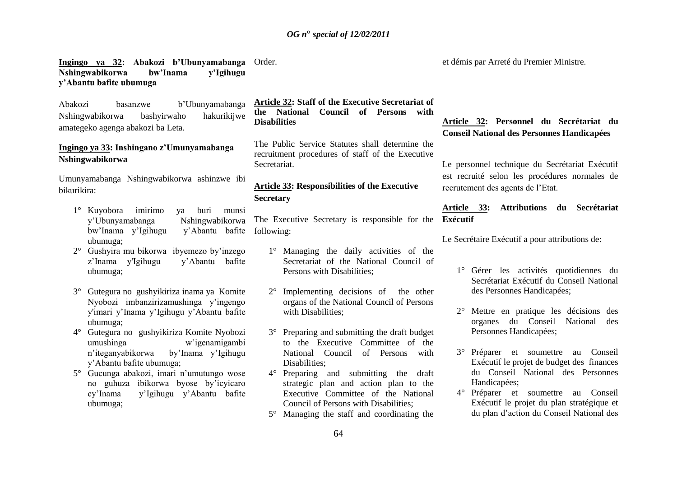#### **Ingingo ya 32: Abakozi b'Ubunyamabanga**  Order. **Nshingwabikorwa bw'Inama y'Igihugu y'Abantu bafite ubumuga**

Abakozi basanzwe b"Ubunyamabanga Nshingwabikorwa bashyirwaho hakurikijwe amategeko agenga abakozi ba Leta.

## **Ingingo ya 33: Inshingano z'Umunyamabanga Nshingwabikorwa**

Umunyamabanga Nshingwabikorwa ashinzwe ibi bikurikira:

- 1° Kuyobora imirimo ya buri munsi y"Ubunyamabanga Nshingwabikorwa bw'Inama y'Igihugu ubumuga; v'Abantu bafite following:
- 2° Gushyira mu bikorwa ibyemezo by"inzego z"Inama y'Igihugu y"Abantu bafite ubumuga;
- 3° Gutegura no gushyikiriza inama ya Komite Nyobozi imbanzirizamushinga y"ingengo y'imari y"Inama y"Igihugu y"Abantu bafite ubumuga;
- 4° Gutegura no gushyikiriza Komite Nyobozi umushinga w"igenamigambi n"iteganyabikorwa by"Inama y"Igihugu y"Abantu bafite ubumuga;
- 5° Gucunga abakozi, imari n"umutungo wose no guhuza ibikorwa byose by"icyicaro cy"Inama y"Igihugu y"Abantu bafite ubumuga;

**Article 32: Staff of the Executive Secretariat of the National Council of Persons with Disabilities**

The Public Service Statutes shall determine the recruitment procedures of staff of the Executive **Secretariat** 

## **Article 33: Responsibilities of the Executive Secretary**

The Executive Secretary is responsible for the

- 1° Managing the daily activities of the Secretariat of the National Council of Persons with Disabilities;
- 2° Implementing decisions of the other organs of the National Council of Persons with Disabilities;
- 3° Preparing and submitting the draft budget to the Executive Committee of the National Council of Persons with Disabilities;
- 4° Preparing and submitting the draft strategic plan and action plan to the Executive Committee of the National Council of Persons with Disabilities;
- 5° Managing the staff and coordinating the

et démis par Arreté du Premier Ministre.

# **Article 32: Personnel du Secrétariat du Conseil National des Personnes Handicapées**

Le personnel technique du Secrétariat Exécutif est recruité selon les procédures normales de recrutement des agents de l"Etat.

**Article 33: Attributions du Secrétariat Exécutif** 

Le Secrétaire Exécutif a pour attributions de:

- 1° Gérer les activités quotidiennes du Secrétariat Exécutif du Conseil National des Personnes Handicapées;
- 2° Mettre en pratique les décisions des organes du Conseil National des Personnes Handicapées;
- 3° Préparer et soumettre au Conseil Exécutif le projet de budget des finances du Conseil National des Personnes Handicapées;
- 4° Préparer et soumettre au Conseil Exécutif le projet du plan stratégique et du plan d"action du Conseil National des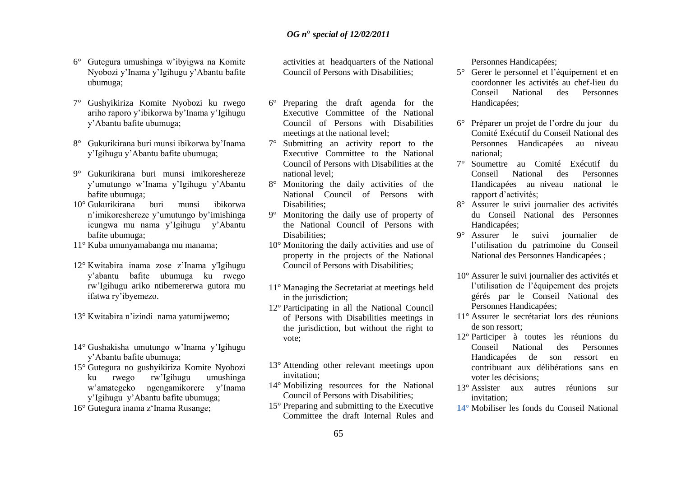- 6° Gutegura umushinga w"ibyigwa na Komite Nyobozi y"Inama y"Igihugu y"Abantu bafite ubumuga;
- 7° Gushyikiriza Komite Nyobozi ku rwego ariho raporo y"ibikorwa by"Inama y"Igihugu y"Abantu bafite ubumuga;
- 8° Gukurikirana buri munsi ibikorwa by"Inama y"Igihugu y"Abantu bafite ubumuga;
- 9° Gukurikirana buri munsi imikoreshereze y"umutungo w"Inama y"Igihugu y"Abantu bafite ubumuga;
- 10° Gukurikirana buri munsi ibikorwa n"imikoreshereze y"umutungo by"imishinga icungwa mu nama y"Igihugu y"Abantu bafite ubumuga;
- 11° Kuba umunyamabanga mu manama;
- 12° Kwitabira inama zose z"Inama y'Igihugu y"abantu bafite ubumuga ku rwego rw"Igihugu ariko ntibemererwa gutora mu ifatwa ry"ibyemezo.
- 13° Kwitabira n"izindi nama yatumijwemo;
- 14° Gushakisha umutungo w"Inama y"Igihugu y"Abantu bafite ubumuga;
- 15° Gutegura no gushyikiriza Komite Nyobozi ku rwego rw"Igihugu umushinga w"amategeko ngengamikorere y"Inama y"Igihugu y"Abantu bafite ubumuga;
- 16° Gutegura inama z"Inama Rusange;

activities at headquarters of the National Council of Persons with Disabilities;

- 6° Preparing the draft agenda for the Executive Committee of the National Council of Persons with Disabilities meetings at the national level;
- 7° Submitting an activity report to the Executive Committee to the National Council of Persons with Disabilities at the national level;
- 8° Monitoring the daily activities of the National Council of Persons with Disabilities;
- 9° Monitoring the daily use of property of the National Council of Persons with Disabilities;
- 10° Monitoring the daily activities and use of property in the projects of the National Council of Persons with Disabilities;
- 11° Managing the Secretariat at meetings held in the jurisdiction;
- 12° Participating in all the National Council of Persons with Disabilities meetings in the jurisdiction, but without the right to vote;
- 13° Attending other relevant meetings upon invitation;
- 14° Mobilizing resources for the National Council of Persons with Disabilities;
- 15° Preparing and submitting to the Executive Committee the draft Internal Rules and

Personnes Handicapées;

- 5° Gerer le personnel et l"équipement et en coordonner les activités au chef-lieu du Conseil National des Personnes Handicapées;
- 6° Préparer un projet de l"ordre du jour du Comité Exécutif du Conseil National des Personnes Handicapées au niveau national;
- 7° Soumettre au Comité Exécutif du Conseil National des Personnes Handicapées au niveau national le rapport d"activités;
- 8° Assurer le suivi journalier des activités du Conseil National des Personnes Handicapées;<br>9<sup>°</sup> Assurer le
- suivi journalier de l"utilisation du patrimoine du Conseil National des Personnes Handicapées ;
- 10° Assurer le suivi journalier des activités et l"utilisation de l"équipement des projets gérés par le Conseil National des Personnes Handicapées;
- 11° Assurer le secrétariat lors des réunions de son ressort;
- 12° Participer à toutes les réunions du Conseil National des Personnes Handicapées de son ressort en contribuant aux délibérations sans en voter les décisions;
- 13° Assister aux autres réunions sur invitation;
- **14°** Mobiliser les fonds du Conseil National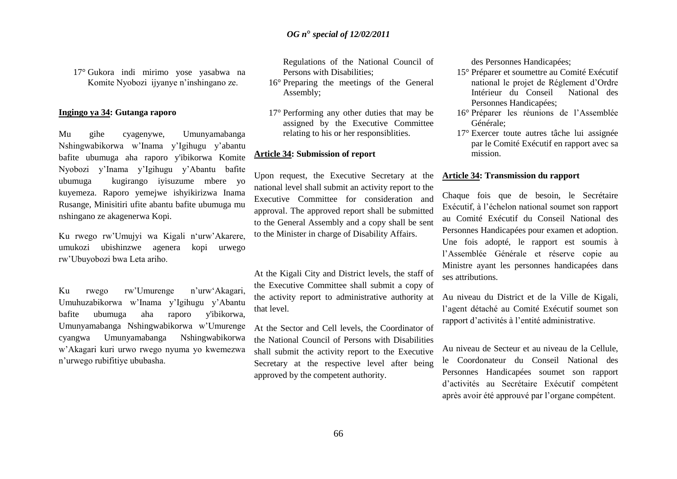17° Gukora indi mirimo yose yasabwa na Komite Nyobozi ijyanye n"inshingano ze.

#### **Ingingo ya 34: Gutanga raporo**

Mu gihe cyagenywe, Umunyamabanga Nshingwabikorwa w"Inama y"Igihugu y"abantu bafite ubumuga aha raporo y'ibikorwa Komite Nyobozi y"Inama y"Igihugu y"Abantu bafite ubumuga kugirango iyisuzume mbere yo kuyemeza. Raporo yemejwe ishyikirizwa Inama Rusange, Minisitiri ufite abantu bafite ubumuga mu nshingano ze akagenerwa Kopi.

Ku rwego rw'Umujyi wa Kigali n'urw'Akarere, umukozi ubishinzwe agenera kopi urwego rw"Ubuyobozi bwa Leta ariho.

Ku rwego rw"Umurenge n"urw"Akagari, Umuhuzabikorwa w"Inama y"Igihugu y"Abantu bafite ubumuga aha raporo y'ibikorwa, Umunyamabanga Nshingwabikorwa w"Umurenge cyangwa Umunyamabanga Nshingwabikorwa w"Akagari kuri urwo rwego nyuma yo kwemezwa n"urwego rubifitiye ububasha.

Regulations of the National Council of Persons with Disabilities;

- 16° Preparing the meetings of the General Assembly;
- 17° Performing any other duties that may be assigned by the Executive Committee relating to his or her responsiblities.

#### **Article 34: Submission of report**

Upon request, the Executive Secretary at the national level shall submit an activity report to the Executive Committee for consideration and approval. The approved report shall be submitted to the General Assembly and a copy shall be sent to the Minister in charge of Disability Affairs.

At the Kigali City and District levels, the staff of the Executive Committee shall submit a copy of the activity report to administrative authority at that level.

At the Sector and Cell levels, the Coordinator of the National Council of Persons with Disabilities shall submit the activity report to the Executive Secretary at the respective level after being approved by the competent authority.

des Personnes Handicapées;

- 15° Préparer et soumettre au Comité Exécutif national le projet de Réglement d"Ordre Intérieur du Conseil National des Personnes Handicapées;
- 16° Préparer les réunions de l"Assemblée Générale;
- 17° Exercer toute autres tâche lui assignée par le Comité Exécutif en rapport avec sa mission.

#### **Article 34: Transmission du rapport**

Chaque fois que de besoin, le Secrétaire Exécutif, à l"échelon national soumet son rapport au Comité Exécutif du Conseil National des Personnes Handicapées pour examen et adoption. Une fois adopté, le rapport est soumis à l"Assemblée Générale et réserve copie au Ministre ayant les personnes handicapées dans ses attributions.

Au niveau du District et de la Ville de Kigali, l"agent détaché au Comité Exécutif soumet son rapport d"activités à l"entité administrative.

Au niveau de Secteur et au niveau de la Cellule, le Coordonateur du Conseil National des Personnes Handicapées soumet son rapport d"activités au Secrétaire Exécutif compétent après avoir été approuvé par l"organe compétent.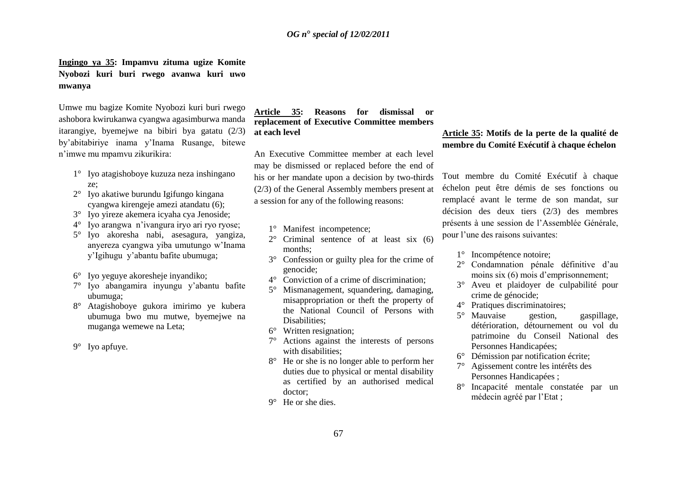# **Ingingo ya 35: Impamvu zituma ugize Komite Nyobozi kuri buri rwego avanwa kuri uwo mwanya**

Umwe mu bagize Komite Nyobozi kuri buri rwego ashobora kwirukanwa cyangwa agasimburwa manda itarangiye, byemejwe na bibiri bya gatatu (2/3) by"abitabiriye inama y"Inama Rusange, bitewe n"imwe mu mpamvu zikurikira:

- 1° Iyo atagishoboye kuzuza neza inshingano ze;
- 2° Iyo akatiwe burundu Igifungo kingana cyangwa kirengeje amezi atandatu (6);
- 3° Iyo yireze akemera icyaha cya Jenoside;
- 4° Iyo arangwa n"ivangura iryo ari ryo ryose;
- 5° Iyo akoresha nabi, asesagura, yangiza, anyereza cyangwa yiba umutungo w"Inama y"Igihugu y"abantu bafite ubumuga;
- 6° Iyo yeguye akoresheje inyandiko;
- 7° Iyo abangamira inyungu y"abantu bafite ubumuga;
- 8° Atagishoboye gukora imirimo ye kubera ubumuga bwo mu mutwe, byemejwe na muganga wemewe na Leta;
- 9° Iyo apfuye.

## **Article 35: Reasons for dismissal or replacement of Executive Committee members at each level**

An Executive Committee member at each level may be dismissed or replaced before the end of his or her mandate upon a decision by two-thirds (2/3) of the General Assembly members present at a session for any of the following reasons:

- 1° Manifest incompetence;
- 2° Criminal sentence of at least six (6) months;
- 3° Confession or guilty plea for the crime of genocide;
- 4° Conviction of a crime of discrimination;
- 5° Mismanagement, squandering, damaging, misappropriation or theft the property of the National Council of Persons with Disabilities;
- 6° Written resignation;
- 7° Actions against the interests of persons with disabilities;
- 8° He or she is no longer able to perform her duties due to physical or mental disability as certified by an authorised medical doctor;
- 9° He or she dies.

## **Article 35: Motifs de la perte de la qualité de membre du Comité Exécutif à chaque échelon**

Tout membre du Comité Exécutif à chaque échelon peut être démis de ses fonctions ou remplacé avant le terme de son mandat, sur décision des deux tiers (2/3) des membres présents à une session de l"Assemblée Générale, pour l"une des raisons suivantes:

- 1° Incompétence notoire;
- 2° Condamnation pénale définitive d"au moins six (6) mois d'emprisonnement;
- 3° Aveu et plaidoyer de culpabilité pour crime de génocide;
- 4° Pratiques discriminatoires;
- 5° Mauvaise gestion, gaspillage, détérioration, détournement ou vol du patrimoine du Conseil National des Personnes Handicapées;
- 6° Démission par notification écrite;
- 7° Agissement contre les intérêts des Personnes Handicapées ;
- 8° Incapacité mentale constatée par un médecin agréé par l"Etat ;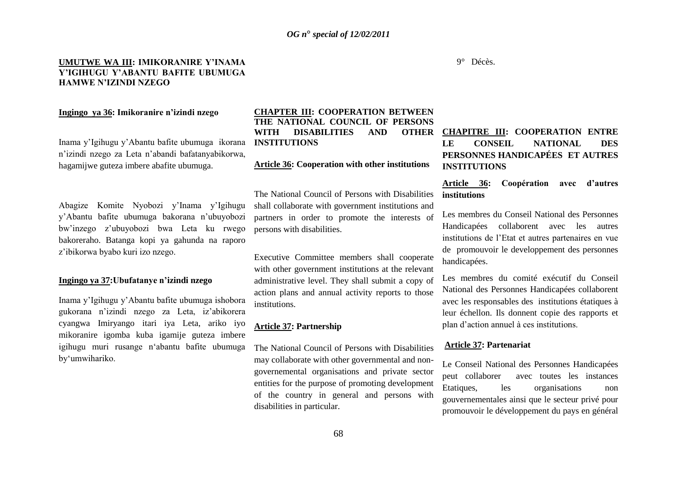#### **UMUTWE WA III: IMIKORANIRE Y'INAMA Y'IGIHUGU Y'ABANTU BAFITE UBUMUGA HAMWE N'IZINDI NZEGO**

## **Ingingo ya 36: Imikoranire n'izindi nzego**

Inama y"Igihugu y"Abantu bafite ubumuga ikorana n"izindi nzego za Leta n"abandi bafatanyabikorwa, hagamijwe guteza imbere abafite ubumuga.

Abagize Komite Nyobozi y"Inama y"Igihugu y"Abantu bafite ubumuga bakorana n"ubuyobozi bw"inzego z"ubuyobozi bwa Leta ku rwego bakoreraho. Batanga kopi ya gahunda na raporo z"ibikorwa byabo kuri izo nzego.

#### **Ingingo ya 37:Ubufatanye n'izindi nzego**

Inama y"Igihugu y"Abantu bafite ubumuga ishobora gukorana n"izindi nzego za Leta, iz"abikorera cyangwa Imiryango itari iya Leta, ariko iyo mikoranire igomba kuba igamije guteza imbere igihugu muri rusange n"abantu bafite ubumuga by"umwihariko.

#### **CHAPTER III: COOPERATION BETWEEN THE NATIONAL COUNCIL OF PERSONS WITH DISABILITIES AND OTHER INSTITUTIONS**

#### **Article 36: Cooperation with other institutions**

The National Council of Persons with Disabilities shall collaborate with government institutions and partners in order to promote the interests of persons with disabilities.

Executive Committee members shall cooperate with other government institutions at the relevant administrative level. They shall submit a copy of action plans and annual activity reports to those institutions.

#### **Article 37: Partnership**

The National Council of Persons with Disabilities may collaborate with other governmental and nongovernemental organisations and private sector entities for the purpose of promoting development of the country in general and persons with disabilities in particular.

# **CHAPITRE III: COOPERATION ENTRE LE CONSEIL NATIONAL DES PERSONNES HANDICAPÉES ET AUTRES INSTITUTIONS**

#### **Article 36: Coopération avec d'autres institutions**

Les membres du Conseil National des Personnes Handicapées collaborent avec les autres institutions de l"Etat et autres partenaires en vue de promouvoir le developpement des personnes handicapées.

Les membres du comité exécutif du Conseil National des Personnes Handicapées collaborent avec les responsables des institutions étatiques à leur échellon. Ils donnent copie des rapports et plan d"action annuel à ces institutions.

#### **Article 37: Partenariat**

Le Conseil National des Personnes Handicapées peut collaborer avec toutes les instances Etatiques, les organisations non gouvernementales ainsi que le secteur privé pour promouvoir le développement du pays en général

9° Décès.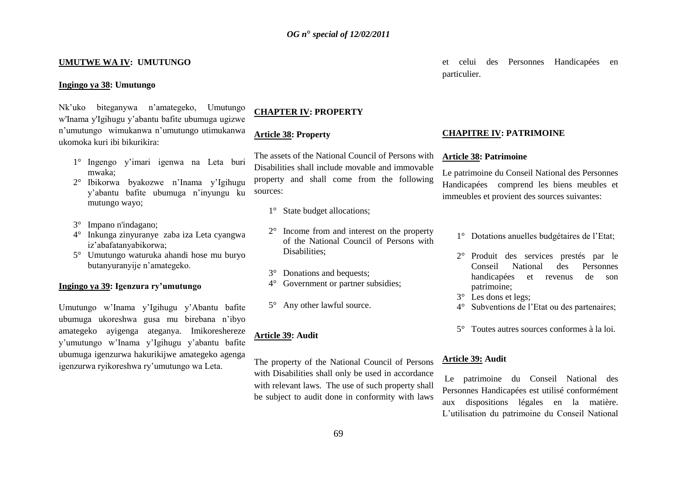#### **UMUTWE WA IV: UMUTUNGO**

#### **Ingingo ya 38: Umutungo**

# Nk"uko biteganywa n"amategeko, Umutungo w'Inama y'Igihugu y"abantu bafite ubumuga ugizwe n"umutungo wimukanwa n"umutungo utimukanwa ukomoka kuri ibi bikurikira:

- 1° Ingengo y"imari igenwa na Leta buri mwaka;
- 2° Ibikorwa byakozwe n"Inama y"Igihugu y"abantu bafite ubumuga n"inyungu ku mutungo wayo;
- 3° Impano n'indagano;
- 4° Inkunga zinyuranye zaba iza Leta cyangwa iz"abafatanyabikorwa;
- 5° Umutungo waturuka ahandi hose mu buryo butanyuranyije n"amategeko.

#### **Ingingo ya 39: Igenzura ry'umutungo**

Umutungo w"Inama y"Igihugu y"Abantu bafite ubumuga ukoreshwa gusa mu birebana n"ibyo amategeko ayigenga ateganya. Imikoreshereze y"umutungo w"Inama y"Igihugu y"abantu bafite ubumuga igenzurwa hakurikijwe amategeko agenga igenzurwa ryikoreshwa ry"umutungo wa Leta.

# **CHAPTER IV: PROPERTY**

#### **Article 38: Property**

The assets of the National Council of Persons with Disabilities shall include movable and immovable property and shall come from the following sources:

- 1° State budget allocations;
- 2° Income from and interest on the property of the National Council of Persons with Disabilities;
- 3° Donations and bequests;
- 4° Government or partner subsidies;
- 5° Any other lawful source.

#### **Article 39: Audit**

The property of the National Council of Persons with Disabilities shall only be used in accordance with relevant laws. The use of such property shall be subject to audit done in conformity with laws

et celui des Personnes Handicapées en particulier.

#### **CHAPITRE IV: PATRIMOINE**

#### **Article 38: Patrimoine**

Le patrimoine du Conseil National des Personnes Handicapées comprend les biens meubles et immeubles et provient des sources suivantes:

- 1° Dotations anuelles budgétaires de l"Etat;
- 2° Produit des services prestés par le Conseil National des Personnes handicapées et revenus de son patrimoine;
- 3° Les dons et legs;
- 4° Subventions de l"Etat ou des partenaires;
- 5° Toutes autres sources conformes à la loi.

#### **Article 39: Audit**

Le patrimoine du Conseil National des Personnes Handicapées est utilisé conformément aux dispositions légales en la matière. L"utilisation du patrimoine du Conseil National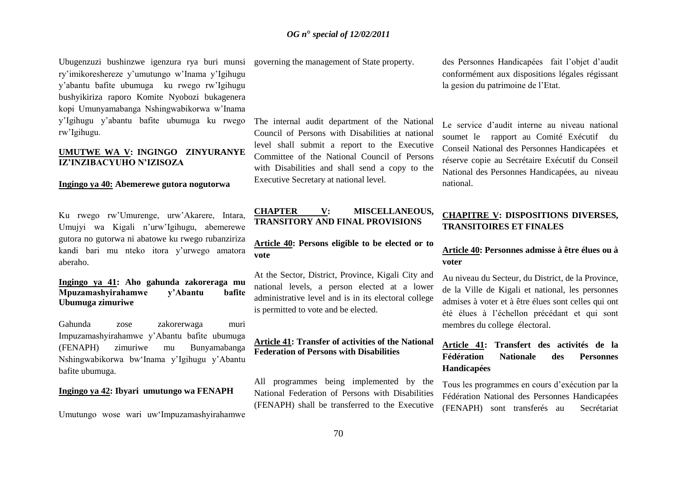Ubugenzuzi bushinzwe igenzura rya buri munsi governing the management of State property. ry"imikoreshereze y"umutungo w"Inama y"Igihugu y"abantu bafite ubumuga ku rwego rw"Igihugu bushyikiriza raporo Komite Nyobozi bukagenera kopi Umunyamabanga Nshingwabikorwa w"Inama y"Igihugu y"abantu bafite ubumuga ku rwego rw"Igihugu.

## **UMUTWE WA V: INGINGO ZINYURANYE IZ'INZIBACYUHO N'IZISOZA**

#### **Ingingo ya 40: Abemerewe gutora nogutorwa**

Ku rwego rw"Umurenge, urw"Akarere, Intara, Umujyi wa Kigali n"urw"Igihugu, abemerewe gutora no gutorwa ni abatowe ku rwego rubanziriza kandi bari mu nteko itora y"urwego amatora aberaho.

## **Ingingo ya 41: Aho gahunda zakoreraga mu Mpuzamashyirahamwe y'Abantu bafite Ubumuga zimuriwe**

Gahunda zose zakorerwaga muri Impuzamashyirahamwe y"Abantu bafite ubumuga (FENAPH) zimuriwe mu Bunyamabanga Nshingwabikorwa bw"Inama y"Igihugu y"Abantu bafite ubumuga.

#### **Ingingo ya 42: Ibyari umutungo wa FENAPH**

Umutungo wose wari uw"Impuzamashyirahamwe

The internal audit department of the National Council of Persons with Disabilities at national level shall submit a report to the Executive Committee of the National Council of Persons with Disabilities and shall send a copy to the Executive Secretary at national level.

## **CHAPTER V: MISCELLANEOUS, TRANSITORY AND FINAL PROVISIONS**

**Article 40: Persons eligible to be elected or to vote**

At the Sector, District, Province, Kigali City and national levels, a person elected at a lower administrative level and is in its electoral college is permitted to vote and be elected.

## **Article 41: Transfer of activities of the National Federation of Persons with Disabilities**

All programmes being implemented by the National Federation of Persons with Disabilities (FENAPH) shall be transferred to the Executive

des Personnes Handicapées fait l"objet d"audit conformément aux dispositions légales régissant la gesion du patrimoine de l"Etat.

Le service d'audit interne au niveau national soumet le rapport au Comité Exécutif du Conseil National des Personnes Handicapées et réserve copie au Secrétaire Exécutif du Conseil National des Personnes Handicapées, au niveau national.

## **CHAPITRE V: DISPOSITIONS DIVERSES, TRANSITOIRES ET FINALES**

## **Article 40: Personnes admisse à être élues ou à voter**

Au niveau du Secteur, du District, de la Province, de la Ville de Kigali et national, les personnes admises à voter et à être élues sont celles qui ont été élues à l"échellon précédant et qui sont membres du college électoral.

# **Article 41: Transfert des activités de la Fédération Nationale des Personnes Handicapées**

Tous les programmes en cours d"exécution par la Fédération National des Personnes Handicapées (FENAPH) sont transferés au Secrétariat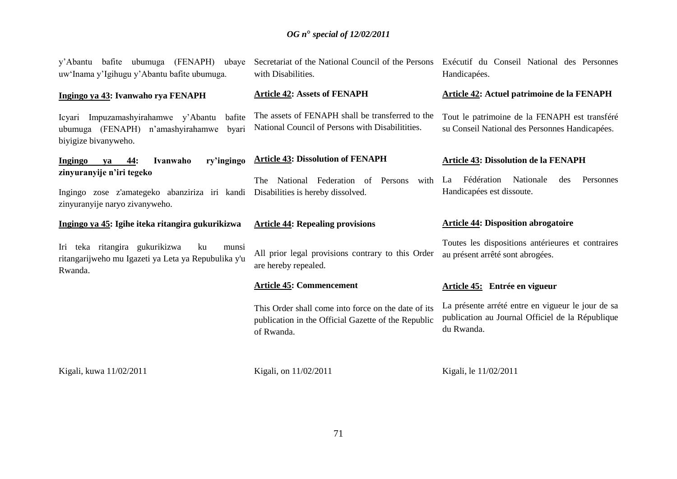| y'Abantu bafite ubumuga (FENAPH) ubaye<br>uw'Inama y'Igihugu y'Abantu bafite ubumuga.                               | Secretariat of the National Council of the Persons<br>with Disabilities.                                                 | Exécutif du Conseil National des Personnes<br>Handicapées.                                                          |
|---------------------------------------------------------------------------------------------------------------------|--------------------------------------------------------------------------------------------------------------------------|---------------------------------------------------------------------------------------------------------------------|
| Ingingo ya 43: Ivanwaho rya FENAPH                                                                                  | <b>Article 42: Assets of FENAPH</b>                                                                                      | Article 42: Actuel patrimoine de la FENAPH                                                                          |
| Icyari Impuzamashyirahamwe y'Abantu<br>bafite<br>ubumuga (FENAPH) n'amashyirahamwe<br>byari<br>biyigize bivanyweho. | The assets of FENAPH shall be transferred to the<br>National Council of Persons with Disabilitities.                     | Tout le patrimoine de la FENAPH est transféré<br>su Conseil National des Personnes Handicapées.                     |
| <b>Ingingo</b><br>44:<br>Ivanwaho<br>ry'ingingo<br>ya                                                               | <b>Article 43: Dissolution of FENAPH</b>                                                                                 | <b>Article 43: Dissolution de la FENAPH</b>                                                                         |
| zinyuranyije n'iri tegeko<br>Ingingo zose z'amategeko abanziriza iri kandi<br>zinyuranyije naryo zivanyweho.        | National Federation of<br>Persons<br>with<br>The<br>Disabilities is hereby dissolved.                                    | Fédération<br>Nationale<br>des<br>Personnes<br>La<br>Handicapées est dissoute.                                      |
|                                                                                                                     |                                                                                                                          |                                                                                                                     |
| Ingingo ya 45: Igihe iteka ritangira gukurikizwa                                                                    | <b>Article 44: Repealing provisions</b>                                                                                  | <b>Article 44: Disposition abrogatoire</b>                                                                          |
| Iri teka ritangira gukurikizwa<br>ku<br>munsi<br>ritangarijweho mu Igazeti ya Leta ya Repubulika y'u<br>Rwanda.     | All prior legal provisions contrary to this Order<br>are hereby repealed.                                                | Toutes les dispositions antérieures et contraires<br>au présent arrêté sont abrogées.                               |
|                                                                                                                     | <b>Article 45: Commencement</b>                                                                                          | Article 45: Entrée en vigueur                                                                                       |
|                                                                                                                     | This Order shall come into force on the date of its<br>publication in the Official Gazette of the Republic<br>of Rwanda. | La présente arrété entre en vigueur le jour de sa<br>publication au Journal Officiel de la République<br>du Rwanda. |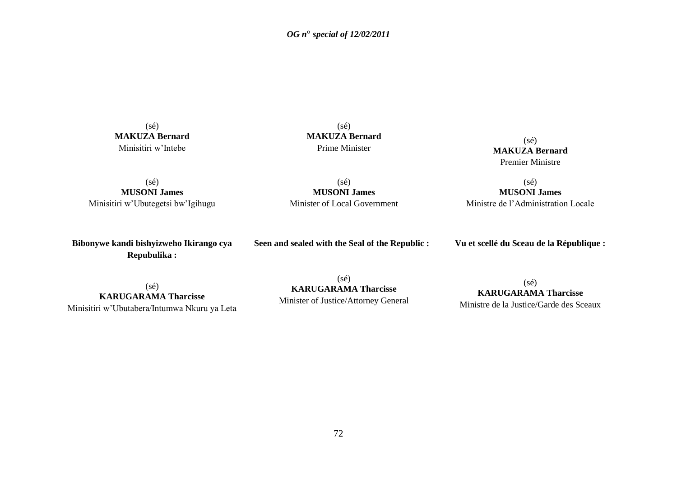(sé) **MAKUZA Bernard** Minisitiri w"Intebe

(sé) **MAKUZA Bernard** Prime Minister

 $(sé)$ **MAKUZA Bernard** Premier Ministre

(sé) **MUSONI James** Minisitiri w"Ubutegetsi bw"Igihugu

(sé) **MUSONI James** Minister of Local Government

(sé) **MUSONI James** Ministre de l"Administration Locale

**Bibonywe kandi bishyizweho Ikirango cya Repubulika :**

**Seen and sealed with the Seal of the Republic :**

**Vu et scellé du Sceau de la République :**

(sé) **KARUGARAMA Tharcisse** Minisitiri w"Ubutabera/Intumwa Nkuru ya Leta

(sé) **KARUGARAMA Tharcisse** Minister of Justice/Attorney General

(sé) **KARUGARAMA Tharcisse** Ministre de la Justice/Garde des Sceaux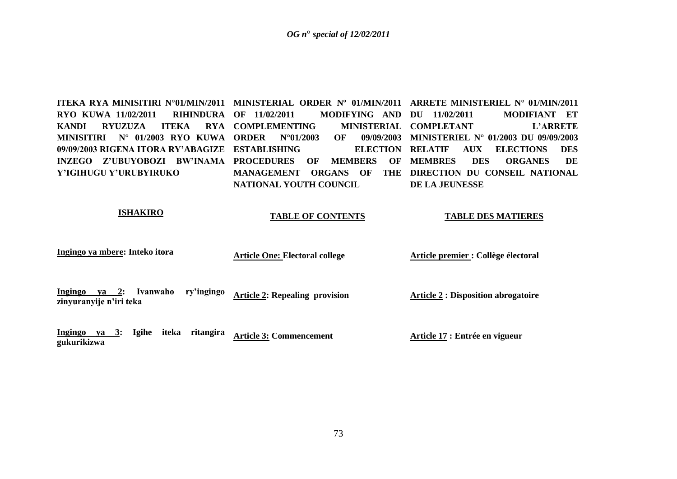**ITEKA RYA MINISITIRI N°01/MIN/2011 MINISTERIAL ORDER Nº 01/MIN/2011 ARRETE MINISTERIEL N° 01/MIN/2011 RYO KUWA 11/02/2011 RIHINDURA KANDI RYUZUZA ITEKA MINISITIRI N° 01/2003 RYO KUWA ORDER N°01/2003 OF 09/09/2003 09/09/2003 RIGENA ITORA RY'ABAGIZE ESTABLISHING ELECTION INZEGO Z'UBUYOBOZI BW'INAMA PROCEDURES OF MEMBERS OF Y'IGIHUGU Y'URUBYIRUKO MODIFYING AND DU 11/02/2011 RYA COMPLEMENTING MANAGEMENT ORGANS OF THE DIRECTION DU CONSEIL NATIONAL NATIONAL YOUTH COUNCIL DU 11/02/2011 MODIFIANT ET MINISTERIAL COMPLETANT L'ARRETE MINISTERIEL N° 01/2003 DU 09/09/2003 RELATIF AUX ELECTIONS DES**  DES ORGANES DE **DE LA JEUNESSE**

# **ISHAKIRO**

**gukurikizwa**

#### **TABLE OF CONTENTS**

**TABLE DES MATIERES**

| Ingingo ya mbere: Inteko itora                                          | <b>Article One: Electoral college</b> | Article premier : Collège électoral        |
|-------------------------------------------------------------------------|---------------------------------------|--------------------------------------------|
| Ingingo<br>ry'ingingo<br>Ivanwaho<br>$ya$ 2:<br>zinyuranyije n'iri teka | <b>Article 2: Repealing provision</b> | <b>Article 2 : Disposition abrogatoire</b> |
| Ingingo<br>iteka<br>ritangira<br>Igihe<br>$ya \quad 3:$<br>$\cdots$     | <b>Article 3: Commencement</b>        | Article 17 : Entrée en vigueur             |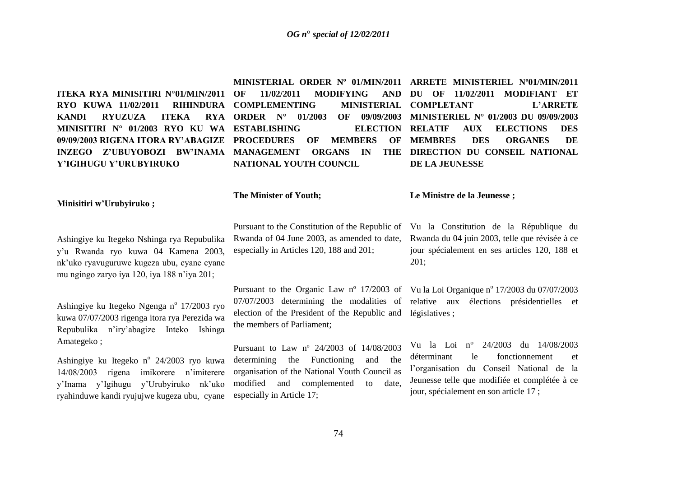# *OG n***°** *special of 12/02/2011*

**ITEKA RYA MINISITIRI N°01/MIN/2011 RYO KUWA 11/02/2011 RIHINDURA KANDI RYUZUZA ITEKA MINISITIRI N° 01/2003 RYO KU WA ESTABLISHING ELECTION 09/09/2003 RIGENA ITORA RY'ABAGIZE PROCEDURES OF MEMBERS OF Y'IGIHUGU Y'URUBYIRUKO**

**11/02/2011 MODIFYING COMPLEMENTING RYA ORDER N° 01/2003 NATIONAL YOUTH COUNCIL**

# INZEGO Z'UBUYOBOZI BW'INAMA MANAGEMENT ORGANS IN THE DIRECTION DU CONSEIL NATIONAL **MINISTERIAL ORDER Nº 01/MIN/2011 ARRETE MINISTERIEL Nº01/MIN/2011 DU OF 11/02/2011 MODIFIANT ET MINISTERIAL COMPLETANT L'ARRETE MINISTERIEL N° 01/2003 DU 09/09/2003 RELATIF AUX ELECTIONS DES MEMBRES DES ORGANES DE DE LA JEUNESSE**

# **Minisitiri w'Urubyiruko ;**

Ashingiye ku Itegeko Nshinga rya Repubulika y"u Rwanda ryo kuwa 04 Kamena 2003, nk"uko ryavuguruwe kugeza ubu, cyane cyane mu ngingo zaryo iya 120, iya 188 n"iya 201;

Ashingiye ku Itegeko Ngenga nº 17/2003 ryo kuwa 07/07/2003 rigenga itora rya Perezida wa Repubulika n"iry"abagize Inteko Ishinga Amategeko ;

Ashingiye ku Itegeko n° 24/2003 ryo kuwa 14/08/2003 rigena imikorere n"imiterere y"Inama y"Igihugu y"Urubyiruko nk"uko ryahinduwe kandi ryujujwe kugeza ubu, cyane

**The Minister of Youth;**

Pursuant to the Constitution of the Republic of Vu la Constitution de la République du Rwanda of 04 June 2003, as amended to date, especially in Articles 120, 188 and 201;

Pursuant to the Organic Law nº 17/2003 of Vu la Loi Organique nº 17/2003 du 07/07/2003 07/07/2003 determining the modalities of relative aux élections présidentielles et election of the President of the Republic and législatives ; the members of Parliament;

Pursuant to Law nº 24/2003 of 14/08/2003 determining the Functioning and the organisation of the National Youth Council as modified and complemented to date, especially in Article 17;

**Le Ministre de la Jeunesse ;**

Rwanda du 04 juin 2003, telle que révisée à ce jour spécialement en ses articles 120, 188 et 201;

Vu la Loi n° 24/2003 du 14/08/2003 déterminant le fonctionnement et l"organisation du Conseil National de la Jeunesse telle que modifiée et complétée à ce jour, spécialement en son article 17 ;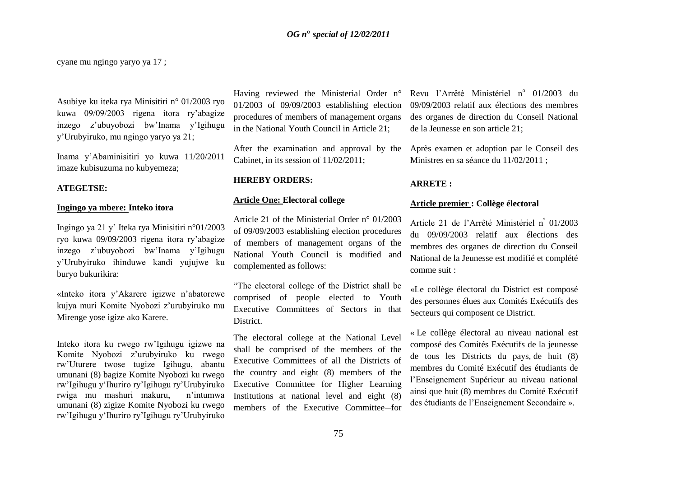cyane mu ngingo yaryo ya 17 ;

Asubiye ku iteka rya Minisitiri n° 01/2003 ryo kuwa 09/09/2003 rigena itora ry"abagize inzego z"ubuyobozi bw"Inama y"Igihugu y"Urubyiruko, mu ngingo yaryo ya 21;

Inama y"Abaminisitiri yo kuwa 11/20/2011 imaze kubisuzuma no kubyemeza;

#### **ATEGETSE:**

#### **Ingingo ya mbere: Inteko itora**

Ingingo ya 21 y" Iteka rya Minisitiri n°01/2003 ryo kuwa 09/09/2003 rigena itora ry"abagize inzego z"ubuyobozi bw"Inama y"Igihugu y"Urubyiruko ihinduwe kandi yujujwe ku buryo bukurikira:

«Inteko itora y"Akarere igizwe n"abatorewe kujya muri Komite Nyobozi z"urubyiruko mu Mirenge yose igize ako Karere.

Inteko itora ku rwego rw"Igihugu igizwe na Komite Nyobozi z"urubyiruko ku rwego rw"Uturere twose tugize Igihugu, abantu umunani (8) bagize Komite Nyobozi ku rwego rw"Igihugu y"Ihuriro ry"Igihugu ry"Urubyiruko rwiga mu mashuri makuru, n"intumwa umunani (8) zigize Komite Nyobozi ku rwego rw"Igihugu y"Ihuriro ry"Igihugu ry"Urubyiruko Having reviewed the Ministerial Order n° 01/2003 of 09/09/2003 establishing election procedures of members of management organs in the National Youth Council in Article 21;

After the examination and approval by the Cabinet, in its session of 11/02/2011;

#### **HEREBY ORDERS:**

# **Article One: Electoral college**

Article 21 of the Ministerial Order n° 01/2003 of 09/09/2003 establishing election procedures of members of management organs of the National Youth Council is modified and complemented as follows:

"The electoral college of the District shall be comprised of people elected to Youth Executive Committees of Sectors in that District.

The electoral college at the National Level shall be comprised of the members of the Executive Committees of all the Districts of the country and eight (8) members of the Executive Committee for Higher Learning Institutions at national level and eight (8) members of the Executive Committee–for

Revu l'Arrêté Ministériel nº 01/2003 du 09/09/2003 relatif aux élections des membres des organes de direction du Conseil National de la Jeunesse en son article 21;

Après examen et adoption par le Conseil des Ministres en sa séance du 11/02/2011 ;

#### **ARRETE :**

# **Article premier : Collège électoral**

Article 21 de l"Arrêté Ministériel n<sup>º</sup> 01/2003 du 09/09/2003 relatif aux élections des membres des organes de direction du Conseil National de la Jeunesse est modifié et complété comme suit :

«Le collège électoral du District est composé des personnes élues aux Comités Exécutifs des Secteurs qui composent ce District.

« Le collège électoral au niveau national est composé des Comités Exécutifs de la jeunesse de tous les Districts du pays, de huit (8) membres du Comité Exécutif des étudiants de l"Enseignement Supérieur au niveau national ainsi que huit (8) membres du Comité Exécutif des étudiants de l"Enseignement Secondaire ».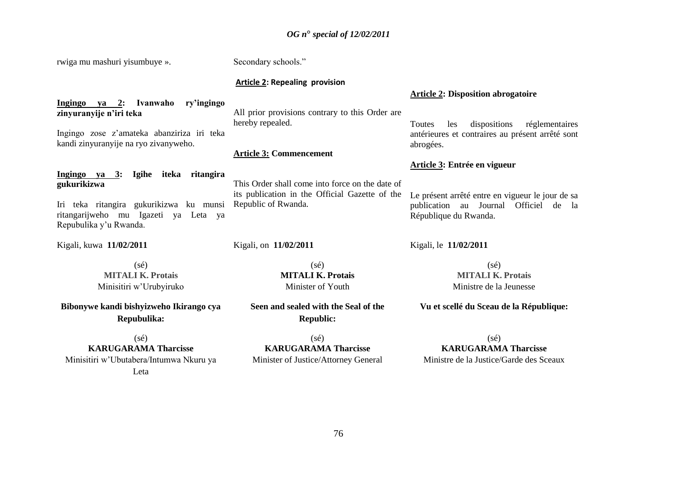# *OG n***°** *special of 12/02/2011*

| rwiga mu mashuri yisumbuye ».                                                                                                                                                                                                       | Secondary schools."                                                                                                                                                                                                  |                                                                                                                                                                                                              |
|-------------------------------------------------------------------------------------------------------------------------------------------------------------------------------------------------------------------------------------|----------------------------------------------------------------------------------------------------------------------------------------------------------------------------------------------------------------------|--------------------------------------------------------------------------------------------------------------------------------------------------------------------------------------------------------------|
|                                                                                                                                                                                                                                     | <b>Article 2: Repealing provision</b>                                                                                                                                                                                | <b>Article 2: Disposition abrogatoire</b>                                                                                                                                                                    |
| Ivanwaho<br>Ingingo ya 2:<br>ry'ingingo<br>zinyuranyije n'iri teka<br>Ingingo zose z'amateka abanziriza iri teka<br>kandi zinyuranyije na ryo zivanyweho.                                                                           | All prior provisions contrary to this Order are<br>hereby repealed.                                                                                                                                                  | dispositions<br>réglementaires<br>les<br>Toutes<br>antérieures et contraires au présent arrêté sont<br>abrogées.                                                                                             |
|                                                                                                                                                                                                                                     | <b>Article 3: Commencement</b>                                                                                                                                                                                       |                                                                                                                                                                                                              |
| Ingingo ya 3:<br>Igihe iteka ritangira<br>gukurikizwa<br>Iri teka ritangira gukurikizwa ku munsi<br>ritangarijweho mu Igazeti ya Leta ya<br>Repubulika y'u Rwanda.                                                                  | This Order shall come into force on the date of<br>its publication in the Official Gazette of the<br>Republic of Rwanda.                                                                                             | Article 3: Entrée en vigueur<br>Le présent arrêté entre en vigueur le jour de sa<br>publication au<br>Journal<br>Officiel de la<br>République du Rwanda.                                                     |
| Kigali, kuwa 11/02/2011                                                                                                                                                                                                             | Kigali, on 11/02/2011                                                                                                                                                                                                | Kigali, le 11/02/2011                                                                                                                                                                                        |
| $(s\acute{e})$<br><b>MITALI K. Protais</b><br>Minisitiri w'Urubyiruko<br>Bibonywe kandi bishyizweho Ikirango cya<br>Repubulika:<br>$(s\acute{e})$<br><b>KARUGARAMA Tharcisse</b><br>Minisitiri w'Ubutabera/Intumwa Nkuru ya<br>Leta | $(s\acute{e})$<br><b>MITALI K. Protais</b><br>Minister of Youth<br>Seen and sealed with the Seal of the<br><b>Republic:</b><br>$(s\acute{e})$<br><b>KARUGARAMA Tharcisse</b><br>Minister of Justice/Attorney General | $(s\acute{e})$<br><b>MITALI K. Protais</b><br>Ministre de la Jeunesse<br>Vu et scellé du Sceau de la République:<br>$(s\acute{e})$<br><b>KARUGARAMA Tharcisse</b><br>Ministre de la Justice/Garde des Sceaux |
|                                                                                                                                                                                                                                     |                                                                                                                                                                                                                      |                                                                                                                                                                                                              |